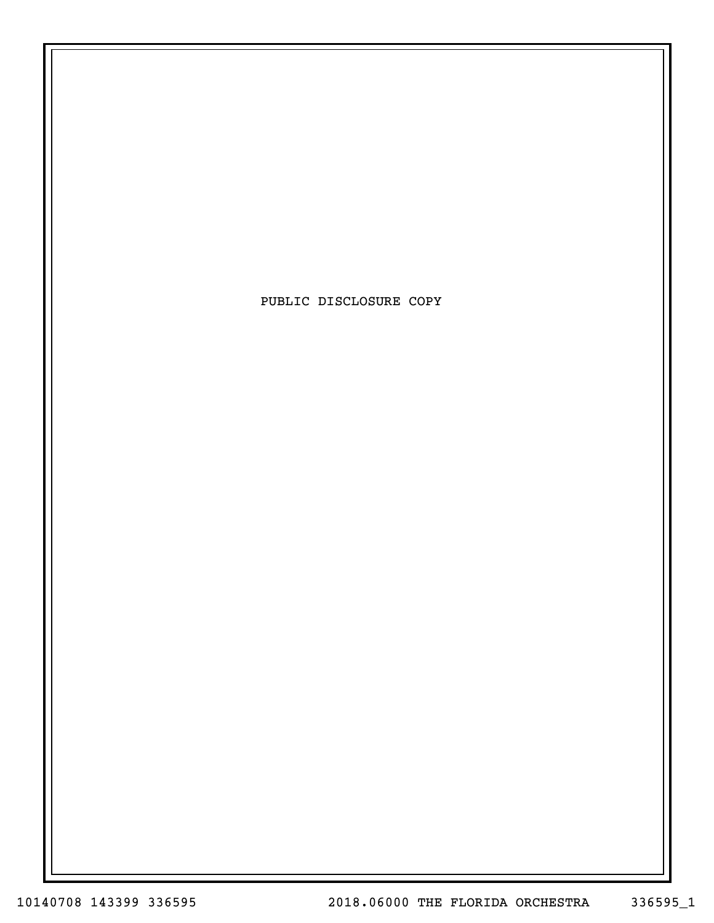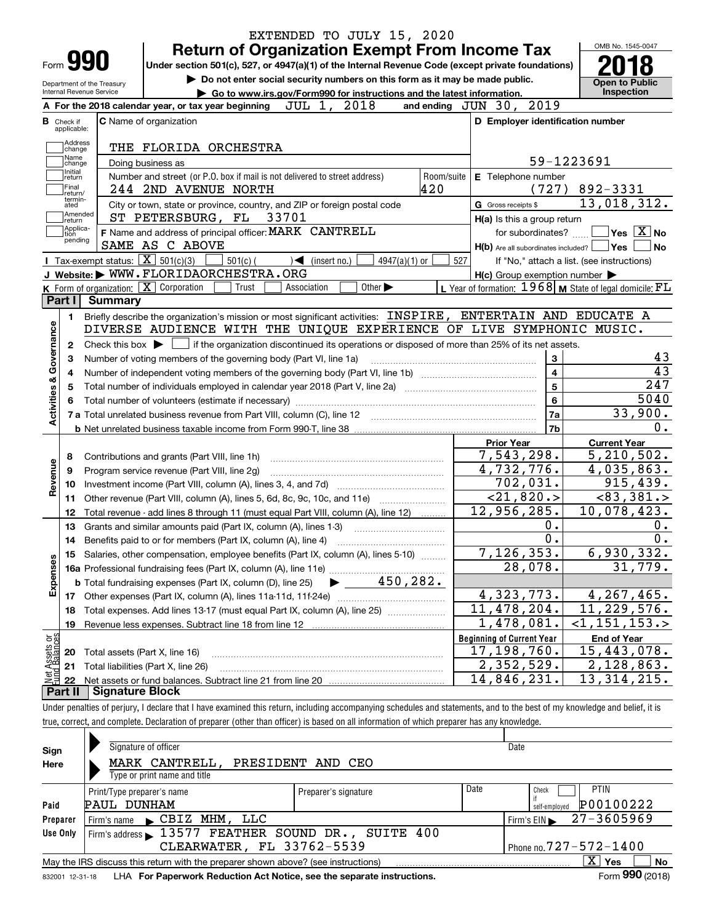|                                                        |         |                                                          | <b>Return of Organization Exempt From Income Tax</b>                                                                                      |             |                                   |                             |                 |                         |                                         |                | OMB No. 1545-0047                                           |                                                                                              |
|--------------------------------------------------------|---------|----------------------------------------------------------|-------------------------------------------------------------------------------------------------------------------------------------------|-------------|-----------------------------------|-----------------------------|-----------------|-------------------------|-----------------------------------------|----------------|-------------------------------------------------------------|----------------------------------------------------------------------------------------------|
| Form <b>990</b>                                        |         |                                                          | Under section 501(c), 527, or 4947(a)(1) of the Internal Revenue Code (except private foundations)                                        |             |                                   |                             |                 |                         |                                         |                |                                                             |                                                                                              |
| Department of the Treasury<br>Internal Revenue Service |         |                                                          | Do not enter social security numbers on this form as it may be made public.                                                               |             |                                   |                             |                 |                         |                                         |                |                                                             | <b>Open to Public</b>                                                                        |
|                                                        |         |                                                          | Go to www.irs.gov/Form990 for instructions and the latest information.<br>A For the 2018 calendar year, or tax year beginning             | JUL 1,      |                                   | 2018                        |                 | and ending JUN 30, 2019 |                                         |                |                                                             | <b>Inspection</b>                                                                            |
| <b>B</b> Check if                                      |         | <b>C</b> Name of organization                            |                                                                                                                                           |             |                                   |                             |                 |                         |                                         |                | D Employer identification number                            |                                                                                              |
| applicable:                                            |         |                                                          |                                                                                                                                           |             |                                   |                             |                 |                         |                                         |                |                                                             |                                                                                              |
| Address<br>change                                      |         |                                                          | THE FLORIDA ORCHESTRA                                                                                                                     |             |                                   |                             |                 |                         |                                         |                |                                                             |                                                                                              |
| Name<br>change                                         |         | Doing business as                                        |                                                                                                                                           |             |                                   |                             |                 |                         |                                         |                | 59-1223691                                                  |                                                                                              |
| Initial<br>return                                      |         |                                                          | Number and street (or P.O. box if mail is not delivered to street address)                                                                |             |                                   |                             |                 | Room/suite              | E Telephone number                      |                |                                                             |                                                                                              |
| Final<br>return/                                       |         |                                                          | 244 2ND AVENUE NORTH                                                                                                                      |             |                                   |                             |                 | 420                     |                                         | (727)          | 892-3331                                                    |                                                                                              |
| termin-<br>ated                                        |         |                                                          | City or town, state or province, country, and ZIP or foreign postal code                                                                  |             |                                   |                             |                 |                         | G Gross receipts \$                     |                | $\overline{13,018,312}$ .                                   |                                                                                              |
| Amended<br>∣return                                     |         |                                                          | ST PETERSBURG, FL 33701                                                                                                                   |             |                                   |                             |                 |                         | H(a) Is this a group return             |                |                                                             |                                                                                              |
| Applica-<br>tion                                       |         |                                                          | F Name and address of principal officer: MARK CANTRELL                                                                                    |             |                                   |                             |                 |                         | for subordinates?                       |                |                                                             | $\sqrt{}$ Yes $\sqrt{}$ X $\sqrt{}$ No                                                       |
| pending                                                |         | SAME AS C ABOVE                                          |                                                                                                                                           |             |                                   |                             |                 |                         |                                         |                | $H(b)$ Are all subordinates included? $\Box$ Yes            | l No                                                                                         |
|                                                        |         | Tax-exempt status: $\boxed{\mathbf{X}}$ 501(c)(3)        | $501(c)$ (                                                                                                                                |             | $\sqrt{\frac{1}{1}}$ (insert no.) |                             | $4947(a)(1)$ or | 527                     |                                         |                | If "No," attach a list. (see instructions)                  |                                                                                              |
|                                                        |         |                                                          | J Website: WWW.FLORIDAORCHESTRA.ORG                                                                                                       |             |                                   |                             |                 |                         |                                         |                | $H(c)$ Group exemption number $\blacktriangleright$         |                                                                                              |
|                                                        |         | K Form of organization: $\boxed{\mathbf{X}}$ Corporation | Trust                                                                                                                                     | Association |                                   | Other $\blacktriangleright$ |                 |                         |                                         |                | L Year of formation: $1968$ M State of legal domicile: $FL$ |                                                                                              |
| Part I                                                 | Summary |                                                          |                                                                                                                                           |             |                                   |                             |                 |                         |                                         |                |                                                             |                                                                                              |
| 1.                                                     |         |                                                          | Briefly describe the organization's mission or most significant activities: INSPIRE, ENTERTAIN AND EDUCATE A                              |             |                                   |                             |                 |                         |                                         |                |                                                             |                                                                                              |
|                                                        |         |                                                          | DIVERSE AUDIENCE WITH THE UNIQUE EXPERIENCE OF LIVE SYMPHONIC MUSIC.                                                                      |             |                                   |                             |                 |                         |                                         |                |                                                             |                                                                                              |
| 2                                                      |         |                                                          | Check this box $\blacktriangleright \Box$ if the organization discontinued its operations or disposed of more than 25% of its net assets. |             |                                   |                             |                 |                         |                                         |                |                                                             |                                                                                              |
| З                                                      |         |                                                          |                                                                                                                                           |             |                                   |                             |                 |                         |                                         |                |                                                             |                                                                                              |
|                                                        |         |                                                          |                                                                                                                                           |             |                                   |                             |                 |                         |                                         | 3              |                                                             |                                                                                              |
| 4                                                      |         |                                                          | Number of voting members of the governing body (Part VI, line 1a)                                                                         |             |                                   |                             |                 |                         |                                         | $\overline{4}$ |                                                             |                                                                                              |
| 5                                                      |         |                                                          |                                                                                                                                           |             |                                   |                             |                 |                         |                                         | $5\phantom{a}$ |                                                             |                                                                                              |
|                                                        |         |                                                          |                                                                                                                                           |             |                                   |                             |                 |                         |                                         | 6              |                                                             |                                                                                              |
|                                                        |         |                                                          |                                                                                                                                           |             |                                   |                             |                 |                         |                                         | 7a             |                                                             |                                                                                              |
|                                                        |         |                                                          |                                                                                                                                           |             |                                   |                             |                 |                         |                                         | 7b             |                                                             |                                                                                              |
|                                                        |         |                                                          |                                                                                                                                           |             |                                   |                             |                 |                         | <b>Prior Year</b>                       |                |                                                             |                                                                                              |
| 8                                                      |         |                                                          |                                                                                                                                           |             |                                   |                             |                 |                         | 7,543,298.                              |                | <b>Current Year</b>                                         |                                                                                              |
| 9                                                      |         | Contributions and grants (Part VIII, line 1h)            |                                                                                                                                           |             |                                   |                             |                 |                         | 4,732,776.                              |                | 5, 210, 502.                                                |                                                                                              |
|                                                        |         | Program service revenue (Part VIII, line 2g)             |                                                                                                                                           |             |                                   |                             |                 |                         |                                         |                | 4,035,863.                                                  |                                                                                              |
| 10                                                     |         |                                                          |                                                                                                                                           |             |                                   |                             |                 |                         | 702,031.                                |                |                                                             |                                                                                              |
| 11                                                     |         |                                                          | Other revenue (Part VIII, column (A), lines 5, 6d, 8c, 9c, 10c, and 11e)                                                                  |             |                                   |                             |                 |                         | $<$ 21,820.>                            |                |                                                             |                                                                                              |
| 12<br>13                                               |         |                                                          | Total revenue - add lines 8 through 11 (must equal Part VIII, column (A), line 12)                                                        |             |                                   |                             |                 |                         | 12,956,285.                             | 0.             | 10,078,423.                                                 |                                                                                              |
| 14                                                     |         |                                                          | Grants and similar amounts paid (Part IX, column (A), lines 1-3)                                                                          |             |                                   |                             |                 |                         |                                         | 0.             |                                                             |                                                                                              |
|                                                        |         |                                                          |                                                                                                                                           |             |                                   |                             |                 |                         |                                         |                |                                                             |                                                                                              |
|                                                        |         |                                                          | 15 Salaries, other compensation, employee benefits (Part IX, column (A), lines 5-10)                                                      |             |                                   |                             |                 |                         | 7,126,353.                              |                | 6,930,332.                                                  |                                                                                              |
|                                                        |         |                                                          |                                                                                                                                           |             |                                   |                             |                 |                         | 28,078.                                 |                |                                                             |                                                                                              |
|                                                        |         |                                                          | <b>b</b> Total fundraising expenses (Part IX, column (D), line 25)                                                                        |             |                                   | $450, 282$ .                |                 |                         |                                         |                |                                                             |                                                                                              |
| 17                                                     |         |                                                          |                                                                                                                                           |             |                                   |                             |                 |                         | 4,323,773.                              |                | $\overline{4,267,465}$ .                                    |                                                                                              |
| 18                                                     |         |                                                          | Total expenses. Add lines 13-17 (must equal Part IX, column (A), line 25)                                                                 |             |                                   |                             |                 |                         | 11,478,204.                             |                | 11,229,576.                                                 |                                                                                              |
| Activities & Governance<br>Revenue<br>Expenses<br>19   |         |                                                          | Revenue less expenses. Subtract line 18 from line 12                                                                                      |             |                                   |                             |                 |                         | 1,478,081.                              |                | $\overline{1,151},153.$                                     |                                                                                              |
|                                                        |         |                                                          |                                                                                                                                           |             |                                   |                             |                 |                         | <b>Beginning of Current Year</b>        |                | <b>End of Year</b>                                          |                                                                                              |
| 20                                                     |         | Total assets (Part X, line 16)                           |                                                                                                                                           |             |                                   |                             |                 |                         | 17, 198, 760.                           |                | 15,443,078.                                                 | 43<br>43<br>247<br>5040<br>33,900.<br>0.<br>915,439.<br>< 83, 381.<br>$0$ .<br>0.<br>31,779. |
| Net Assets or<br>Eund Balances<br>21<br>-22            |         | Total liabilities (Part X, line 26)                      |                                                                                                                                           |             |                                   |                             |                 |                         | 2,352,529.<br>$\overline{14,846,231}$ . |                | 2,128,863.<br>13, 314, 215.                                 |                                                                                              |

| Sign<br>Here    | Signature of officer<br>MARK CANTRELL,<br>Type or print name and title            | PRESIDENT AND CEO    |      | Date                                               |  |  |  |  |  |
|-----------------|-----------------------------------------------------------------------------------|----------------------|------|----------------------------------------------------|--|--|--|--|--|
| Paid            | Print/Type preparer's name<br>PAUL DUNHAM                                         | Preparer's signature | Date | <b>PTIN</b><br>Check<br>P00100222<br>self-emploved |  |  |  |  |  |
| Preparer        | CBIZ MHM, LLC<br>Firm's name<br>$\blacksquare$                                    |                      |      | 27-3605969<br>Firm's $EIN \blacktriangleright$     |  |  |  |  |  |
| Use Only        | Firm's address 13577 FEATHER SOUND DR., SUITE 400                                 |                      |      |                                                    |  |  |  |  |  |
|                 | CLEARWATER, FL 33762-5539<br>Phone no. 727 - 572 - 1400                           |                      |      |                                                    |  |  |  |  |  |
|                 | May the IRS discuss this return with the preparer shown above? (see instructions) |                      |      | X.<br><b>No</b><br>Yes                             |  |  |  |  |  |
| 832001 12-31-18 | LHA For Paperwork Reduction Act Notice, see the separate instructions.            |                      |      | Form 990 (2018)                                    |  |  |  |  |  |

true, correct, and complete. Declaration of preparer (other than officer) is based on all information of which preparer has any knowledge.

832001 12-31-18 LHA **For Paperwork Reduction Act Notice, see the separate instructions.**<br> **Back Contract Contract Contract Contract Contract Contract Contract Contract Contract Contract Contract Contr**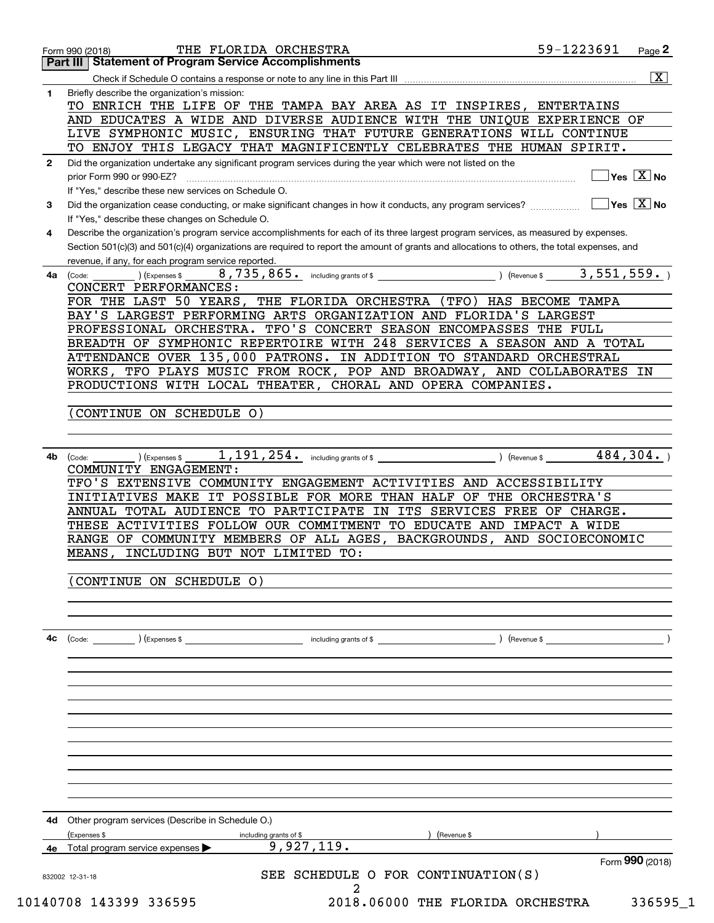|              | 59-1223691<br>THE FLORIDA ORCHESTRA<br>Form 990 (2018)<br><b>Part III   Statement of Program Service Accomplishments</b>                                                                                                                                                                                                                                                                                                                                                                                                                                                                                                       | Page 2                  |
|--------------|--------------------------------------------------------------------------------------------------------------------------------------------------------------------------------------------------------------------------------------------------------------------------------------------------------------------------------------------------------------------------------------------------------------------------------------------------------------------------------------------------------------------------------------------------------------------------------------------------------------------------------|-------------------------|
|              |                                                                                                                                                                                                                                                                                                                                                                                                                                                                                                                                                                                                                                | $\overline{\mathbf{x}}$ |
| 1.           | Briefly describe the organization's mission:<br>TO ENRICH THE LIFE OF THE TAMPA BAY AREA AS IT INSPIRES, ENTERTAINS<br>AND EDUCATES A WIDE AND DIVERSE AUDIENCE WITH THE UNIQUE EXPERIENCE OF                                                                                                                                                                                                                                                                                                                                                                                                                                  |                         |
|              | LIVE SYMPHONIC MUSIC, ENSURING THAT FUTURE GENERATIONS WILL CONTINUE<br>TO ENJOY THIS LEGACY THAT MAGNIFICENTLY CELEBRATES THE HUMAN SPIRIT.                                                                                                                                                                                                                                                                                                                                                                                                                                                                                   |                         |
| $\mathbf{2}$ | Did the organization undertake any significant program services during the year which were not listed on the<br>prior Form 990 or 990-EZ?<br>If "Yes," describe these new services on Schedule O.                                                                                                                                                                                                                                                                                                                                                                                                                              | $Yes \ \boxed{X}$ No    |
| 3            | Did the organization cease conducting, or make significant changes in how it conducts, any program services?<br>If "Yes," describe these changes on Schedule O.                                                                                                                                                                                                                                                                                                                                                                                                                                                                | $Yes \ \boxed{X}$ No    |
| 4            | Describe the organization's program service accomplishments for each of its three largest program services, as measured by expenses.<br>Section 501(c)(3) and 501(c)(4) organizations are required to report the amount of grants and allocations to others, the total expenses, and<br>revenue, if any, for each program service reported.                                                                                                                                                                                                                                                                                    |                         |
| 4a           | 3,551,559.<br>8,735,865. including grants of \$<br>) (Revenue \$<br>(Code:<br>(Expenses \$<br>CONCERT PERFORMANCES:<br>FOR THE LAST 50 YEARS, THE FLORIDA ORCHESTRA (TFO) HAS BECOME TAMPA<br>BAY'S LARGEST PERFORMING ARTS ORGANIZATION AND FLORIDA'S LARGEST<br>PROFESSIONAL ORCHESTRA. TFO'S CONCERT SEASON ENCOMPASSES THE FULL<br>BREADTH OF SYMPHONIC REPERTOIRE WITH 248 SERVICES A SEASON AND A TOTAL<br>ATTENDANCE OVER 135,000 PATRONS. IN ADDITION TO STANDARD ORCHESTRAL<br>WORKS, TFO PLAYS MUSIC FROM ROCK, POP AND BROADWAY, AND COLLABORATES IN<br>PRODUCTIONS WITH LOCAL THEATER, CHORAL AND OPERA COMPANIES. |                         |
|              | CONTINUE ON SCHEDULE O)                                                                                                                                                                                                                                                                                                                                                                                                                                                                                                                                                                                                        |                         |
| 4b           | 484,304.<br>1,191,254.<br>(Expenses \$<br>) (Revenue \$<br>(Code:<br>including grants of \$<br>COMMUNITY ENGAGEMENT:<br>TFO'S EXTENSIVE COMMUNITY ENGAGEMENT ACTIVITIES AND ACCESSIBILITY<br>INITIATIVES MAKE IT POSSIBLE FOR MORE THAN HALF OF THE ORCHESTRA'S                                                                                                                                                                                                                                                                                                                                                                |                         |
|              | ANNUAL TOTAL AUDIENCE TO PARTICIPATE IN ITS SERVICES FREE OF CHARGE.<br>THESE ACTIVITIES FOLLOW OUR COMMITMENT TO EDUCATE AND IMPACT A WIDE<br>RANGE OF COMMUNITY MEMBERS OF ALL AGES, BACKGROUNDS, AND SOCIOECONOMIC<br>INCLUDING BUT NOT LIMITED TO:<br>MEANS,                                                                                                                                                                                                                                                                                                                                                               |                         |
|              | CONTINUE ON SCHEDULE O)                                                                                                                                                                                                                                                                                                                                                                                                                                                                                                                                                                                                        |                         |
| 4c           | (Expenses \$<br>including grants of \$<br>) (Revenue \$<br>(Code:                                                                                                                                                                                                                                                                                                                                                                                                                                                                                                                                                              |                         |
|              |                                                                                                                                                                                                                                                                                                                                                                                                                                                                                                                                                                                                                                |                         |
|              |                                                                                                                                                                                                                                                                                                                                                                                                                                                                                                                                                                                                                                |                         |
| 4d           | Other program services (Describe in Schedule O.)<br>(Expenses \$<br>including grants of \$<br>(Revenue \$                                                                                                                                                                                                                                                                                                                                                                                                                                                                                                                      |                         |
| 4е           | 9,927,119.<br>Total program service expenses<br>SEE SCHEDULE O FOR CONTINUATION(S)<br>832002 12-31-18                                                                                                                                                                                                                                                                                                                                                                                                                                                                                                                          | Form 990 (2018)         |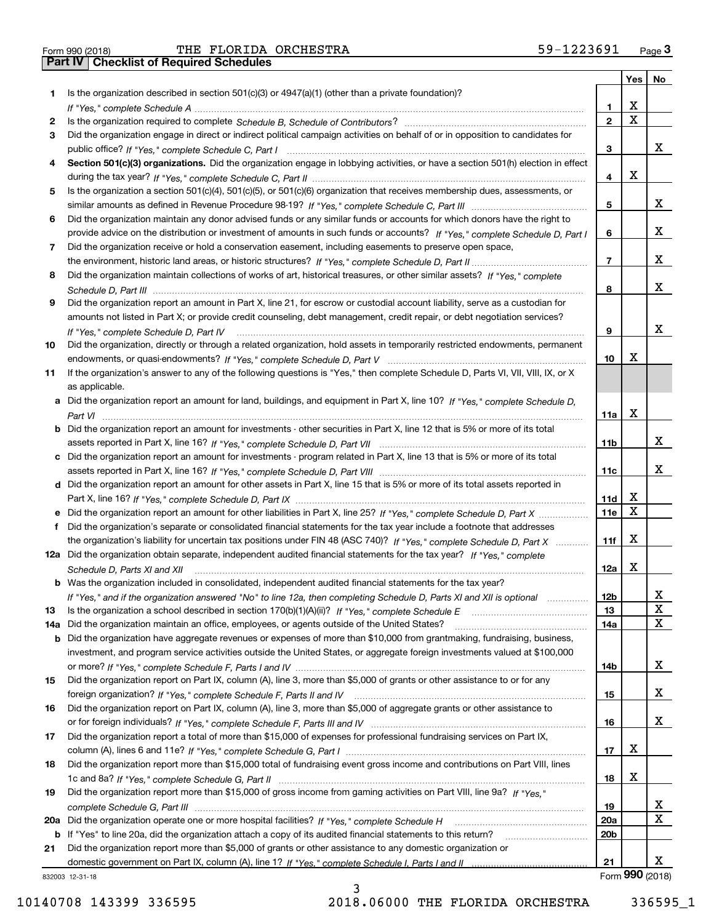Form 990 (2018) THE FLORIDA ORCHESTRA 59-1223691 <sub>Page</sub> 3<br>**Part IV | Checklist of Required Schedules** 

|     |                                                                                                                                      |                 | Yes                     | No              |
|-----|--------------------------------------------------------------------------------------------------------------------------------------|-----------------|-------------------------|-----------------|
| 1.  | Is the organization described in section $501(c)(3)$ or $4947(a)(1)$ (other than a private foundation)?                              |                 |                         |                 |
|     |                                                                                                                                      | 1               | X                       |                 |
| 2   |                                                                                                                                      | $\overline{2}$  | $\overline{\mathbf{x}}$ |                 |
| 3   | Did the organization engage in direct or indirect political campaign activities on behalf of or in opposition to candidates for      |                 |                         |                 |
|     |                                                                                                                                      | 3               |                         | x               |
| 4   | Section 501(c)(3) organizations. Did the organization engage in lobbying activities, or have a section 501(h) election in effect     |                 |                         |                 |
|     |                                                                                                                                      | 4               | X                       |                 |
| 5   | Is the organization a section 501(c)(4), 501(c)(5), or 501(c)(6) organization that receives membership dues, assessments, or         |                 |                         |                 |
|     |                                                                                                                                      | 5               |                         | x               |
| 6   | Did the organization maintain any donor advised funds or any similar funds or accounts for which donors have the right to            |                 |                         |                 |
|     | provide advice on the distribution or investment of amounts in such funds or accounts? If "Yes," complete Schedule D, Part I         | 6               |                         | x               |
| 7   | Did the organization receive or hold a conservation easement, including easements to preserve open space,                            |                 |                         |                 |
|     |                                                                                                                                      | $\overline{7}$  |                         | X               |
| 8   | Did the organization maintain collections of works of art, historical treasures, or other similar assets? If "Yes," complete         |                 |                         |                 |
|     |                                                                                                                                      | 8               |                         | x               |
| 9   | Did the organization report an amount in Part X, line 21, for escrow or custodial account liability, serve as a custodian for        |                 |                         |                 |
|     | amounts not listed in Part X; or provide credit counseling, debt management, credit repair, or debt negotiation services?            |                 |                         |                 |
|     | If "Yes," complete Schedule D, Part IV                                                                                               | 9               |                         | x               |
| 10  | Did the organization, directly or through a related organization, hold assets in temporarily restricted endowments, permanent        |                 |                         |                 |
|     |                                                                                                                                      | 10              | х                       |                 |
| 11  | If the organization's answer to any of the following questions is "Yes," then complete Schedule D, Parts VI, VII, VIII, IX, or X     |                 |                         |                 |
|     | as applicable.                                                                                                                       |                 |                         |                 |
|     | a Did the organization report an amount for land, buildings, and equipment in Part X, line 10? If "Yes." complete Schedule D.        |                 |                         |                 |
|     |                                                                                                                                      | 11a             | X                       |                 |
|     | <b>b</b> Did the organization report an amount for investments - other securities in Part X, line 12 that is 5% or more of its total |                 |                         |                 |
|     |                                                                                                                                      | 11b             |                         | x               |
|     | c Did the organization report an amount for investments - program related in Part X, line 13 that is 5% or more of its total         |                 |                         |                 |
|     |                                                                                                                                      | 11c             |                         | x               |
|     | d Did the organization report an amount for other assets in Part X, line 15 that is 5% or more of its total assets reported in       |                 |                         |                 |
|     |                                                                                                                                      | 11d             | x                       |                 |
|     | e Did the organization report an amount for other liabilities in Part X, line 25? If "Yes," complete Schedule D, Part X              | 11e             | $\mathbf X$             |                 |
| f   | Did the organization's separate or consolidated financial statements for the tax year include a footnote that addresses              |                 |                         |                 |
|     | the organization's liability for uncertain tax positions under FIN 48 (ASC 740)? If "Yes," complete Schedule D, Part X               | 11f             | X                       |                 |
|     | 12a Did the organization obtain separate, independent audited financial statements for the tax year? If "Yes," complete              |                 |                         |                 |
|     | Schedule D, Parts XI and XII                                                                                                         | 12a             | х                       |                 |
|     | <b>b</b> Was the organization included in consolidated, independent audited financial statements for the tax year?                   |                 |                         |                 |
|     | If "Yes," and if the organization answered "No" to line 12a, then completing Schedule D, Parts XI and XII is optional                | 120             |                         | ▵               |
| 13  |                                                                                                                                      | 13              |                         | X               |
| 14a | Did the organization maintain an office, employees, or agents outside of the United States?                                          | 14a             |                         | $\mathbf X$     |
|     | <b>b</b> Did the organization have aggregate revenues or expenses of more than \$10,000 from grantmaking, fundraising, business,     |                 |                         |                 |
|     | investment, and program service activities outside the United States, or aggregate foreign investments valued at \$100,000           |                 |                         |                 |
|     |                                                                                                                                      | 14b             |                         | X               |
| 15  | Did the organization report on Part IX, column (A), line 3, more than \$5,000 of grants or other assistance to or for any            |                 |                         |                 |
|     |                                                                                                                                      | 15              |                         | x               |
| 16  | Did the organization report on Part IX, column (A), line 3, more than \$5,000 of aggregate grants or other assistance to             |                 |                         |                 |
|     |                                                                                                                                      | 16              |                         | x               |
| 17  | Did the organization report a total of more than \$15,000 of expenses for professional fundraising services on Part IX,              |                 |                         |                 |
|     |                                                                                                                                      | 17              | х                       |                 |
| 18  | Did the organization report more than \$15,000 total of fundraising event gross income and contributions on Part VIII, lines         |                 |                         |                 |
|     |                                                                                                                                      | 18              | х                       |                 |
| 19  | Did the organization report more than \$15,000 of gross income from gaming activities on Part VIII, line 9a? If "Yes."               |                 |                         |                 |
|     |                                                                                                                                      | 19              |                         | х               |
|     |                                                                                                                                      | 20a             |                         | $\mathbf X$     |
|     | <b>b</b> If "Yes" to line 20a, did the organization attach a copy of its audited financial statements to this return?                | 20 <sub>b</sub> |                         |                 |
| 21  | Did the organization report more than \$5,000 of grants or other assistance to any domestic organization or                          |                 |                         |                 |
|     |                                                                                                                                      | 21              |                         | x               |
|     | 332003 12-31-18                                                                                                                      |                 |                         | Form 990 (2018) |
|     | ٦                                                                                                                                    |                 |                         |                 |

832003 12-31-18

10140708 143399 336595 2018.06000 THE FLORIDA ORCHESTRA 336595\_1

3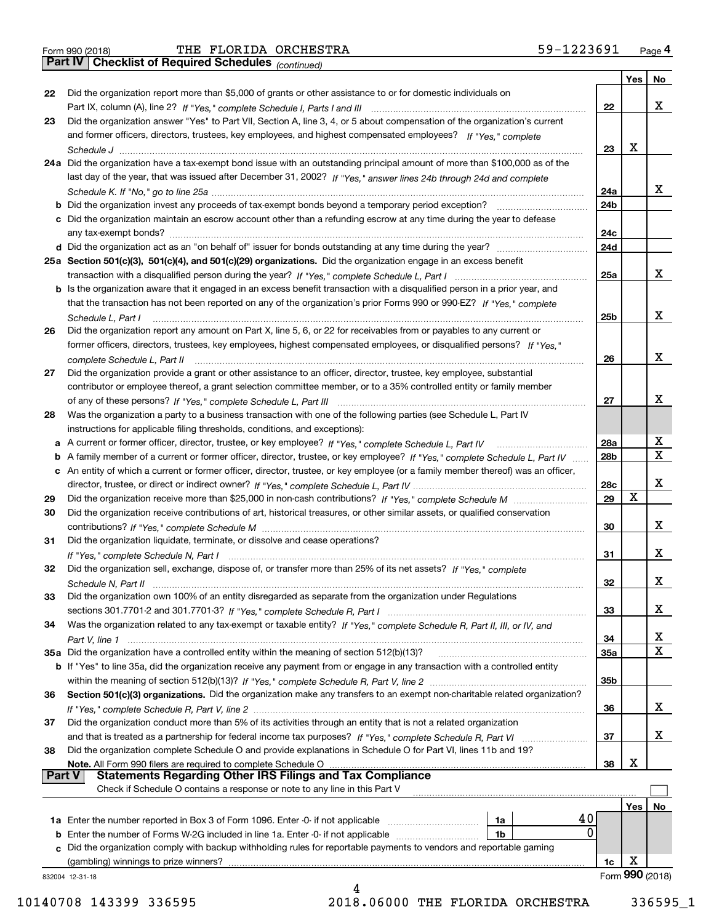*(continued)*

| 22             |                                                                                                                                   |                 | Yes                  | No                                                 |  |  |  |  |
|----------------|-----------------------------------------------------------------------------------------------------------------------------------|-----------------|----------------------|----------------------------------------------------|--|--|--|--|
|                | Did the organization report more than \$5,000 of grants or other assistance to or for domestic individuals on                     |                 |                      |                                                    |  |  |  |  |
|                |                                                                                                                                   | 22              |                      | X                                                  |  |  |  |  |
| 23             | Did the organization answer "Yes" to Part VII, Section A, line 3, 4, or 5 about compensation of the organization's current        |                 |                      |                                                    |  |  |  |  |
|                | and former officers, directors, trustees, key employees, and highest compensated employees? If "Yes," complete                    |                 |                      |                                                    |  |  |  |  |
|                |                                                                                                                                   | 23              | x                    |                                                    |  |  |  |  |
|                | 24a Did the organization have a tax-exempt bond issue with an outstanding principal amount of more than \$100,000 as of the       |                 |                      |                                                    |  |  |  |  |
|                | last day of the year, that was issued after December 31, 2002? If "Yes," answer lines 24b through 24d and complete                |                 |                      |                                                    |  |  |  |  |
|                |                                                                                                                                   |                 |                      |                                                    |  |  |  |  |
|                |                                                                                                                                   | 24 <sub>b</sub> |                      |                                                    |  |  |  |  |
|                | c Did the organization maintain an escrow account other than a refunding escrow at any time during the year to defease            |                 |                      |                                                    |  |  |  |  |
|                |                                                                                                                                   | 24c             |                      |                                                    |  |  |  |  |
|                |                                                                                                                                   | 24d             |                      |                                                    |  |  |  |  |
|                | 25a Section 501(c)(3), 501(c)(4), and 501(c)(29) organizations. Did the organization engage in an excess benefit                  |                 |                      |                                                    |  |  |  |  |
|                |                                                                                                                                   | 25a             |                      | X                                                  |  |  |  |  |
|                | b Is the organization aware that it engaged in an excess benefit transaction with a disqualified person in a prior year, and      |                 |                      |                                                    |  |  |  |  |
|                | that the transaction has not been reported on any of the organization's prior Forms 990 or 990-EZ? If "Yes," complete             |                 |                      |                                                    |  |  |  |  |
|                | Schedule L, Part I                                                                                                                | 25b             |                      | X                                                  |  |  |  |  |
| 26             | Did the organization report any amount on Part X, line 5, 6, or 22 for receivables from or payables to any current or             |                 |                      |                                                    |  |  |  |  |
|                | former officers, directors, trustees, key employees, highest compensated employees, or disqualified persons? If "Yes."            |                 |                      |                                                    |  |  |  |  |
|                |                                                                                                                                   | 26              |                      | X                                                  |  |  |  |  |
| 27             | Did the organization provide a grant or other assistance to an officer, director, trustee, key employee, substantial              |                 |                      |                                                    |  |  |  |  |
|                | contributor or employee thereof, a grant selection committee member, or to a 35% controlled entity or family member               |                 |                      |                                                    |  |  |  |  |
|                |                                                                                                                                   | 27              |                      | х                                                  |  |  |  |  |
|                |                                                                                                                                   |                 |                      |                                                    |  |  |  |  |
| 28             | Was the organization a party to a business transaction with one of the following parties (see Schedule L, Part IV                 |                 |                      |                                                    |  |  |  |  |
|                | instructions for applicable filing thresholds, conditions, and exceptions):                                                       |                 |                      |                                                    |  |  |  |  |
|                |                                                                                                                                   | 28a             |                      | $\overline{\mathbf{X}}$<br>$\overline{\textbf{x}}$ |  |  |  |  |
|                | b A family member of a current or former officer, director, trustee, or key employee? If "Yes," complete Schedule L, Part IV      | 28b             |                      |                                                    |  |  |  |  |
|                | c An entity of which a current or former officer, director, trustee, or key employee (or a family member thereof) was an officer, |                 |                      |                                                    |  |  |  |  |
|                |                                                                                                                                   | 28c             |                      | X                                                  |  |  |  |  |
| 29             |                                                                                                                                   | 29              | X                    |                                                    |  |  |  |  |
| 30             | Did the organization receive contributions of art, historical treasures, or other similar assets, or qualified conservation       |                 |                      |                                                    |  |  |  |  |
|                |                                                                                                                                   | 30              |                      | X                                                  |  |  |  |  |
| 31             | Did the organization liquidate, terminate, or dissolve and cease operations?                                                      |                 |                      |                                                    |  |  |  |  |
|                |                                                                                                                                   | 31              |                      | X                                                  |  |  |  |  |
|                |                                                                                                                                   |                 |                      |                                                    |  |  |  |  |
|                | Did the organization sell, exchange, dispose of, or transfer more than 25% of its net assets? If "Yes." complete                  |                 |                      |                                                    |  |  |  |  |
|                |                                                                                                                                   | 32              |                      | X                                                  |  |  |  |  |
| 33             | Did the organization own 100% of an entity disregarded as separate from the organization under Regulations                        |                 |                      |                                                    |  |  |  |  |
|                |                                                                                                                                   | 33              |                      | X                                                  |  |  |  |  |
| 32<br>34       |                                                                                                                                   |                 |                      |                                                    |  |  |  |  |
|                | Was the organization related to any tax-exempt or taxable entity? If "Yes," complete Schedule R, Part II, III, or IV, and         |                 |                      |                                                    |  |  |  |  |
|                |                                                                                                                                   | 34              |                      | $\overline{\mathbf{x}}$                            |  |  |  |  |
|                |                                                                                                                                   | 35a             |                      | $\overline{\mathbf{x}}$                            |  |  |  |  |
|                | b If "Yes" to line 35a, did the organization receive any payment from or engage in any transaction with a controlled entity       |                 |                      |                                                    |  |  |  |  |
|                |                                                                                                                                   | 35 <sub>b</sub> |                      |                                                    |  |  |  |  |
|                | Section 501(c)(3) organizations. Did the organization make any transfers to an exempt non-charitable related organization?        |                 |                      |                                                    |  |  |  |  |
|                |                                                                                                                                   | 36              |                      |                                                    |  |  |  |  |
|                | Did the organization conduct more than 5% of its activities through an entity that is not a related organization                  |                 |                      |                                                    |  |  |  |  |
|                |                                                                                                                                   | 37              |                      | X<br>X                                             |  |  |  |  |
|                | Did the organization complete Schedule O and provide explanations in Schedule O for Part VI, lines 11b and 19?                    |                 |                      |                                                    |  |  |  |  |
|                | Note. All Form 990 filers are required to complete Schedule O                                                                     | 38              | Х                    |                                                    |  |  |  |  |
|                | <b>Statements Regarding Other IRS Filings and Tax Compliance</b><br><b>Part V</b>                                                 |                 |                      |                                                    |  |  |  |  |
|                | Check if Schedule O contains a response or note to any line in this Part V                                                        |                 |                      |                                                    |  |  |  |  |
| 36<br>37<br>38 |                                                                                                                                   |                 | <b>Yes</b>           |                                                    |  |  |  |  |
|                | 40<br>1a<br><b>1a</b> Enter the number reported in Box 3 of Form 1096. Enter -0- if not applicable <i>manumumumum</i>             |                 |                      | No                                                 |  |  |  |  |
|                | 0<br>1b<br><b>b</b> Enter the number of Forms W-2G included in line 1a. Enter -0- if not applicable                               |                 |                      |                                                    |  |  |  |  |
|                | c Did the organization comply with backup withholding rules for reportable payments to vendors and reportable gaming              |                 |                      |                                                    |  |  |  |  |
|                | (gambling) winnings to prize winners?                                                                                             | 1c              | x<br>Form 990 (2018) |                                                    |  |  |  |  |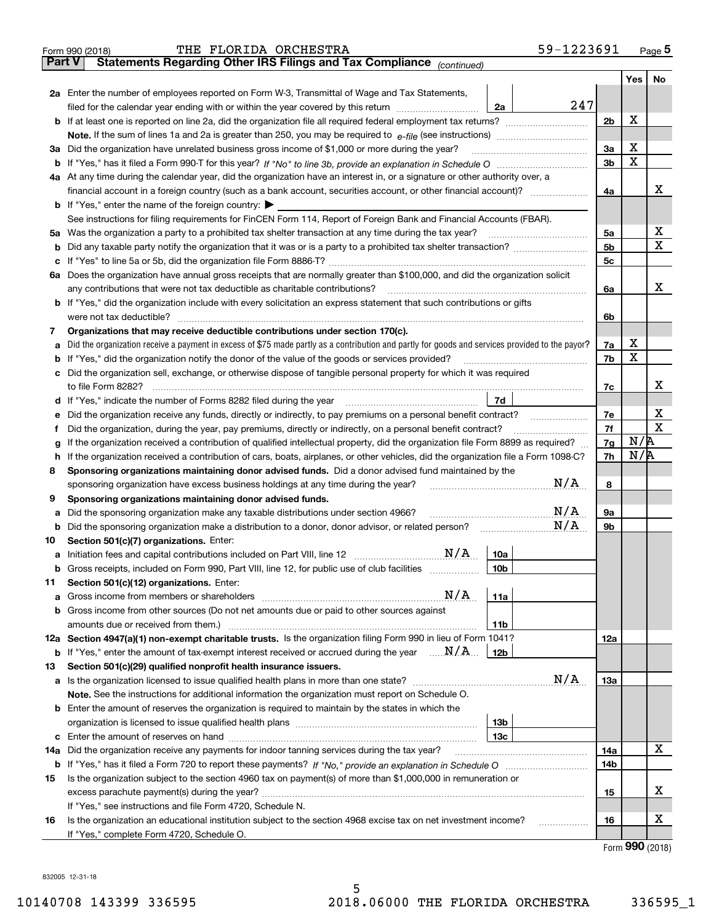|               | 59-1223691<br>THE FLORIDA ORCHESTRA<br>Form 990 (2018)                                                                                                                                                                                                                                                                                                    |                |                             | $Page$ <sup>5</sup> |  |  |  |  |
|---------------|-----------------------------------------------------------------------------------------------------------------------------------------------------------------------------------------------------------------------------------------------------------------------------------------------------------------------------------------------------------|----------------|-----------------------------|---------------------|--|--|--|--|
| <b>Part V</b> | Statements Regarding Other IRS Filings and Tax Compliance (continued)                                                                                                                                                                                                                                                                                     |                |                             |                     |  |  |  |  |
|               |                                                                                                                                                                                                                                                                                                                                                           |                | Yes                         | No                  |  |  |  |  |
|               | 2a Enter the number of employees reported on Form W-3, Transmittal of Wage and Tax Statements,                                                                                                                                                                                                                                                            |                |                             |                     |  |  |  |  |
|               | 247<br>filed for the calendar year ending with or within the year covered by this return [11] [11] the calendar year ending with or within the year covered by this return<br>2a                                                                                                                                                                          |                |                             |                     |  |  |  |  |
|               |                                                                                                                                                                                                                                                                                                                                                           | 2 <sub>b</sub> | х                           |                     |  |  |  |  |
|               |                                                                                                                                                                                                                                                                                                                                                           |                | X                           |                     |  |  |  |  |
|               | 3a Did the organization have unrelated business gross income of \$1,000 or more during the year?                                                                                                                                                                                                                                                          |                |                             |                     |  |  |  |  |
|               |                                                                                                                                                                                                                                                                                                                                                           |                |                             |                     |  |  |  |  |
|               | 4a At any time during the calendar year, did the organization have an interest in, or a signature or other authority over, a                                                                                                                                                                                                                              |                |                             |                     |  |  |  |  |
|               | financial account in a foreign country (such as a bank account, securities account, or other financial account)?                                                                                                                                                                                                                                          | 4a             |                             | x                   |  |  |  |  |
|               | <b>b</b> If "Yes," enter the name of the foreign country: $\blacktriangleright$                                                                                                                                                                                                                                                                           |                |                             |                     |  |  |  |  |
|               | See instructions for filing requirements for FinCEN Form 114, Report of Foreign Bank and Financial Accounts (FBAR).                                                                                                                                                                                                                                       |                |                             |                     |  |  |  |  |
|               | 5a Was the organization a party to a prohibited tax shelter transaction at any time during the tax year?                                                                                                                                                                                                                                                  | 5a             |                             | х                   |  |  |  |  |
|               |                                                                                                                                                                                                                                                                                                                                                           | 5 <sub>b</sub> |                             | Х                   |  |  |  |  |
|               |                                                                                                                                                                                                                                                                                                                                                           | 5c             |                             |                     |  |  |  |  |
|               | 6a Does the organization have annual gross receipts that are normally greater than \$100,000, and did the organization solicit                                                                                                                                                                                                                            |                |                             |                     |  |  |  |  |
|               | any contributions that were not tax deductible as charitable contributions?                                                                                                                                                                                                                                                                               | 6a             |                             | x                   |  |  |  |  |
|               | <b>b</b> If "Yes," did the organization include with every solicitation an express statement that such contributions or gifts                                                                                                                                                                                                                             |                |                             |                     |  |  |  |  |
|               | were not tax deductible?                                                                                                                                                                                                                                                                                                                                  | 6b             |                             |                     |  |  |  |  |
| 7             | Organizations that may receive deductible contributions under section 170(c).                                                                                                                                                                                                                                                                             |                |                             |                     |  |  |  |  |
| а             | Did the organization receive a payment in excess of \$75 made partly as a contribution and partly for goods and services provided to the payor?                                                                                                                                                                                                           | 7a             | х                           |                     |  |  |  |  |
|               | <b>b</b> If "Yes," did the organization notify the donor of the value of the goods or services provided?                                                                                                                                                                                                                                                  | 7b             | X                           |                     |  |  |  |  |
|               | c Did the organization sell, exchange, or otherwise dispose of tangible personal property for which it was required                                                                                                                                                                                                                                       |                |                             |                     |  |  |  |  |
|               | to file Form 8282?                                                                                                                                                                                                                                                                                                                                        | 7c             |                             | x                   |  |  |  |  |
|               | 7d                                                                                                                                                                                                                                                                                                                                                        |                |                             |                     |  |  |  |  |
|               | e Did the organization receive any funds, directly or indirectly, to pay premiums on a personal benefit contract?                                                                                                                                                                                                                                         | 7e             |                             | х                   |  |  |  |  |
|               | Did the organization, during the year, pay premiums, directly or indirectly, on a personal benefit contract?                                                                                                                                                                                                                                              | 7f             |                             | X                   |  |  |  |  |
| g             | If the organization received a contribution of qualified intellectual property, did the organization file Form 8899 as required?                                                                                                                                                                                                                          | 7g             | N/R                         |                     |  |  |  |  |
|               | h If the organization received a contribution of cars, boats, airplanes, or other vehicles, did the organization file a Form 1098-C?                                                                                                                                                                                                                      | 7h             | N/R                         |                     |  |  |  |  |
| 8             | Sponsoring organizations maintaining donor advised funds. Did a donor advised fund maintained by the                                                                                                                                                                                                                                                      |                |                             |                     |  |  |  |  |
|               | N/A<br>sponsoring organization have excess business holdings at any time during the year?                                                                                                                                                                                                                                                                 | 8              |                             |                     |  |  |  |  |
| 9             | Sponsoring organizations maintaining donor advised funds.                                                                                                                                                                                                                                                                                                 |                |                             |                     |  |  |  |  |
| а             | N/A<br>Did the sponsoring organization make any taxable distributions under section 4966?<br>N/A                                                                                                                                                                                                                                                          | 9a             |                             |                     |  |  |  |  |
|               |                                                                                                                                                                                                                                                                                                                                                           | 9b             |                             |                     |  |  |  |  |
| 10            | Section 501(c)(7) organizations. Enter:<br>a Initiation fees and capital contributions included on Part VIII, line 12 $\ldots$ $\ldots$ $\ldots$ $\ldots$ $\ldots$ $\ldots$ $\ldots$ $\ldots$ $\ldots$ $\ldots$ $\ldots$ $\ldots$ $\ldots$ $\ldots$ $\ldots$ $\ldots$ $\ldots$ $\ldots$ $\ldots$ $\ldots$ $\ldots$ $\ldots$ $\ldots$ $\ldots$ $\$<br> 10a |                |                             |                     |  |  |  |  |
|               |                                                                                                                                                                                                                                                                                                                                                           |                |                             |                     |  |  |  |  |
| 11            | <b>b</b> Gross receipts, included on Form 990, Part VIII, line 12, for public use of club facilities <i>manument</i><br>10b<br>Section 501(c)(12) organizations. Enter:                                                                                                                                                                                   |                |                             |                     |  |  |  |  |
|               | <b>a</b> Gross income from members or shareholders $\ldots$ $\ldots$ $\ldots$ $\ldots$ $\ldots$ $\ldots$ $\ldots$ $\ldots$ $\ldots$ $\ldots$ $\ldots$ $\ldots$ $\ldots$ $\ldots$ $\ldots$ $\ldots$ $\ldots$ $\ldots$ $\ldots$ $\ldots$ $\ldots$ $\ldots$ $\ldots$ $\ldots$ $\ldots$ $\ldots$ $\ldots$ $\ldots$ $\ldots$<br>11a                            |                |                             |                     |  |  |  |  |
|               | <b>b</b> Gross income from other sources (Do not net amounts due or paid to other sources against                                                                                                                                                                                                                                                         |                |                             |                     |  |  |  |  |
|               | amounts due or received from them.)<br>11b                                                                                                                                                                                                                                                                                                                |                |                             |                     |  |  |  |  |
|               | 12a Section 4947(a)(1) non-exempt charitable trusts. Is the organization filing Form 990 in lieu of Form 1041?                                                                                                                                                                                                                                            | 12a            |                             |                     |  |  |  |  |
|               | <b>b</b> If "Yes," enter the amount of tax-exempt interest received or accrued during the year $\ldots \mathbf{N}/\mathbf{A}$ .<br>12b                                                                                                                                                                                                                    |                |                             |                     |  |  |  |  |
| 13            | Section 501(c)(29) qualified nonprofit health insurance issuers.                                                                                                                                                                                                                                                                                          |                |                             |                     |  |  |  |  |
|               | N/A<br>a Is the organization licensed to issue qualified health plans in more than one state?                                                                                                                                                                                                                                                             | 13а            |                             |                     |  |  |  |  |
|               | Note. See the instructions for additional information the organization must report on Schedule O.                                                                                                                                                                                                                                                         |                |                             |                     |  |  |  |  |
|               | <b>b</b> Enter the amount of reserves the organization is required to maintain by the states in which the                                                                                                                                                                                                                                                 |                |                             |                     |  |  |  |  |
|               | 13 <sub>b</sub>                                                                                                                                                                                                                                                                                                                                           |                |                             |                     |  |  |  |  |
|               | 13с                                                                                                                                                                                                                                                                                                                                                       |                |                             |                     |  |  |  |  |
| 14a           | Did the organization receive any payments for indoor tanning services during the tax year?                                                                                                                                                                                                                                                                | 14a            |                             | х                   |  |  |  |  |
|               |                                                                                                                                                                                                                                                                                                                                                           | 14b            |                             |                     |  |  |  |  |
| 15            | Is the organization subject to the section 4960 tax on payment(s) of more than \$1,000,000 in remuneration or                                                                                                                                                                                                                                             |                |                             |                     |  |  |  |  |
|               |                                                                                                                                                                                                                                                                                                                                                           | 15             |                             | х                   |  |  |  |  |
|               | If "Yes," see instructions and file Form 4720, Schedule N.                                                                                                                                                                                                                                                                                                |                |                             |                     |  |  |  |  |
| 16            | Is the organization an educational institution subject to the section 4968 excise tax on net investment income?<br>.                                                                                                                                                                                                                                      | 16             |                             | х                   |  |  |  |  |
|               | If "Yes," complete Form 4720, Schedule O.                                                                                                                                                                                                                                                                                                                 |                |                             |                     |  |  |  |  |
|               |                                                                                                                                                                                                                                                                                                                                                           |                | $F_{\text{arm}}$ 990 (2019) |                     |  |  |  |  |

Form (2018) **990**

832005 12-31-18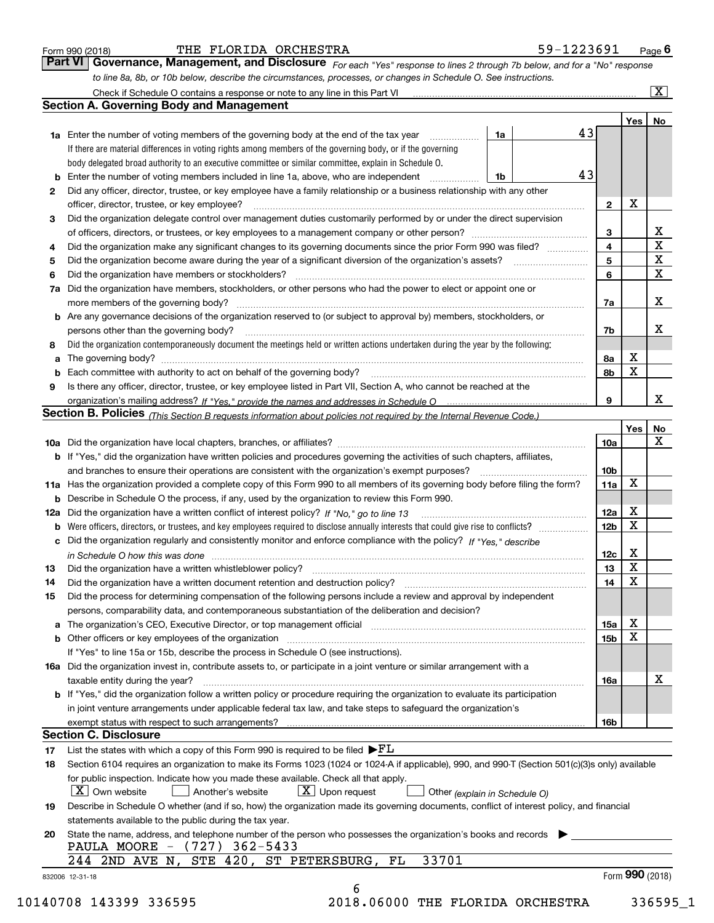|  | Form 990 (2018) |  |
|--|-----------------|--|
|  |                 |  |

### THE FLORIDA ORCHESTRA 59-1223691

*For each "Yes" response to lines 2 through 7b below, and for a "No" response to line 8a, 8b, or 10b below, describe the circumstances, processes, or changes in Schedule O. See instructions.* Form 990 (2018) **CONTELLEM ELORIDA ORCHESTRA** 59-1223691 Page 6<br>**Part VI Governance, Management, and Disclosure** For each "Yes" response to lines 2 through 7b below, and for a "No" response

|     |                                                                                                                                                                            |                               |                 | Yes         | No                      |
|-----|----------------------------------------------------------------------------------------------------------------------------------------------------------------------------|-------------------------------|-----------------|-------------|-------------------------|
|     | <b>1a</b> Enter the number of voting members of the governing body at the end of the tax year<br>.                                                                         | 1a                            | 43              |             |                         |
|     | If there are material differences in voting rights among members of the governing body, or if the governing                                                                |                               |                 |             |                         |
|     | body delegated broad authority to an executive committee or similar committee, explain in Schedule O.                                                                      |                               |                 |             |                         |
|     | <b>b</b> Enter the number of voting members included in line 1a, above, who are independent <i>manumum</i>                                                                 | 1b                            | 43              |             |                         |
| 2   | Did any officer, director, trustee, or key employee have a family relationship or a business relationship with any other                                                   |                               |                 |             |                         |
|     | officer, director, trustee, or key employee?                                                                                                                               |                               | $\mathbf{2}$    | X           |                         |
| 3   | Did the organization delegate control over management duties customarily performed by or under the direct supervision                                                      |                               |                 |             |                         |
|     |                                                                                                                                                                            |                               | 3               |             | х                       |
| 4   | Did the organization make any significant changes to its governing documents since the prior Form 990 was filed?                                                           |                               | 4               |             | $\overline{\texttt{x}}$ |
| 5   |                                                                                                                                                                            |                               | 5               |             | $\overline{\mathbf{x}}$ |
| 6   | Did the organization have members or stockholders?                                                                                                                         |                               | 6               |             | $\overline{\mathbf{x}}$ |
| 7a  | Did the organization have members, stockholders, or other persons who had the power to elect or appoint one or                                                             |                               |                 |             |                         |
|     |                                                                                                                                                                            |                               | 7a              |             | X                       |
|     | <b>b</b> Are any governance decisions of the organization reserved to (or subject to approval by) members, stockholders, or                                                |                               |                 |             |                         |
|     | persons other than the governing body?                                                                                                                                     |                               | 7b              |             | x                       |
| 8   | Did the organization contemporaneously document the meetings held or written actions undertaken during the year by the following:                                          |                               |                 |             |                         |
| a   |                                                                                                                                                                            |                               | 8a              | х           |                         |
|     |                                                                                                                                                                            |                               | 8b              | X           |                         |
| 9   | Is there any officer, director, trustee, or key employee listed in Part VII, Section A, who cannot be reached at the                                                       |                               |                 |             |                         |
|     |                                                                                                                                                                            |                               | 9               |             | x                       |
|     | Section B. Policies (This Section B requests information about policies not required by the Internal Revenue Code.)                                                        |                               |                 |             |                         |
|     |                                                                                                                                                                            |                               |                 | Yes         | No                      |
|     |                                                                                                                                                                            |                               | 10a             |             | $\mathbf X$             |
|     | b If "Yes," did the organization have written policies and procedures governing the activities of such chapters, affiliates,                                               |                               |                 |             |                         |
|     |                                                                                                                                                                            |                               | 10 <sub>b</sub> |             |                         |
|     | 11a Has the organization provided a complete copy of this Form 990 to all members of its governing body before filing the form?                                            |                               | 11a             | X           |                         |
|     | <b>b</b> Describe in Schedule O the process, if any, used by the organization to review this Form 990.                                                                     |                               |                 |             |                         |
| 12a |                                                                                                                                                                            |                               | 12a             | х           |                         |
| b   |                                                                                                                                                                            |                               | 12 <sub>b</sub> | $\mathbf X$ |                         |
|     | c Did the organization regularly and consistently monitor and enforce compliance with the policy? If "Yes." describe                                                       |                               |                 |             |                         |
|     | in Schedule O how this was done www.communication.com/www.communications.com/www.communications.com/                                                                       |                               | 12c             | х           |                         |
| 13  |                                                                                                                                                                            |                               | 13              | X           |                         |
| 14  | Did the organization have a written document retention and destruction policy? manufactured and the organization have a written document retention and destruction policy? |                               | 14              | $\mathbf X$ |                         |
| 15  | Did the process for determining compensation of the following persons include a review and approval by independent                                                         |                               |                 |             |                         |
|     | persons, comparability data, and contemporaneous substantiation of the deliberation and decision?                                                                          |                               |                 |             |                         |
|     |                                                                                                                                                                            |                               | 15a             | х           |                         |
|     | <b>b</b> Other officers or key employees of the organization                                                                                                               |                               | 15 <sub>b</sub> | X           |                         |
|     | If "Yes" to line 15a or 15b, describe the process in Schedule O (see instructions).                                                                                        |                               |                 |             |                         |
|     | 16a Did the organization invest in, contribute assets to, or participate in a joint venture or similar arrangement with a                                                  |                               |                 |             |                         |
|     | taxable entity during the year?                                                                                                                                            |                               | 16a             |             | х                       |
|     | <b>b</b> If "Yes," did the organization follow a written policy or procedure requiring the organization to evaluate its participation                                      |                               |                 |             |                         |
|     | in joint venture arrangements under applicable federal tax law, and take steps to safeguard the organization's                                                             |                               |                 |             |                         |
|     | exempt status with respect to such arrangements?                                                                                                                           |                               | 16b             |             |                         |
|     | <b>Section C. Disclosure</b>                                                                                                                                               |                               |                 |             |                         |
| 17  | List the states with which a copy of this Form 990 is required to be filed $\blacktriangleright$ FL                                                                        |                               |                 |             |                         |
| 18  | Section 6104 requires an organization to make its Forms 1023 (1024 or 1024-A if applicable), 990, and 990-T (Section 501(c)(3)s only) available                            |                               |                 |             |                         |
|     | for public inspection. Indicate how you made these available. Check all that apply.                                                                                        |                               |                 |             |                         |
|     | $\boxed{\text{X}}$ Own website<br>$X$ Upon request<br>Another's website                                                                                                    | Other (explain in Schedule O) |                 |             |                         |
| 19  | Describe in Schedule O whether (and if so, how) the organization made its governing documents, conflict of interest policy, and financial                                  |                               |                 |             |                         |
|     | statements available to the public during the tax year.                                                                                                                    |                               |                 |             |                         |
| 20  | State the name, address, and telephone number of the person who possesses the organization's books and records                                                             |                               |                 |             |                         |
|     | PAULA MOORE - (727) 362-5433<br>2ND AVE N, STE 420, ST PETERSBURG, FL<br>33701                                                                                             |                               |                 |             |                         |
|     | 244                                                                                                                                                                        |                               |                 |             |                         |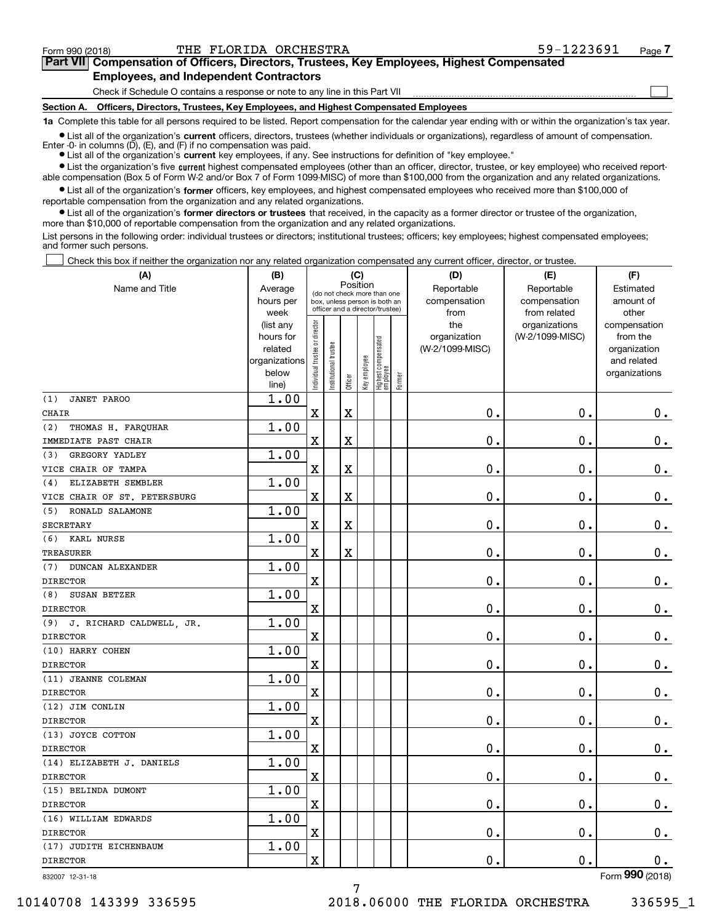$\mathcal{L}^{\text{max}}$ 

| Form 990 (2018) |                                               | THE FLORIDA ORCHESTRA | 59-1223691                                                                                 | Page $\prime$ |
|-----------------|-----------------------------------------------|-----------------------|--------------------------------------------------------------------------------------------|---------------|
|                 |                                               |                       | Part VII Compensation of Officers, Directors, Trustees, Key Employees, Highest Compensated |               |
|                 | <b>Employees, and Independent Contractors</b> |                       |                                                                                            |               |

Check if Schedule O contains a response or note to any line in this Part VII

**Section A. Officers, Directors, Trustees, Key Employees, and Highest Compensated Employees**

**1a**  Complete this table for all persons required to be listed. Report compensation for the calendar year ending with or within the organization's tax year.

**•** List all of the organization's current officers, directors, trustees (whether individuals or organizations), regardless of amount of compensation. Enter -0- in columns  $(D)$ ,  $(E)$ , and  $(F)$  if no compensation was paid.

● List all of the organization's **current** key employees, if any. See instructions for definition of "key employee."

· List the organization's five current highest compensated employees (other than an officer, director, trustee, or key employee) who received report-■ List the organization's five current highest compensated employees (other than an officer, director, trustee, or key employee) who received report-<br>able compensation (Box 5 of Form W-2 and/or Box 7 of Form 1099-MISC) of

 $\bullet$  List all of the organization's **former** officers, key employees, and highest compensated employees who received more than \$100,000 of reportable compensation from the organization and any related organizations.

**•** List all of the organization's former directors or trustees that received, in the capacity as a former director or trustee of the organization, more than \$10,000 of reportable compensation from the organization and any related organizations.

List persons in the following order: individual trustees or directors; institutional trustees; officers; key employees; highest compensated employees; and former such persons.

Check this box if neither the organization nor any related organization compensated any current officer, director, or trustee.  $\mathcal{L}^{\text{max}}$ 

| (A)                             | (C)<br>(B)             |                                |                                                                  |                         |              |                                  |        | (D)                             | (E)                              | (F)                      |
|---------------------------------|------------------------|--------------------------------|------------------------------------------------------------------|-------------------------|--------------|----------------------------------|--------|---------------------------------|----------------------------------|--------------------------|
| Name and Title                  | Average                |                                | (do not check more than one                                      |                         | Position     |                                  |        | Reportable                      | Reportable                       | Estimated                |
|                                 | hours per              |                                | box, unless person is both an<br>officer and a director/trustee) |                         |              |                                  |        | compensation                    | compensation                     | amount of                |
|                                 | week                   |                                |                                                                  |                         |              |                                  |        | from                            | from related                     | other                    |
|                                 | (list any<br>hours for |                                |                                                                  |                         |              |                                  |        | the                             | organizations<br>(W-2/1099-MISC) | compensation<br>from the |
|                                 | related                |                                |                                                                  |                         |              |                                  |        | organization<br>(W-2/1099-MISC) |                                  | organization             |
|                                 | organizations          |                                |                                                                  |                         |              |                                  |        |                                 |                                  | and related              |
|                                 | below                  | Individual trustee or director | Institutional trustee                                            |                         | Key employee |                                  |        |                                 |                                  | organizations            |
|                                 | line)                  |                                |                                                                  | Officer                 |              | Highest compensated<br> employee | Former |                                 |                                  |                          |
| <b>JANET PAROO</b><br>(1)       | 1.00                   |                                |                                                                  |                         |              |                                  |        |                                 |                                  |                          |
| <b>CHAIR</b>                    |                        | $\rm X$                        |                                                                  | $\mathbf X$             |              |                                  |        | 0.                              | $\mathbf 0$ .                    | 0.                       |
| (2)<br>THOMAS H. FARQUHAR       | 1.00                   |                                |                                                                  |                         |              |                                  |        |                                 |                                  |                          |
| IMMEDIATE PAST CHAIR            |                        | X                              |                                                                  | $\mathbf X$             |              |                                  |        | 0.                              | 0.                               | $\mathbf 0$ .            |
| GREGORY YADLEY<br>(3)           | 1.00                   |                                |                                                                  |                         |              |                                  |        |                                 |                                  |                          |
| VICE CHAIR OF TAMPA             |                        | $\rm X$                        |                                                                  | $\rm X$                 |              |                                  |        | $\mathbf 0$ .                   | $\mathbf 0$ .                    | $\mathbf 0$ .            |
| ELIZABETH SEMBLER<br>(4)        | 1.00                   |                                |                                                                  |                         |              |                                  |        |                                 |                                  |                          |
| VICE CHAIR OF ST. PETERSBURG    |                        | $\overline{\mathbf{X}}$        |                                                                  | $\rm X$                 |              |                                  |        | 0.                              | $\mathbf 0$ .                    | $\mathbf 0$ .            |
| RONALD SALAMONE<br>(5)          | 1.00                   |                                |                                                                  |                         |              |                                  |        |                                 |                                  |                          |
| <b>SECRETARY</b>                |                        | $\overline{\mathbf{X}}$        |                                                                  | $\overline{\mathbf{X}}$ |              |                                  |        | 0.                              | $\mathbf 0$ .                    | $0_{.}$                  |
| (6) KARL NURSE                  | 1.00                   |                                |                                                                  |                         |              |                                  |        |                                 |                                  |                          |
| <b>TREASURER</b>                |                        | $\overline{\mathbf{X}}$        |                                                                  | $\mathbf X$             |              |                                  |        | $\mathbf 0$ .                   | $\mathbf 0$ .                    | $\mathbf 0$ .            |
| <b>DUNCAN ALEXANDER</b><br>(7)  | 1.00                   |                                |                                                                  |                         |              |                                  |        |                                 |                                  |                          |
| <b>DIRECTOR</b>                 |                        | $\overline{\text{X}}$          |                                                                  |                         |              |                                  |        | $\mathbf 0$ .                   | $\mathbf 0$ .                    | $\mathbf 0$ .            |
| SUSAN BETZER<br>(8)             | 1.00                   |                                |                                                                  |                         |              |                                  |        |                                 |                                  |                          |
| <b>DIRECTOR</b>                 |                        | X                              |                                                                  |                         |              |                                  |        | 0.                              | $\mathbf 0$ .                    | $\mathbf 0$ .            |
| (9)<br>J. RICHARD CALDWELL, JR. | 1.00                   |                                |                                                                  |                         |              |                                  |        |                                 |                                  |                          |
| <b>DIRECTOR</b>                 |                        | $\overline{\mathbf{X}}$        |                                                                  |                         |              |                                  |        | 0.                              | 0.                               | $\mathbf 0$ .            |
| (10) HARRY COHEN                | 1.00                   |                                |                                                                  |                         |              |                                  |        |                                 |                                  |                          |
| <b>DIRECTOR</b>                 |                        | $\overline{\text{X}}$          |                                                                  |                         |              |                                  |        | 0.                              | $\mathbf 0$ .                    | $\mathbf 0$ .            |
| (11) JEANNE COLEMAN             | 1.00                   |                                |                                                                  |                         |              |                                  |        |                                 |                                  |                          |
| <b>DIRECTOR</b>                 |                        | $\overline{\mathbf{X}}$        |                                                                  |                         |              |                                  |        | 0.                              | 0.                               | 0.                       |
| (12) JIM CONLIN                 | 1.00                   |                                |                                                                  |                         |              |                                  |        |                                 |                                  |                          |
| <b>DIRECTOR</b>                 |                        | $\overline{\text{X}}$          |                                                                  |                         |              |                                  |        | 0.                              | $\mathbf 0$ .                    | $0_{.}$                  |
| (13) JOYCE COTTON               | 1.00                   |                                |                                                                  |                         |              |                                  |        |                                 |                                  |                          |
| <b>DIRECTOR</b>                 |                        | X                              |                                                                  |                         |              |                                  |        | 0.                              | 0.                               | $\mathbf 0$ .            |
| (14) ELIZABETH J. DANIELS       | 1.00                   |                                |                                                                  |                         |              |                                  |        |                                 |                                  |                          |
| <b>DIRECTOR</b>                 |                        | $\overline{\text{X}}$          |                                                                  |                         |              |                                  |        | $\mathbf 0$ .                   | $\mathbf 0$ .                    | $0$ .                    |
| (15) BELINDA DUMONT             | 1.00                   |                                |                                                                  |                         |              |                                  |        |                                 |                                  |                          |
| <b>DIRECTOR</b>                 |                        | $\overline{\mathbf{X}}$        |                                                                  |                         |              |                                  |        | 0.                              | 0.                               | 0.                       |
| (16) WILLIAM EDWARDS            | 1.00                   |                                |                                                                  |                         |              |                                  |        |                                 |                                  |                          |
| <b>DIRECTOR</b>                 |                        | $\rm X$                        |                                                                  |                         |              |                                  |        | 0.                              | $\mathbf 0$ .                    | $\mathbf 0$ .            |
| (17) JUDITH EICHENBAUM          | 1.00                   |                                |                                                                  |                         |              |                                  |        |                                 |                                  |                          |
| <b>DIRECTOR</b>                 |                        | $\overline{\mathbf{X}}$        |                                                                  |                         |              |                                  |        | 0.                              | $\mathbf 0$ .                    | 0.<br>$\overline{2}$     |

7

832007 12-31-18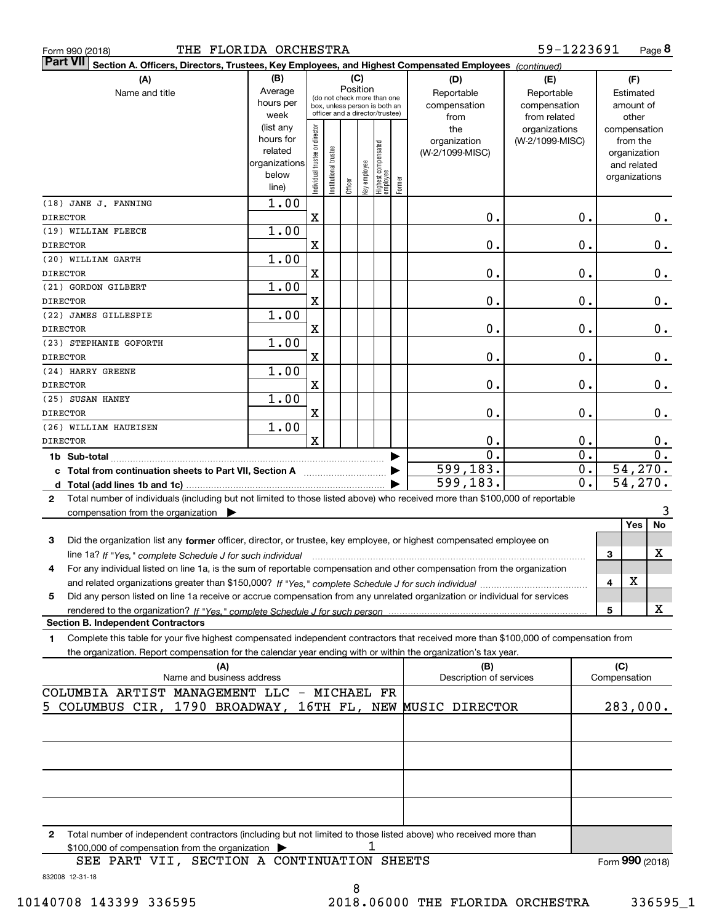| Form 990 (2018) |  |  |
|-----------------|--|--|
|                 |  |  |

| THE FLORIDA ORCHESTRA<br>Form 990 (2018)                                                                                                        |                          |                                |                      |                                         |              |                                  |        |                         | 59-1223691             |   | Page 8                 |
|-------------------------------------------------------------------------------------------------------------------------------------------------|--------------------------|--------------------------------|----------------------|-----------------------------------------|--------------|----------------------------------|--------|-------------------------|------------------------|---|------------------------|
| <b>Part VII</b><br>Section A. Officers, Directors, Trustees, Key Employees, and Highest Compensated Employees (continued)                       |                          |                                |                      |                                         |              |                                  |        |                         |                        |   |                        |
| (A)                                                                                                                                             | (B)                      | (C)                            |                      |                                         |              |                                  |        | (D)                     | (E)                    |   | (F)                    |
| Name and title                                                                                                                                  | Average                  |                                |                      | Position<br>(do not check more than one |              |                                  |        | Reportable              | Reportable             |   | Estimated              |
|                                                                                                                                                 | hours per                |                                |                      | box, unless person is both an           |              |                                  |        | compensation            | compensation           |   | amount of              |
|                                                                                                                                                 | week                     |                                |                      | officer and a director/trustee)         |              |                                  |        | from                    | from related           |   | other                  |
|                                                                                                                                                 | (list any                |                                |                      |                                         |              |                                  |        | the                     | organizations          |   | compensation           |
|                                                                                                                                                 | hours for                |                                |                      |                                         |              |                                  |        | organization            | (W-2/1099-MISC)        |   | from the               |
|                                                                                                                                                 | related<br>organizations |                                |                      |                                         |              |                                  |        | (W-2/1099-MISC)         |                        |   | organization           |
|                                                                                                                                                 | below                    |                                |                      |                                         |              |                                  |        |                         |                        |   | and related            |
|                                                                                                                                                 | line)                    | Individual trustee or director | nstitutional trustee | Officer                                 | Key employee | Highest compensated<br> employee | Former |                         |                        |   | organizations          |
| (18) JANE J. FANNING                                                                                                                            | 1.00                     |                                |                      |                                         |              |                                  |        |                         |                        |   |                        |
| <b>DIRECTOR</b>                                                                                                                                 |                          | X                              |                      |                                         |              |                                  |        | 0.                      | 0.                     |   | $0$ .                  |
| (19) WILLIAM FLEECE                                                                                                                             | 1.00                     |                                |                      |                                         |              |                                  |        |                         |                        |   |                        |
| <b>DIRECTOR</b>                                                                                                                                 |                          | X                              |                      |                                         |              |                                  |        | 0.                      | 0.                     |   | 0.                     |
| (20) WILLIAM GARTH                                                                                                                              | 1.00                     |                                |                      |                                         |              |                                  |        |                         |                        |   |                        |
| <b>DIRECTOR</b>                                                                                                                                 |                          | X                              |                      |                                         |              |                                  |        | 0.                      | 0.                     |   | 0.                     |
| (21) GORDON GILBERT                                                                                                                             | 1.00                     |                                |                      |                                         |              |                                  |        |                         |                        |   |                        |
| <b>DIRECTOR</b>                                                                                                                                 |                          | X                              |                      |                                         |              |                                  |        | 0.                      | 0.                     |   | 0.                     |
| (22) JAMES GILLESPIE                                                                                                                            | 1.00                     |                                |                      |                                         |              |                                  |        |                         |                        |   |                        |
| <b>DIRECTOR</b>                                                                                                                                 |                          | X                              |                      |                                         |              |                                  |        | 0.                      | 0.                     |   | 0.                     |
| (23) STEPHANIE GOFORTH                                                                                                                          | 1.00                     |                                |                      |                                         |              |                                  |        |                         |                        |   |                        |
| <b>DIRECTOR</b>                                                                                                                                 |                          | X                              |                      |                                         |              |                                  |        | 0.                      | 0.                     |   | 0.                     |
| (24) HARRY GREENE                                                                                                                               | 1.00                     |                                |                      |                                         |              |                                  |        |                         |                        |   |                        |
| <b>DIRECTOR</b>                                                                                                                                 |                          | X                              |                      |                                         |              |                                  |        | 0.                      | 0.                     |   | 0.                     |
| (25) SUSAN HANEY                                                                                                                                | 1.00                     |                                |                      |                                         |              |                                  |        |                         |                        |   |                        |
| <b>DIRECTOR</b>                                                                                                                                 |                          | X                              |                      |                                         |              |                                  |        | 0.                      | 0.                     |   | 0.                     |
| (26) WILLIAM HAUEISEN                                                                                                                           | 1.00                     | $\mathbf x$                    |                      |                                         |              |                                  |        |                         |                        |   |                        |
| <b>DIRECTOR</b>                                                                                                                                 |                          |                                |                      |                                         |              |                                  |        | 0.<br>$\overline{0}$ .  | 0.<br>$\overline{0}$ . |   | 0.<br>$\overline{0}$ . |
|                                                                                                                                                 |                          |                                |                      |                                         |              |                                  | ▶      | 599, 183.               | 0.                     |   | 54, 270.               |
| c Total from continuation sheets to Part VII, Section A manufactured by the Section A                                                           |                          |                                |                      |                                         |              |                                  |        | $\overline{599}$ , 183. | 0.                     |   | 54, 270.               |
|                                                                                                                                                 |                          |                                |                      |                                         |              |                                  |        |                         |                        |   |                        |
| Total number of individuals (including but not limited to those listed above) who received more than \$100,000 of reportable<br>$\mathbf{2}$    |                          |                                |                      |                                         |              |                                  |        |                         |                        |   | 3                      |
| compensation from the organization $\blacktriangleright$                                                                                        |                          |                                |                      |                                         |              |                                  |        |                         |                        |   | No<br>Yes              |
| 3<br>Did the organization list any former officer, director, or trustee, key employee, or highest compensated employee on                       |                          |                                |                      |                                         |              |                                  |        |                         |                        |   |                        |
| line 1a? If "Yes," complete Schedule J for such individual manufactured contained and the 1a? If "Yes," complete Schedule J for such individual |                          |                                |                      |                                         |              |                                  |        |                         |                        | 3 | x                      |
| For any individual listed on line 1a, is the sum of reportable compensation and other compensation from the organization                        |                          |                                |                      |                                         |              |                                  |        |                         |                        |   |                        |
|                                                                                                                                                 |                          |                                |                      |                                         |              |                                  |        |                         |                        | 4 | х                      |
| Did any person listed on line 1a receive or accrue compensation from any unrelated organization or individual for services<br>5                 |                          |                                |                      |                                         |              |                                  |        |                         |                        |   |                        |
|                                                                                                                                                 |                          |                                |                      |                                         |              |                                  |        |                         |                        | 5 | X                      |
| <b>Section B. Independent Contractors</b>                                                                                                       |                          |                                |                      |                                         |              |                                  |        |                         |                        |   |                        |
| Complete this table for your five highest compensated independent contractors that received more than \$100,000 of compensation from<br>1.      |                          |                                |                      |                                         |              |                                  |        |                         |                        |   |                        |
| the organization. Report compensation for the calendar year ending with or within the organization's tax year.                                  |                          |                                |                      |                                         |              |                                  |        |                         |                        |   |                        |
| (A)                                                                                                                                             |                          |                                |                      |                                         |              |                                  |        | (B)                     |                        |   | (C)                    |
| Name and business address                                                                                                                       |                          |                                |                      |                                         |              |                                  |        | Description of services |                        |   | Compensation           |
| COLUMBIA ARTIST MANAGEMENT LLC - MICHAEL FR                                                                                                     |                          |                                |                      |                                         |              |                                  |        |                         |                        |   |                        |
| COLUMBUS CIR, 1790 BROADWAY, 16TH FL, NEW MUSIC DIRECTOR                                                                                        |                          |                                |                      |                                         |              |                                  |        |                         |                        |   | 283,000.               |
|                                                                                                                                                 |                          |                                |                      |                                         |              |                                  |        |                         |                        |   |                        |
|                                                                                                                                                 |                          |                                |                      |                                         |              |                                  |        |                         |                        |   |                        |
|                                                                                                                                                 |                          |                                |                      |                                         |              |                                  |        |                         |                        |   |                        |
|                                                                                                                                                 |                          |                                |                      |                                         |              |                                  |        |                         |                        |   |                        |
|                                                                                                                                                 |                          |                                |                      |                                         |              |                                  |        |                         |                        |   |                        |
|                                                                                                                                                 |                          |                                |                      |                                         |              |                                  |        |                         |                        |   |                        |
|                                                                                                                                                 |                          |                                |                      |                                         |              |                                  |        |                         |                        |   |                        |

**2**Total number of independent contractors (including but not limited to those listed above) who received more than \$100,000 of compensation from the organization  $\blacktriangleright$  \_\_\_\_\_\_\_\_\_\_\_\_\_\_\_\_\_\_\_\_\_\_\_\_\_<br>SEE PART VII, SECTION A CONTINUATION SHEETS 1

832008 12-31-18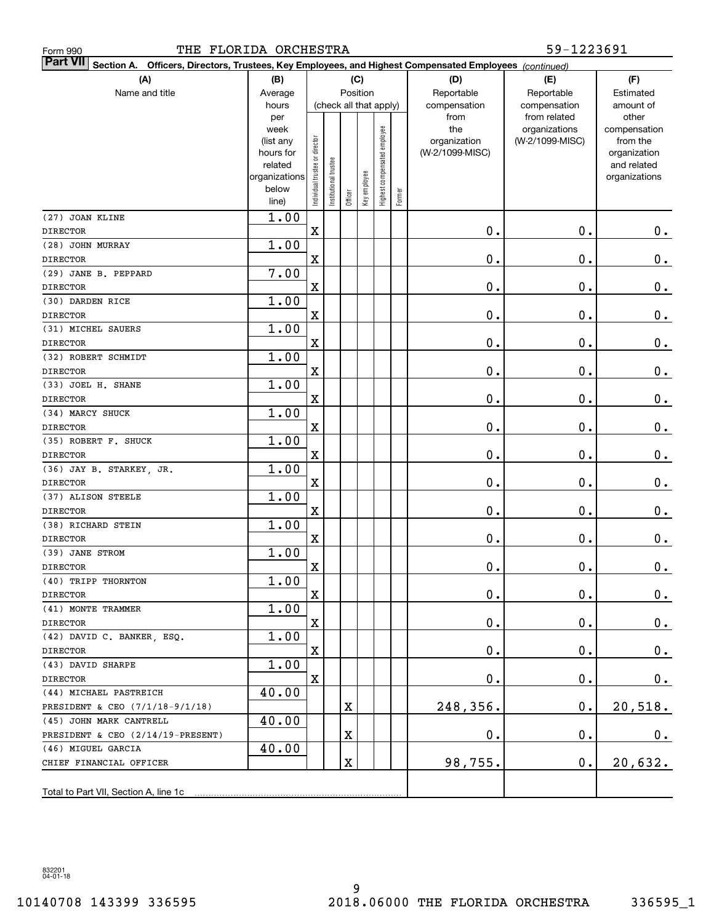| THE FLORIDA ORCHESTRA<br>Form 990                                                                                            |                        |                                |                       |                        |              |                              |        |                                 | 59-1223691      |                          |
|------------------------------------------------------------------------------------------------------------------------------|------------------------|--------------------------------|-----------------------|------------------------|--------------|------------------------------|--------|---------------------------------|-----------------|--------------------------|
| <b>Part VII</b><br>Officers, Directors, Trustees, Key Employees, and Highest Compensated Employees (continued)<br>Section A. |                        |                                |                       |                        |              |                              |        |                                 |                 |                          |
| (A)<br>(B)<br>(C)<br>(D)                                                                                                     |                        |                                |                       |                        |              |                              |        |                                 | (E)             | (F)                      |
| Name and title                                                                                                               | Average                |                                |                       | Position               |              |                              |        | Reportable                      | Reportable      | Estimated                |
|                                                                                                                              | hours                  |                                |                       | (check all that apply) |              |                              |        | compensation                    | compensation    | amount of                |
|                                                                                                                              | per                    |                                |                       |                        |              |                              |        | from                            | from related    | other                    |
|                                                                                                                              | week                   |                                |                       |                        |              |                              |        | the                             | organizations   | compensation<br>from the |
|                                                                                                                              | (list any<br>hours for |                                |                       |                        |              |                              |        | organization<br>(W-2/1099-MISC) | (W-2/1099-MISC) | organization             |
|                                                                                                                              | related                |                                |                       |                        |              |                              |        |                                 |                 | and related              |
|                                                                                                                              | organizations          |                                |                       |                        |              |                              |        |                                 |                 | organizations            |
|                                                                                                                              | below                  | Individual trustee or director | Institutional trustee |                        | Key employee | Highest compensated employee | Former |                                 |                 |                          |
|                                                                                                                              | line)                  |                                |                       | Officer                |              |                              |        |                                 |                 |                          |
| (27) JOAN KLINE                                                                                                              | 1.00                   |                                |                       |                        |              |                              |        |                                 |                 |                          |
| <b>DIRECTOR</b>                                                                                                              |                        | $\overline{\mathbf{X}}$        |                       |                        |              |                              |        | $\mathbf 0$ .                   | 0.              | $\mathbf 0$ .            |
| (28) JOHN MURRAY                                                                                                             | 1.00                   |                                |                       |                        |              |                              |        |                                 |                 |                          |
| <b>DIRECTOR</b>                                                                                                              |                        | X                              |                       |                        |              |                              |        | $\mathbf 0$ .                   | $\mathbf 0$ .   | $0_{.}$                  |
| (29) JANE B. PEPPARD                                                                                                         | 7.00                   |                                |                       |                        |              |                              |        |                                 |                 |                          |
| <b>DIRECTOR</b>                                                                                                              |                        | $\overline{\mathbf{X}}$        |                       |                        |              |                              |        | $\mathbf 0$ .                   | $\mathbf 0$ .   | $\mathbf 0$ .            |
| (30) DARDEN RICE                                                                                                             | 1.00                   |                                |                       |                        |              |                              |        |                                 |                 |                          |
| <b>DIRECTOR</b>                                                                                                              |                        | X                              |                       |                        |              |                              |        | $\mathbf 0$ .                   | $\mathbf 0$ .   | $\mathbf 0$ .            |
| (31) MICHEL SAUERS                                                                                                           | 1.00                   | X                              |                       |                        |              |                              |        | $\mathbf 0$ .                   | $\mathbf 0$ .   |                          |
| <b>DIRECTOR</b><br>(32) ROBERT SCHMIDT                                                                                       | 1.00                   |                                |                       |                        |              |                              |        |                                 |                 | $0_{.}$                  |
| <b>DIRECTOR</b>                                                                                                              |                        | X                              |                       |                        |              |                              |        | $\mathbf 0$ .                   | $\mathbf 0$ .   | $0_{.}$                  |
| (33) JOEL H. SHANE                                                                                                           | 1.00                   |                                |                       |                        |              |                              |        |                                 |                 |                          |
| <b>DIRECTOR</b>                                                                                                              |                        | $\overline{\mathbf{X}}$        |                       |                        |              |                              |        | $\mathbf 0$ .                   | $\mathbf 0$ .   | $\mathbf 0$ .            |
| (34) MARCY SHUCK                                                                                                             | 1.00                   |                                |                       |                        |              |                              |        |                                 |                 |                          |
| <b>DIRECTOR</b>                                                                                                              |                        | $\overline{\mathbf{X}}$        |                       |                        |              |                              |        | $\mathbf 0$ .                   | $\mathbf 0$ .   | $\mathbf 0$ .            |
| (35) ROBERT F. SHUCK                                                                                                         | 1.00                   |                                |                       |                        |              |                              |        |                                 |                 |                          |
| <b>DIRECTOR</b>                                                                                                              |                        | X                              |                       |                        |              |                              |        | $\mathbf 0$ .                   | $\mathbf 0$ .   | $0_{.}$                  |
| (36) JAY B. STARKEY, JR.                                                                                                     | 1.00                   |                                |                       |                        |              |                              |        |                                 |                 |                          |
| <b>DIRECTOR</b>                                                                                                              |                        | $\overline{\mathbf{X}}$        |                       |                        |              |                              |        | $\mathbf 0$ .                   | $\mathbf 0$ .   | $0_{.}$                  |
| (37) ALISON STEELE                                                                                                           | 1.00                   |                                |                       |                        |              |                              |        |                                 |                 |                          |
| <b>DIRECTOR</b>                                                                                                              |                        | $\overline{\mathbf{X}}$        |                       |                        |              |                              |        | $\mathbf 0$ .                   | $\mathbf 0$ .   | 0.                       |
| (38) RICHARD STEIN                                                                                                           | 1.00                   |                                |                       |                        |              |                              |        |                                 |                 |                          |
| <b>DIRECTOR</b>                                                                                                              |                        | X                              |                       |                        |              |                              |        | Ο.                              | $\mathbf 0$ .   | $0_{.}$                  |
| (39) JANE STROM                                                                                                              | 1.00                   |                                |                       |                        |              |                              |        |                                 |                 |                          |
| <b>DIRECTOR</b>                                                                                                              |                        | $\mathbf X$                    |                       |                        |              |                              |        | $\mathbf 0$ .                   | $\mathbf 0$ .   | $\pmb{0}$ .              |
| (40) TRIPP THORNTON                                                                                                          | 1.00                   |                                |                       |                        |              |                              |        |                                 |                 |                          |
| <b>DIRECTOR</b>                                                                                                              |                        | $\mathbf X$                    |                       |                        |              |                              |        | О.                              | 0.              | 0.                       |
| (41) MONTE TRAMMER                                                                                                           | 1.00                   |                                |                       |                        |              |                              |        |                                 |                 |                          |
| <b>DIRECTOR</b>                                                                                                              |                        | $\mathbf X$                    |                       |                        |              |                              |        | О.                              | $\mathbf 0$ .   | 0.                       |
| (42) DAVID C. BANKER, ESQ.                                                                                                   | 1.00                   | $\mathbf X$                    |                       |                        |              |                              |        |                                 | $\mathbf 0$ .   |                          |
| <b>DIRECTOR</b><br>(43) DAVID SHARPE                                                                                         | 1.00                   |                                |                       |                        |              |                              |        | Ο.                              |                 | $0_{.}$                  |
| DIRECTOR                                                                                                                     |                        | $\mathbf X$                    |                       |                        |              |                              |        | О.                              | $\mathbf 0$ .   | $0_{.}$                  |
| (44) MICHAEL PASTREICH                                                                                                       | 40.00                  |                                |                       |                        |              |                              |        |                                 |                 |                          |
| PRESIDENT & CEO (7/1/18-9/1/18)                                                                                              |                        |                                |                       | X                      |              |                              |        | 248,356.                        | 0.              | 20,518.                  |
| (45) JOHN MARK CANTRELL                                                                                                      | 40.00                  |                                |                       |                        |              |                              |        |                                 |                 |                          |
| PRESIDENT & CEO (2/14/19-PRESENT)                                                                                            |                        |                                |                       | X                      |              |                              |        | О.                              | 0.              | 0.                       |
| (46) MIGUEL GARCIA                                                                                                           | 40.00                  |                                |                       |                        |              |                              |        |                                 |                 |                          |
| CHIEF FINANCIAL OFFICER                                                                                                      |                        |                                |                       | X                      |              |                              |        | 98,755.                         | $\mathbf 0$ .   | 20,632.                  |
|                                                                                                                              |                        |                                |                       |                        |              |                              |        |                                 |                 |                          |
| Total to Part VII, Section A, line 1c                                                                                        |                        |                                |                       |                        |              |                              |        |                                 |                 |                          |
|                                                                                                                              |                        |                                |                       |                        |              |                              |        |                                 |                 |                          |

832201 04-01-18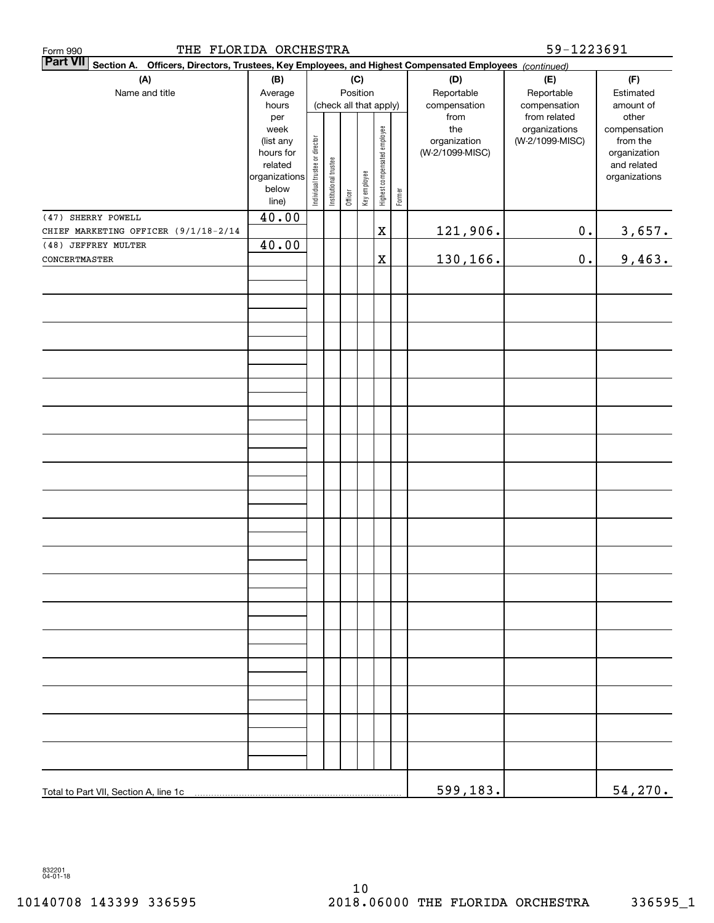| THE FLORIDA ORCHESTRA<br>Form 990                                                                                            |                      |                                |                       |         |              |                              |        |                 | 59-1223691      |                             |
|------------------------------------------------------------------------------------------------------------------------------|----------------------|--------------------------------|-----------------------|---------|--------------|------------------------------|--------|-----------------|-----------------|-----------------------------|
| <b>Part VII</b><br>Section A.<br>Officers, Directors, Trustees, Key Employees, and Highest Compensated Employees (continued) |                      |                                |                       |         |              |                              |        |                 |                 |                             |
| (A)                                                                                                                          | (B)                  |                                |                       |         | (C)          |                              |        | (D)             | (E)             | (F)                         |
| Name and title                                                                                                               | Average              |                                |                       |         | Position     |                              |        | Reportable      | Reportable      | Estimated                   |
|                                                                                                                              | hours                | (check all that apply)         |                       |         |              |                              |        | compensation    | compensation    | amount of                   |
|                                                                                                                              | per                  |                                |                       |         |              |                              |        | from            | from related    | other                       |
|                                                                                                                              | week                 |                                |                       |         |              |                              |        | the             | organizations   | compensation                |
|                                                                                                                              | (list any            |                                |                       |         |              |                              |        | organization    | (W-2/1099-MISC) | from the                    |
|                                                                                                                              | hours for<br>related |                                |                       |         |              |                              |        | (W-2/1099-MISC) |                 | organization<br>and related |
|                                                                                                                              | organizations        | Individual trustee or director | Institutional trustee |         |              | Highest compensated employee |        |                 |                 | organizations               |
|                                                                                                                              | below                |                                |                       |         | Key employee |                              |        |                 |                 |                             |
|                                                                                                                              | line)                |                                |                       | Officer |              |                              | Former |                 |                 |                             |
| (47) SHERRY POWELL                                                                                                           | 40.00                |                                |                       |         |              |                              |        |                 |                 |                             |
| CHIEF MARKETING OFFICER (9/1/18-2/14                                                                                         |                      |                                |                       |         |              | $\rm X$                      |        | 121,906.        | $\mathbf 0$ .   | 3,657.                      |
| (48) JEFFREY MULTER                                                                                                          | 40.00                |                                |                       |         |              |                              |        |                 |                 |                             |
| CONCERTMASTER                                                                                                                |                      |                                |                       |         |              | $\rm X$                      |        | 130,166.        | $\mathbf 0$ .   | 9,463.                      |
|                                                                                                                              |                      |                                |                       |         |              |                              |        |                 |                 |                             |
|                                                                                                                              |                      |                                |                       |         |              |                              |        |                 |                 |                             |
|                                                                                                                              |                      |                                |                       |         |              |                              |        |                 |                 |                             |
|                                                                                                                              |                      |                                |                       |         |              |                              |        |                 |                 |                             |
|                                                                                                                              |                      |                                |                       |         |              |                              |        |                 |                 |                             |
|                                                                                                                              |                      |                                |                       |         |              |                              |        |                 |                 |                             |
|                                                                                                                              |                      |                                |                       |         |              |                              |        |                 |                 |                             |
|                                                                                                                              |                      |                                |                       |         |              |                              |        |                 |                 |                             |
|                                                                                                                              |                      |                                |                       |         |              |                              |        |                 |                 |                             |
|                                                                                                                              |                      |                                |                       |         |              |                              |        |                 |                 |                             |
|                                                                                                                              |                      |                                |                       |         |              |                              |        |                 |                 |                             |
|                                                                                                                              |                      |                                |                       |         |              |                              |        |                 |                 |                             |
|                                                                                                                              |                      |                                |                       |         |              |                              |        |                 |                 |                             |
|                                                                                                                              |                      |                                |                       |         |              |                              |        |                 |                 |                             |
|                                                                                                                              |                      |                                |                       |         |              |                              |        |                 |                 |                             |
|                                                                                                                              |                      |                                |                       |         |              |                              |        |                 |                 |                             |
|                                                                                                                              |                      |                                |                       |         |              |                              |        |                 |                 |                             |
|                                                                                                                              |                      |                                |                       |         |              |                              |        |                 |                 |                             |
|                                                                                                                              |                      |                                |                       |         |              |                              |        |                 |                 |                             |
|                                                                                                                              |                      |                                |                       |         |              |                              |        |                 |                 |                             |
|                                                                                                                              |                      |                                |                       |         |              |                              |        |                 |                 |                             |
|                                                                                                                              |                      |                                |                       |         |              |                              |        |                 |                 |                             |
|                                                                                                                              |                      |                                |                       |         |              |                              |        |                 |                 |                             |
|                                                                                                                              |                      |                                |                       |         |              |                              |        |                 |                 |                             |
|                                                                                                                              |                      |                                |                       |         |              |                              |        |                 |                 |                             |
|                                                                                                                              |                      |                                |                       |         |              |                              |        |                 |                 |                             |
|                                                                                                                              |                      |                                |                       |         |              |                              |        |                 |                 |                             |
|                                                                                                                              |                      |                                |                       |         |              |                              |        |                 |                 |                             |
|                                                                                                                              |                      |                                |                       |         |              |                              |        |                 |                 |                             |
|                                                                                                                              |                      |                                |                       |         |              |                              |        |                 |                 |                             |
|                                                                                                                              |                      |                                |                       |         |              |                              |        |                 |                 |                             |
|                                                                                                                              |                      |                                |                       |         |              |                              |        |                 |                 |                             |
|                                                                                                                              |                      |                                |                       |         |              |                              |        |                 |                 |                             |
|                                                                                                                              |                      |                                |                       |         |              |                              |        |                 |                 |                             |
|                                                                                                                              |                      |                                |                       |         |              |                              |        |                 |                 |                             |
|                                                                                                                              |                      |                                |                       |         |              |                              |        | 599,183.        |                 | 54, 270.                    |
| Total to Part VII, Section A, line 1c                                                                                        |                      |                                |                       |         |              |                              |        |                 |                 |                             |

832201 04-01-18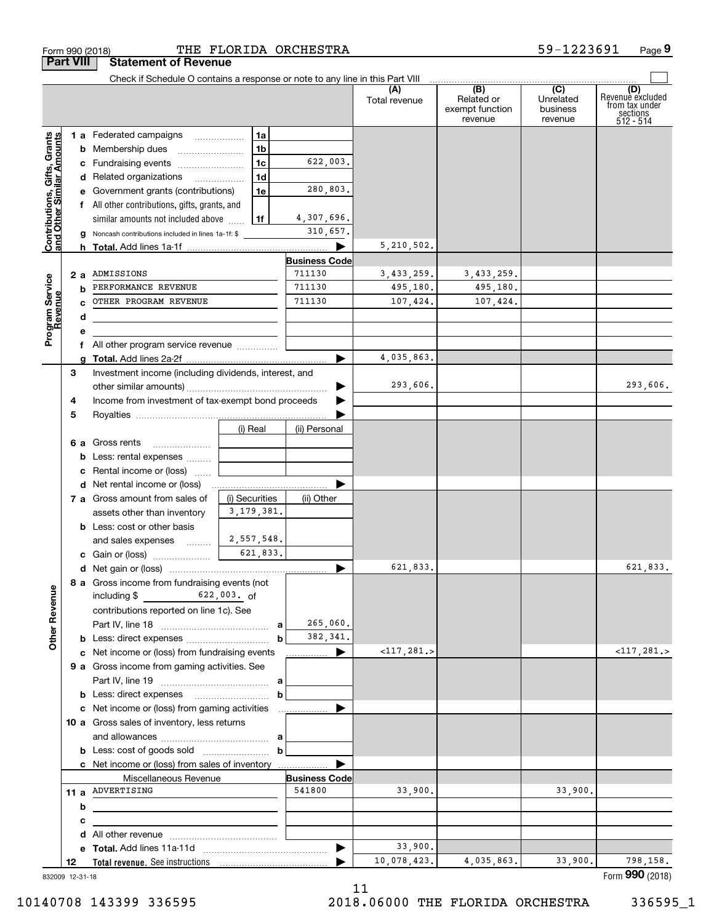|                                                           | <b>Part VIII</b> | <b>Statement of Revenue</b>                                                   |                |                        |                      |                                                   |                                         |                                           |
|-----------------------------------------------------------|------------------|-------------------------------------------------------------------------------|----------------|------------------------|----------------------|---------------------------------------------------|-----------------------------------------|-------------------------------------------|
|                                                           |                  | Check if Schedule O contains a response or note to any line in this Part VIII |                |                        | (A)<br>Total revenue | $\overline{(B)}$<br>Related or<br>exempt function | $\overline{C}$<br>Unrelated<br>business | (D)<br>Revenuè excluded<br>from tax under |
|                                                           |                  |                                                                               |                |                        |                      | revenue                                           | revenue                                 | sections<br>512 - 514                     |
| Contributions, Gifts, Grants<br>and Other Similar Amounts |                  | 1 a Federated campaigns                                                       | 1a             |                        |                      |                                                   |                                         |                                           |
|                                                           |                  | <b>b</b> Membership dues                                                      | 1 <sub>b</sub> |                        |                      |                                                   |                                         |                                           |
|                                                           |                  | c Fundraising events                                                          | 1c             | 622,003.               |                      |                                                   |                                         |                                           |
|                                                           |                  | d Related organizations                                                       | 1 <sub>d</sub> |                        |                      |                                                   |                                         |                                           |
|                                                           |                  | e Government grants (contributions)                                           | 1e             | 280,803.               |                      |                                                   |                                         |                                           |
|                                                           |                  | f All other contributions, gifts, grants, and                                 |                |                        |                      |                                                   |                                         |                                           |
|                                                           |                  | similar amounts not included above                                            | 1f             | 4,307,696.<br>310,657. |                      |                                                   |                                         |                                           |
|                                                           |                  | Noncash contributions included in lines 1a-1f: \$                             |                |                        | 5,210,502.           |                                                   |                                         |                                           |
|                                                           |                  |                                                                               |                | <b>Business Code</b>   |                      |                                                   |                                         |                                           |
|                                                           |                  | 2 a ADMISSIONS                                                                |                | 711130                 | 3,433,259.           | 3,433,259.                                        |                                         |                                           |
|                                                           | b                | PERFORMANCE REVENUE                                                           |                | 711130                 | 495,180.             | 495,180.                                          |                                         |                                           |
|                                                           |                  | OTHER PROGRAM REVENUE                                                         |                | 711130                 | 107,424.             | 107,424.                                          |                                         |                                           |
| Program Service<br>Revenue                                | d                |                                                                               |                |                        |                      |                                                   |                                         |                                           |
|                                                           | е                |                                                                               |                |                        |                      |                                                   |                                         |                                           |
|                                                           | f                | All other program service revenue                                             |                |                        |                      |                                                   |                                         |                                           |
|                                                           | a                |                                                                               |                |                        | 4,035,863.           |                                                   |                                         |                                           |
|                                                           | З                | Investment income (including dividends, interest, and                         |                |                        |                      |                                                   |                                         |                                           |
|                                                           |                  |                                                                               |                |                        | 293,606.             |                                                   |                                         | 293,606.                                  |
|                                                           | 4                | Income from investment of tax-exempt bond proceeds                            |                |                        |                      |                                                   |                                         |                                           |
|                                                           | 5                |                                                                               |                |                        |                      |                                                   |                                         |                                           |
|                                                           |                  |                                                                               | (i) Real       | (ii) Personal          |                      |                                                   |                                         |                                           |
|                                                           |                  | 6 a Gross rents                                                               |                |                        |                      |                                                   |                                         |                                           |
|                                                           |                  | <b>b</b> Less: rental expenses                                                |                |                        |                      |                                                   |                                         |                                           |
|                                                           | c                | Rental income or (loss)                                                       |                |                        |                      |                                                   |                                         |                                           |
|                                                           |                  |                                                                               |                |                        |                      |                                                   |                                         |                                           |
|                                                           |                  | 7 a Gross amount from sales of                                                | (i) Securities | (ii) Other             |                      |                                                   |                                         |                                           |
|                                                           |                  | assets other than inventory                                                   | 3, 179, 381.   |                        |                      |                                                   |                                         |                                           |
|                                                           |                  | <b>b</b> Less: cost or other basis                                            |                |                        |                      |                                                   |                                         |                                           |
|                                                           |                  | and sales expenses  L                                                         | 2,557,548.     |                        |                      |                                                   |                                         |                                           |
|                                                           |                  |                                                                               | 621,833.       |                        |                      |                                                   |                                         |                                           |
|                                                           |                  |                                                                               |                |                        | 621,833.             |                                                   |                                         | 621,833.                                  |
|                                                           |                  | 8 a Gross income from fundraising events (not                                 |                |                        |                      |                                                   |                                         |                                           |
|                                                           |                  | $622,003$ . of<br>including $$$                                               |                |                        |                      |                                                   |                                         |                                           |
|                                                           |                  | contributions reported on line 1c). See                                       |                |                        |                      |                                                   |                                         |                                           |
| <b>Other Revenue</b>                                      |                  |                                                                               |                | 265,060.               |                      |                                                   |                                         |                                           |
|                                                           |                  | <b>b</b> Less: direct expenses                                                | $\mathbf b$    | 382,341.               |                      |                                                   |                                         |                                           |
|                                                           |                  | c Net income or (loss) from fundraising events                                |                | _____________ ▶        | $<$ 117, 281.>       |                                                   |                                         | $<$ 117, 281.>                            |
|                                                           |                  | 9 a Gross income from gaming activities. See                                  |                |                        |                      |                                                   |                                         |                                           |
|                                                           |                  | <b>b</b> Less: direct expenses <b>manually contained</b>                      | $\mathbf b$    |                        |                      |                                                   |                                         |                                           |
|                                                           |                  | c Net income or (loss) from gaming activities                                 |                | .                      |                      |                                                   |                                         |                                           |
|                                                           |                  | 10 a Gross sales of inventory, less returns                                   |                |                        |                      |                                                   |                                         |                                           |
|                                                           |                  |                                                                               |                |                        |                      |                                                   |                                         |                                           |
|                                                           |                  |                                                                               | $\mathbf b$    |                        |                      |                                                   |                                         |                                           |
|                                                           |                  | c Net income or (loss) from sales of inventory                                |                |                        |                      |                                                   |                                         |                                           |
|                                                           |                  | Miscellaneous Revenue                                                         |                | <b>Business Code</b>   |                      |                                                   |                                         |                                           |
|                                                           |                  | 11 a ADVERTISING                                                              |                | 541800                 | 33,900.              |                                                   | 33,900.                                 |                                           |
|                                                           | b                | <u> 1989 - Johann Stein, Amerikaansk politiker</u>                            |                |                        |                      |                                                   |                                         |                                           |
|                                                           | c                |                                                                               |                |                        |                      |                                                   |                                         |                                           |
|                                                           | d                |                                                                               |                |                        |                      |                                                   |                                         |                                           |
|                                                           |                  |                                                                               |                |                        | 33,900.              |                                                   |                                         |                                           |
|                                                           | 12               |                                                                               |                |                        | 10,078,423.          | 4,035,863.                                        | 33,900.                                 | 798,158.                                  |
|                                                           | 832009 12-31-18  |                                                                               |                |                        |                      |                                                   |                                         | Form 990 (2018)                           |

THE FLORIDA ORCHESTRA

10140708 143399 336595 2018.06000 THE FLORIDA ORCHESTRA 336595\_1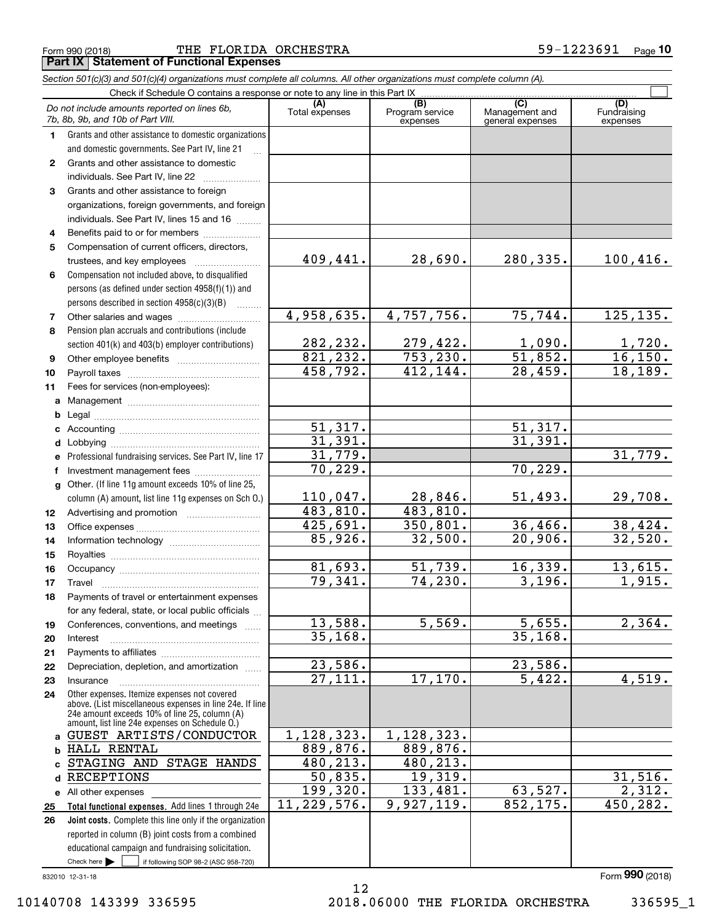|  | Form 990 (2018) |  |
|--|-----------------|--|

Form 990 (2018) Page THE FLORIDA ORCHESTRA 59-1223691 **Part IX Statement of Functional Expenses**

|              | Section 501(c)(3) and 501(c)(4) organizations must complete all columns. All other organizations must complete column (A).                                                                                  |                       |                                    |                                           |                                |
|--------------|-------------------------------------------------------------------------------------------------------------------------------------------------------------------------------------------------------------|-----------------------|------------------------------------|-------------------------------------------|--------------------------------|
|              | Check if Schedule O contains a response or note to any line in this Part IX                                                                                                                                 |                       |                                    |                                           |                                |
|              | Do not include amounts reported on lines 6b,<br>7b, 8b, 9b, and 10b of Part VIII.                                                                                                                           | (A)<br>Total expenses | (B)<br>Program service<br>expenses | (C)<br>Management and<br>general expenses | (D)<br>Fundraising<br>expenses |
| 1.           | Grants and other assistance to domestic organizations                                                                                                                                                       |                       |                                    |                                           |                                |
|              | and domestic governments. See Part IV, line 21                                                                                                                                                              |                       |                                    |                                           |                                |
| $\mathbf{2}$ | Grants and other assistance to domestic                                                                                                                                                                     |                       |                                    |                                           |                                |
|              | individuals. See Part IV, line 22                                                                                                                                                                           |                       |                                    |                                           |                                |
| 3            | Grants and other assistance to foreign                                                                                                                                                                      |                       |                                    |                                           |                                |
|              | organizations, foreign governments, and foreign                                                                                                                                                             |                       |                                    |                                           |                                |
|              | individuals. See Part IV, lines 15 and 16                                                                                                                                                                   |                       |                                    |                                           |                                |
| 4            | Benefits paid to or for members                                                                                                                                                                             |                       |                                    |                                           |                                |
| 5            | Compensation of current officers, directors,                                                                                                                                                                |                       |                                    |                                           |                                |
|              | trustees, and key employees                                                                                                                                                                                 | 409,441.              | 28,690.                            | 280,335.                                  | 100,416.                       |
| 6            | Compensation not included above, to disqualified                                                                                                                                                            |                       |                                    |                                           |                                |
|              | persons (as defined under section 4958(f)(1)) and                                                                                                                                                           |                       |                                    |                                           |                                |
|              | persons described in section $4958(c)(3)(B)$<br>.                                                                                                                                                           |                       |                                    |                                           |                                |
| 7            |                                                                                                                                                                                                             | 4,958,635.            | 4,757,756.                         | 75,744.                                   | 125, 135.                      |
| 8            | Pension plan accruals and contributions (include                                                                                                                                                            |                       |                                    |                                           |                                |
|              | section 401(k) and 403(b) employer contributions)                                                                                                                                                           | 282,232.<br>821, 232. | 279,422.                           | $\frac{1,090}{51,852}$ .                  | $\frac{1,720}{16,150}$ .       |
| 9            |                                                                                                                                                                                                             | 458,792.              | 753, 230.                          | 28,459.                                   |                                |
| 10           |                                                                                                                                                                                                             |                       | 412, 144.                          |                                           | 18, 189.                       |
| 11           | Fees for services (non-employees):                                                                                                                                                                          |                       |                                    |                                           |                                |
| a            |                                                                                                                                                                                                             |                       |                                    |                                           |                                |
| b            |                                                                                                                                                                                                             | 51,317.               |                                    |                                           |                                |
| c            |                                                                                                                                                                                                             | 31,391.               |                                    | 51,317.<br>31,391.                        |                                |
| d            |                                                                                                                                                                                                             | 31,779.               |                                    |                                           | 31,779.                        |
| е            | Professional fundraising services. See Part IV, line 17                                                                                                                                                     | 70, 229.              |                                    | 70, 229.                                  |                                |
| f            | Investment management fees                                                                                                                                                                                  |                       |                                    |                                           |                                |
| g            | Other. (If line 11g amount exceeds 10% of line 25,                                                                                                                                                          | 110,047.              | 28,846.                            | 51,493.                                   | 29,708.                        |
|              | column (A) amount, list line 11g expenses on Sch O.)                                                                                                                                                        | 483, 810.             | 483,810.                           |                                           |                                |
| 12           |                                                                                                                                                                                                             | 425,691.              | 350,801.                           | 36,466.                                   | 38,424.                        |
| 13           |                                                                                                                                                                                                             | 85,926.               | 32,500.                            | 20,906.                                   | 32,520.                        |
| 14<br>15     |                                                                                                                                                                                                             |                       |                                    |                                           |                                |
| 16           |                                                                                                                                                                                                             | 81,693.               | 51,739.                            | 16,339.                                   | 13,615.                        |
| 17           |                                                                                                                                                                                                             | 79,341.               | 74, 230.                           | 3,196.                                    | 1,915.                         |
| 18           | Payments of travel or entertainment expenses                                                                                                                                                                |                       |                                    |                                           |                                |
|              | for any federal, state, or local public officials                                                                                                                                                           |                       |                                    |                                           |                                |
| 19           | Conferences, conventions, and meetings                                                                                                                                                                      | 13,588.               | 5,569.                             | 5,655.                                    | $\overline{2,364}$ .           |
| 20           | Interest                                                                                                                                                                                                    | 35, 168.              |                                    | 35, 168.                                  |                                |
| 21           |                                                                                                                                                                                                             |                       |                                    |                                           |                                |
| 22           | Depreciation, depletion, and amortization                                                                                                                                                                   | 23,586.               |                                    | 23,586.                                   |                                |
| 23           | Insurance                                                                                                                                                                                                   | $\overline{27,111}$ . | 17, 170.                           | 5,422.                                    | 4,519.                         |
| 24           | Other expenses. Itemize expenses not covered<br>above. (List miscellaneous expenses in line 24e. If line<br>24e amount exceeds 10% of line 25, column (A)<br>amount, list line 24e expenses on Schedule O.) |                       |                                    |                                           |                                |
| a            | GUEST ARTISTS/CONDUCTOR                                                                                                                                                                                     | 1,128,323.            | 1,128,323.                         |                                           |                                |
| b            | <b>HALL RENTAL</b>                                                                                                                                                                                          | 889, 876.             | 889, 876.                          |                                           |                                |
|              | STAGING AND STAGE HANDS                                                                                                                                                                                     | 480, 213.             | 480, 213.                          |                                           |                                |
| d            | RECEPTIONS                                                                                                                                                                                                  | 50,835.               | 19,319.                            |                                           | 31,516.                        |
|              | e All other expenses                                                                                                                                                                                        | 199,320.              | 133,481.                           | 63,527.                                   | $\overline{2,312.}$            |
| 25           | Total functional expenses. Add lines 1 through 24e                                                                                                                                                          | 11, 229, 576.         | 9,927,119.                         | 852, 175.                                 | 450,282.                       |
| 26           | <b>Joint costs.</b> Complete this line only if the organization                                                                                                                                             |                       |                                    |                                           |                                |
|              | reported in column (B) joint costs from a combined                                                                                                                                                          |                       |                                    |                                           |                                |
|              | educational campaign and fundraising solicitation.                                                                                                                                                          |                       |                                    |                                           |                                |
|              | Check here $\blacktriangleright$<br>if following SOP 98-2 (ASC 958-720)                                                                                                                                     |                       |                                    |                                           |                                |

12

832010 12-31-18

10140708 143399 336595 2018.06000 THE FLORIDA ORCHESTRA 336595\_1

Form (2018) **990**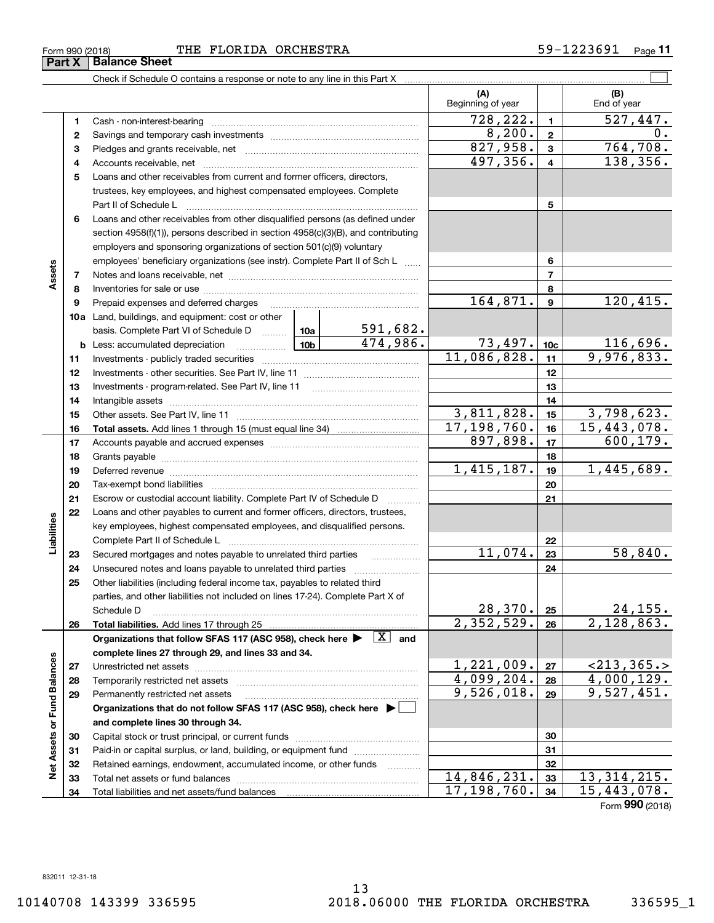# Form 990 (2018) Page THE FLORIDA ORCHESTRA 59-1223691

Check if Schedule O contains a response or note to any line in this Part X

| 527,447.<br>728,222.<br>1.<br>1<br>Cash - non-interest-bearing<br>8,200.<br>$0$ .<br>$\mathbf{2}$<br>2<br>764,708.<br>827,958.<br>3<br>3<br>497,356.<br>138,356.<br>4<br>4<br>Loans and other receivables from current and former officers, directors,<br>5<br>trustees, key employees, and highest compensated employees. Complete<br>Part II of Schedule L<br>5<br>Loans and other receivables from other disqualified persons (as defined under<br>6<br>section 4958(f)(1)), persons described in section 4958(c)(3)(B), and contributing<br>employers and sponsoring organizations of section 501(c)(9) voluntary<br>employees' beneficiary organizations (see instr). Complete Part II of Sch L<br>6<br>7<br>7<br>8<br>8<br>164,871.<br>120,415.<br>9<br>9<br>Prepaid expenses and deferred charges<br>10a Land, buildings, and equipment: cost or other<br>591,682.<br>∣ 10a  <br>basis. Complete Part VI of Schedule D<br>474,986.<br><u> 116,696.</u><br>73,497.<br>10 <sub>c</sub><br><b>b</b> Less: accumulated depreciation<br>9,976,833.<br>11,086,828.<br>11<br>11<br>12<br>12<br>13<br>13<br>14<br>14<br>3,811,828.<br>3,798,623.<br>15<br>15<br>17, 198, 760.<br>15,443,078.<br>16<br>16<br>600, 179.<br>897,898.<br>17<br>17<br>18<br>18<br>1,415,187.<br>1,445,689.<br>19<br>19<br>Deferred revenue imminimum contracts and the contracts of the contracts and the contracts of the contracts of<br>20<br>20<br>Escrow or custodial account liability. Complete Part IV of Schedule D<br>21<br>21<br>Loans and other payables to current and former officers, directors, trustees,<br>22<br>key employees, highest compensated employees, and disqualified persons.<br>22<br>11,074.<br>58,840.<br>23<br>Secured mortgages and notes payable to unrelated third parties<br>23<br>24<br>24<br>Other liabilities (including federal income tax, payables to related third<br>25<br>parties, and other liabilities not included on lines 17-24). Complete Part X of<br>28, 370.<br>24,155.<br>25<br>Schedule D<br>2,352,529.<br>2,128,863.<br>26<br>26<br>Organizations that follow SFAS 117 (ASC 958), check here $\blacktriangleright \begin{array}{c} \boxed{\textbf{X}} \end{array}$ and<br>complete lines 27 through 29, and lines 33 and 34.<br>$1,221,009$ .<br>$<$ 213, 365. ><br>27<br>27<br>4,099,204.<br>$\overline{4}$ ,000,129.<br>28<br>28<br>9,526,018.<br>9,527,451.<br>29<br>29<br>Permanently restricted net assets<br>Organizations that do not follow SFAS 117 (ASC 958), check here ▶<br>and complete lines 30 through 34.<br>30<br>30<br>Paid-in or capital surplus, or land, building, or equipment fund<br>31<br>31<br>32<br>Retained earnings, endowment, accumulated income, or other funds<br>32<br>.<br>14,846,231.<br>13, 314, 215.<br>33<br>33 |    |  | (A)<br>Beginning of year |    | (B)<br>End of year |
|--------------------------------------------------------------------------------------------------------------------------------------------------------------------------------------------------------------------------------------------------------------------------------------------------------------------------------------------------------------------------------------------------------------------------------------------------------------------------------------------------------------------------------------------------------------------------------------------------------------------------------------------------------------------------------------------------------------------------------------------------------------------------------------------------------------------------------------------------------------------------------------------------------------------------------------------------------------------------------------------------------------------------------------------------------------------------------------------------------------------------------------------------------------------------------------------------------------------------------------------------------------------------------------------------------------------------------------------------------------------------------------------------------------------------------------------------------------------------------------------------------------------------------------------------------------------------------------------------------------------------------------------------------------------------------------------------------------------------------------------------------------------------------------------------------------------------------------------------------------------------------------------------------------------------------------------------------------------------------------------------------------------------------------------------------------------------------------------------------------------------------------------------------------------------------------------------------------------------------------------------------------------------------------------------------------------------------------------------------------------------------------------------------------------------------------------------------------------------------------------------------------------------------------------------------------------------------------------------------------------------------------------------------------------------------------------------------------------------------------------------------------------------------------------|----|--|--------------------------|----|--------------------|
|                                                                                                                                                                                                                                                                                                                                                                                                                                                                                                                                                                                                                                                                                                                                                                                                                                                                                                                                                                                                                                                                                                                                                                                                                                                                                                                                                                                                                                                                                                                                                                                                                                                                                                                                                                                                                                                                                                                                                                                                                                                                                                                                                                                                                                                                                                                                                                                                                                                                                                                                                                                                                                                                                                                                                                                            |    |  |                          |    |                    |
|                                                                                                                                                                                                                                                                                                                                                                                                                                                                                                                                                                                                                                                                                                                                                                                                                                                                                                                                                                                                                                                                                                                                                                                                                                                                                                                                                                                                                                                                                                                                                                                                                                                                                                                                                                                                                                                                                                                                                                                                                                                                                                                                                                                                                                                                                                                                                                                                                                                                                                                                                                                                                                                                                                                                                                                            |    |  |                          |    |                    |
|                                                                                                                                                                                                                                                                                                                                                                                                                                                                                                                                                                                                                                                                                                                                                                                                                                                                                                                                                                                                                                                                                                                                                                                                                                                                                                                                                                                                                                                                                                                                                                                                                                                                                                                                                                                                                                                                                                                                                                                                                                                                                                                                                                                                                                                                                                                                                                                                                                                                                                                                                                                                                                                                                                                                                                                            |    |  |                          |    |                    |
|                                                                                                                                                                                                                                                                                                                                                                                                                                                                                                                                                                                                                                                                                                                                                                                                                                                                                                                                                                                                                                                                                                                                                                                                                                                                                                                                                                                                                                                                                                                                                                                                                                                                                                                                                                                                                                                                                                                                                                                                                                                                                                                                                                                                                                                                                                                                                                                                                                                                                                                                                                                                                                                                                                                                                                                            |    |  |                          |    |                    |
|                                                                                                                                                                                                                                                                                                                                                                                                                                                                                                                                                                                                                                                                                                                                                                                                                                                                                                                                                                                                                                                                                                                                                                                                                                                                                                                                                                                                                                                                                                                                                                                                                                                                                                                                                                                                                                                                                                                                                                                                                                                                                                                                                                                                                                                                                                                                                                                                                                                                                                                                                                                                                                                                                                                                                                                            |    |  |                          |    |                    |
|                                                                                                                                                                                                                                                                                                                                                                                                                                                                                                                                                                                                                                                                                                                                                                                                                                                                                                                                                                                                                                                                                                                                                                                                                                                                                                                                                                                                                                                                                                                                                                                                                                                                                                                                                                                                                                                                                                                                                                                                                                                                                                                                                                                                                                                                                                                                                                                                                                                                                                                                                                                                                                                                                                                                                                                            |    |  |                          |    |                    |
|                                                                                                                                                                                                                                                                                                                                                                                                                                                                                                                                                                                                                                                                                                                                                                                                                                                                                                                                                                                                                                                                                                                                                                                                                                                                                                                                                                                                                                                                                                                                                                                                                                                                                                                                                                                                                                                                                                                                                                                                                                                                                                                                                                                                                                                                                                                                                                                                                                                                                                                                                                                                                                                                                                                                                                                            |    |  |                          |    |                    |
|                                                                                                                                                                                                                                                                                                                                                                                                                                                                                                                                                                                                                                                                                                                                                                                                                                                                                                                                                                                                                                                                                                                                                                                                                                                                                                                                                                                                                                                                                                                                                                                                                                                                                                                                                                                                                                                                                                                                                                                                                                                                                                                                                                                                                                                                                                                                                                                                                                                                                                                                                                                                                                                                                                                                                                                            |    |  |                          |    |                    |
|                                                                                                                                                                                                                                                                                                                                                                                                                                                                                                                                                                                                                                                                                                                                                                                                                                                                                                                                                                                                                                                                                                                                                                                                                                                                                                                                                                                                                                                                                                                                                                                                                                                                                                                                                                                                                                                                                                                                                                                                                                                                                                                                                                                                                                                                                                                                                                                                                                                                                                                                                                                                                                                                                                                                                                                            |    |  |                          |    |                    |
|                                                                                                                                                                                                                                                                                                                                                                                                                                                                                                                                                                                                                                                                                                                                                                                                                                                                                                                                                                                                                                                                                                                                                                                                                                                                                                                                                                                                                                                                                                                                                                                                                                                                                                                                                                                                                                                                                                                                                                                                                                                                                                                                                                                                                                                                                                                                                                                                                                                                                                                                                                                                                                                                                                                                                                                            |    |  |                          |    |                    |
|                                                                                                                                                                                                                                                                                                                                                                                                                                                                                                                                                                                                                                                                                                                                                                                                                                                                                                                                                                                                                                                                                                                                                                                                                                                                                                                                                                                                                                                                                                                                                                                                                                                                                                                                                                                                                                                                                                                                                                                                                                                                                                                                                                                                                                                                                                                                                                                                                                                                                                                                                                                                                                                                                                                                                                                            |    |  |                          |    |                    |
|                                                                                                                                                                                                                                                                                                                                                                                                                                                                                                                                                                                                                                                                                                                                                                                                                                                                                                                                                                                                                                                                                                                                                                                                                                                                                                                                                                                                                                                                                                                                                                                                                                                                                                                                                                                                                                                                                                                                                                                                                                                                                                                                                                                                                                                                                                                                                                                                                                                                                                                                                                                                                                                                                                                                                                                            |    |  |                          |    |                    |
|                                                                                                                                                                                                                                                                                                                                                                                                                                                                                                                                                                                                                                                                                                                                                                                                                                                                                                                                                                                                                                                                                                                                                                                                                                                                                                                                                                                                                                                                                                                                                                                                                                                                                                                                                                                                                                                                                                                                                                                                                                                                                                                                                                                                                                                                                                                                                                                                                                                                                                                                                                                                                                                                                                                                                                                            |    |  |                          |    |                    |
|                                                                                                                                                                                                                                                                                                                                                                                                                                                                                                                                                                                                                                                                                                                                                                                                                                                                                                                                                                                                                                                                                                                                                                                                                                                                                                                                                                                                                                                                                                                                                                                                                                                                                                                                                                                                                                                                                                                                                                                                                                                                                                                                                                                                                                                                                                                                                                                                                                                                                                                                                                                                                                                                                                                                                                                            |    |  |                          |    |                    |
|                                                                                                                                                                                                                                                                                                                                                                                                                                                                                                                                                                                                                                                                                                                                                                                                                                                                                                                                                                                                                                                                                                                                                                                                                                                                                                                                                                                                                                                                                                                                                                                                                                                                                                                                                                                                                                                                                                                                                                                                                                                                                                                                                                                                                                                                                                                                                                                                                                                                                                                                                                                                                                                                                                                                                                                            |    |  |                          |    |                    |
|                                                                                                                                                                                                                                                                                                                                                                                                                                                                                                                                                                                                                                                                                                                                                                                                                                                                                                                                                                                                                                                                                                                                                                                                                                                                                                                                                                                                                                                                                                                                                                                                                                                                                                                                                                                                                                                                                                                                                                                                                                                                                                                                                                                                                                                                                                                                                                                                                                                                                                                                                                                                                                                                                                                                                                                            |    |  |                          |    |                    |
|                                                                                                                                                                                                                                                                                                                                                                                                                                                                                                                                                                                                                                                                                                                                                                                                                                                                                                                                                                                                                                                                                                                                                                                                                                                                                                                                                                                                                                                                                                                                                                                                                                                                                                                                                                                                                                                                                                                                                                                                                                                                                                                                                                                                                                                                                                                                                                                                                                                                                                                                                                                                                                                                                                                                                                                            |    |  |                          |    |                    |
|                                                                                                                                                                                                                                                                                                                                                                                                                                                                                                                                                                                                                                                                                                                                                                                                                                                                                                                                                                                                                                                                                                                                                                                                                                                                                                                                                                                                                                                                                                                                                                                                                                                                                                                                                                                                                                                                                                                                                                                                                                                                                                                                                                                                                                                                                                                                                                                                                                                                                                                                                                                                                                                                                                                                                                                            |    |  |                          |    |                    |
|                                                                                                                                                                                                                                                                                                                                                                                                                                                                                                                                                                                                                                                                                                                                                                                                                                                                                                                                                                                                                                                                                                                                                                                                                                                                                                                                                                                                                                                                                                                                                                                                                                                                                                                                                                                                                                                                                                                                                                                                                                                                                                                                                                                                                                                                                                                                                                                                                                                                                                                                                                                                                                                                                                                                                                                            |    |  |                          |    |                    |
|                                                                                                                                                                                                                                                                                                                                                                                                                                                                                                                                                                                                                                                                                                                                                                                                                                                                                                                                                                                                                                                                                                                                                                                                                                                                                                                                                                                                                                                                                                                                                                                                                                                                                                                                                                                                                                                                                                                                                                                                                                                                                                                                                                                                                                                                                                                                                                                                                                                                                                                                                                                                                                                                                                                                                                                            |    |  |                          |    |                    |
|                                                                                                                                                                                                                                                                                                                                                                                                                                                                                                                                                                                                                                                                                                                                                                                                                                                                                                                                                                                                                                                                                                                                                                                                                                                                                                                                                                                                                                                                                                                                                                                                                                                                                                                                                                                                                                                                                                                                                                                                                                                                                                                                                                                                                                                                                                                                                                                                                                                                                                                                                                                                                                                                                                                                                                                            |    |  |                          |    |                    |
|                                                                                                                                                                                                                                                                                                                                                                                                                                                                                                                                                                                                                                                                                                                                                                                                                                                                                                                                                                                                                                                                                                                                                                                                                                                                                                                                                                                                                                                                                                                                                                                                                                                                                                                                                                                                                                                                                                                                                                                                                                                                                                                                                                                                                                                                                                                                                                                                                                                                                                                                                                                                                                                                                                                                                                                            |    |  |                          |    |                    |
|                                                                                                                                                                                                                                                                                                                                                                                                                                                                                                                                                                                                                                                                                                                                                                                                                                                                                                                                                                                                                                                                                                                                                                                                                                                                                                                                                                                                                                                                                                                                                                                                                                                                                                                                                                                                                                                                                                                                                                                                                                                                                                                                                                                                                                                                                                                                                                                                                                                                                                                                                                                                                                                                                                                                                                                            |    |  |                          |    |                    |
|                                                                                                                                                                                                                                                                                                                                                                                                                                                                                                                                                                                                                                                                                                                                                                                                                                                                                                                                                                                                                                                                                                                                                                                                                                                                                                                                                                                                                                                                                                                                                                                                                                                                                                                                                                                                                                                                                                                                                                                                                                                                                                                                                                                                                                                                                                                                                                                                                                                                                                                                                                                                                                                                                                                                                                                            |    |  |                          |    |                    |
|                                                                                                                                                                                                                                                                                                                                                                                                                                                                                                                                                                                                                                                                                                                                                                                                                                                                                                                                                                                                                                                                                                                                                                                                                                                                                                                                                                                                                                                                                                                                                                                                                                                                                                                                                                                                                                                                                                                                                                                                                                                                                                                                                                                                                                                                                                                                                                                                                                                                                                                                                                                                                                                                                                                                                                                            |    |  |                          |    |                    |
|                                                                                                                                                                                                                                                                                                                                                                                                                                                                                                                                                                                                                                                                                                                                                                                                                                                                                                                                                                                                                                                                                                                                                                                                                                                                                                                                                                                                                                                                                                                                                                                                                                                                                                                                                                                                                                                                                                                                                                                                                                                                                                                                                                                                                                                                                                                                                                                                                                                                                                                                                                                                                                                                                                                                                                                            |    |  |                          |    |                    |
|                                                                                                                                                                                                                                                                                                                                                                                                                                                                                                                                                                                                                                                                                                                                                                                                                                                                                                                                                                                                                                                                                                                                                                                                                                                                                                                                                                                                                                                                                                                                                                                                                                                                                                                                                                                                                                                                                                                                                                                                                                                                                                                                                                                                                                                                                                                                                                                                                                                                                                                                                                                                                                                                                                                                                                                            |    |  |                          |    |                    |
|                                                                                                                                                                                                                                                                                                                                                                                                                                                                                                                                                                                                                                                                                                                                                                                                                                                                                                                                                                                                                                                                                                                                                                                                                                                                                                                                                                                                                                                                                                                                                                                                                                                                                                                                                                                                                                                                                                                                                                                                                                                                                                                                                                                                                                                                                                                                                                                                                                                                                                                                                                                                                                                                                                                                                                                            |    |  |                          |    |                    |
|                                                                                                                                                                                                                                                                                                                                                                                                                                                                                                                                                                                                                                                                                                                                                                                                                                                                                                                                                                                                                                                                                                                                                                                                                                                                                                                                                                                                                                                                                                                                                                                                                                                                                                                                                                                                                                                                                                                                                                                                                                                                                                                                                                                                                                                                                                                                                                                                                                                                                                                                                                                                                                                                                                                                                                                            |    |  |                          |    |                    |
|                                                                                                                                                                                                                                                                                                                                                                                                                                                                                                                                                                                                                                                                                                                                                                                                                                                                                                                                                                                                                                                                                                                                                                                                                                                                                                                                                                                                                                                                                                                                                                                                                                                                                                                                                                                                                                                                                                                                                                                                                                                                                                                                                                                                                                                                                                                                                                                                                                                                                                                                                                                                                                                                                                                                                                                            |    |  |                          |    |                    |
|                                                                                                                                                                                                                                                                                                                                                                                                                                                                                                                                                                                                                                                                                                                                                                                                                                                                                                                                                                                                                                                                                                                                                                                                                                                                                                                                                                                                                                                                                                                                                                                                                                                                                                                                                                                                                                                                                                                                                                                                                                                                                                                                                                                                                                                                                                                                                                                                                                                                                                                                                                                                                                                                                                                                                                                            |    |  |                          |    |                    |
|                                                                                                                                                                                                                                                                                                                                                                                                                                                                                                                                                                                                                                                                                                                                                                                                                                                                                                                                                                                                                                                                                                                                                                                                                                                                                                                                                                                                                                                                                                                                                                                                                                                                                                                                                                                                                                                                                                                                                                                                                                                                                                                                                                                                                                                                                                                                                                                                                                                                                                                                                                                                                                                                                                                                                                                            |    |  |                          |    |                    |
|                                                                                                                                                                                                                                                                                                                                                                                                                                                                                                                                                                                                                                                                                                                                                                                                                                                                                                                                                                                                                                                                                                                                                                                                                                                                                                                                                                                                                                                                                                                                                                                                                                                                                                                                                                                                                                                                                                                                                                                                                                                                                                                                                                                                                                                                                                                                                                                                                                                                                                                                                                                                                                                                                                                                                                                            |    |  |                          |    |                    |
|                                                                                                                                                                                                                                                                                                                                                                                                                                                                                                                                                                                                                                                                                                                                                                                                                                                                                                                                                                                                                                                                                                                                                                                                                                                                                                                                                                                                                                                                                                                                                                                                                                                                                                                                                                                                                                                                                                                                                                                                                                                                                                                                                                                                                                                                                                                                                                                                                                                                                                                                                                                                                                                                                                                                                                                            |    |  |                          |    |                    |
|                                                                                                                                                                                                                                                                                                                                                                                                                                                                                                                                                                                                                                                                                                                                                                                                                                                                                                                                                                                                                                                                                                                                                                                                                                                                                                                                                                                                                                                                                                                                                                                                                                                                                                                                                                                                                                                                                                                                                                                                                                                                                                                                                                                                                                                                                                                                                                                                                                                                                                                                                                                                                                                                                                                                                                                            |    |  |                          |    |                    |
|                                                                                                                                                                                                                                                                                                                                                                                                                                                                                                                                                                                                                                                                                                                                                                                                                                                                                                                                                                                                                                                                                                                                                                                                                                                                                                                                                                                                                                                                                                                                                                                                                                                                                                                                                                                                                                                                                                                                                                                                                                                                                                                                                                                                                                                                                                                                                                                                                                                                                                                                                                                                                                                                                                                                                                                            |    |  |                          |    |                    |
|                                                                                                                                                                                                                                                                                                                                                                                                                                                                                                                                                                                                                                                                                                                                                                                                                                                                                                                                                                                                                                                                                                                                                                                                                                                                                                                                                                                                                                                                                                                                                                                                                                                                                                                                                                                                                                                                                                                                                                                                                                                                                                                                                                                                                                                                                                                                                                                                                                                                                                                                                                                                                                                                                                                                                                                            |    |  |                          |    |                    |
|                                                                                                                                                                                                                                                                                                                                                                                                                                                                                                                                                                                                                                                                                                                                                                                                                                                                                                                                                                                                                                                                                                                                                                                                                                                                                                                                                                                                                                                                                                                                                                                                                                                                                                                                                                                                                                                                                                                                                                                                                                                                                                                                                                                                                                                                                                                                                                                                                                                                                                                                                                                                                                                                                                                                                                                            |    |  |                          |    |                    |
|                                                                                                                                                                                                                                                                                                                                                                                                                                                                                                                                                                                                                                                                                                                                                                                                                                                                                                                                                                                                                                                                                                                                                                                                                                                                                                                                                                                                                                                                                                                                                                                                                                                                                                                                                                                                                                                                                                                                                                                                                                                                                                                                                                                                                                                                                                                                                                                                                                                                                                                                                                                                                                                                                                                                                                                            |    |  |                          |    |                    |
|                                                                                                                                                                                                                                                                                                                                                                                                                                                                                                                                                                                                                                                                                                                                                                                                                                                                                                                                                                                                                                                                                                                                                                                                                                                                                                                                                                                                                                                                                                                                                                                                                                                                                                                                                                                                                                                                                                                                                                                                                                                                                                                                                                                                                                                                                                                                                                                                                                                                                                                                                                                                                                                                                                                                                                                            |    |  |                          |    |                    |
|                                                                                                                                                                                                                                                                                                                                                                                                                                                                                                                                                                                                                                                                                                                                                                                                                                                                                                                                                                                                                                                                                                                                                                                                                                                                                                                                                                                                                                                                                                                                                                                                                                                                                                                                                                                                                                                                                                                                                                                                                                                                                                                                                                                                                                                                                                                                                                                                                                                                                                                                                                                                                                                                                                                                                                                            |    |  |                          |    |                    |
|                                                                                                                                                                                                                                                                                                                                                                                                                                                                                                                                                                                                                                                                                                                                                                                                                                                                                                                                                                                                                                                                                                                                                                                                                                                                                                                                                                                                                                                                                                                                                                                                                                                                                                                                                                                                                                                                                                                                                                                                                                                                                                                                                                                                                                                                                                                                                                                                                                                                                                                                                                                                                                                                                                                                                                                            |    |  |                          |    |                    |
|                                                                                                                                                                                                                                                                                                                                                                                                                                                                                                                                                                                                                                                                                                                                                                                                                                                                                                                                                                                                                                                                                                                                                                                                                                                                                                                                                                                                                                                                                                                                                                                                                                                                                                                                                                                                                                                                                                                                                                                                                                                                                                                                                                                                                                                                                                                                                                                                                                                                                                                                                                                                                                                                                                                                                                                            |    |  |                          |    |                    |
|                                                                                                                                                                                                                                                                                                                                                                                                                                                                                                                                                                                                                                                                                                                                                                                                                                                                                                                                                                                                                                                                                                                                                                                                                                                                                                                                                                                                                                                                                                                                                                                                                                                                                                                                                                                                                                                                                                                                                                                                                                                                                                                                                                                                                                                                                                                                                                                                                                                                                                                                                                                                                                                                                                                                                                                            |    |  |                          |    |                    |
|                                                                                                                                                                                                                                                                                                                                                                                                                                                                                                                                                                                                                                                                                                                                                                                                                                                                                                                                                                                                                                                                                                                                                                                                                                                                                                                                                                                                                                                                                                                                                                                                                                                                                                                                                                                                                                                                                                                                                                                                                                                                                                                                                                                                                                                                                                                                                                                                                                                                                                                                                                                                                                                                                                                                                                                            |    |  |                          |    |                    |
|                                                                                                                                                                                                                                                                                                                                                                                                                                                                                                                                                                                                                                                                                                                                                                                                                                                                                                                                                                                                                                                                                                                                                                                                                                                                                                                                                                                                                                                                                                                                                                                                                                                                                                                                                                                                                                                                                                                                                                                                                                                                                                                                                                                                                                                                                                                                                                                                                                                                                                                                                                                                                                                                                                                                                                                            |    |  |                          |    |                    |
|                                                                                                                                                                                                                                                                                                                                                                                                                                                                                                                                                                                                                                                                                                                                                                                                                                                                                                                                                                                                                                                                                                                                                                                                                                                                                                                                                                                                                                                                                                                                                                                                                                                                                                                                                                                                                                                                                                                                                                                                                                                                                                                                                                                                                                                                                                                                                                                                                                                                                                                                                                                                                                                                                                                                                                                            |    |  |                          |    |                    |
| $F_{\text{arm}}$ 990 (2019)                                                                                                                                                                                                                                                                                                                                                                                                                                                                                                                                                                                                                                                                                                                                                                                                                                                                                                                                                                                                                                                                                                                                                                                                                                                                                                                                                                                                                                                                                                                                                                                                                                                                                                                                                                                                                                                                                                                                                                                                                                                                                                                                                                                                                                                                                                                                                                                                                                                                                                                                                                                                                                                                                                                                                                | 34 |  | 17,198,760.              | 34 | 15,443,078.        |

Form (2018) **990**

 $\mathcal{L}^{\text{max}}$ 

**Assets**

**Liabilities**

Liabilities

**Net Assets or Fund Balances**

Net Assets or Fund Balances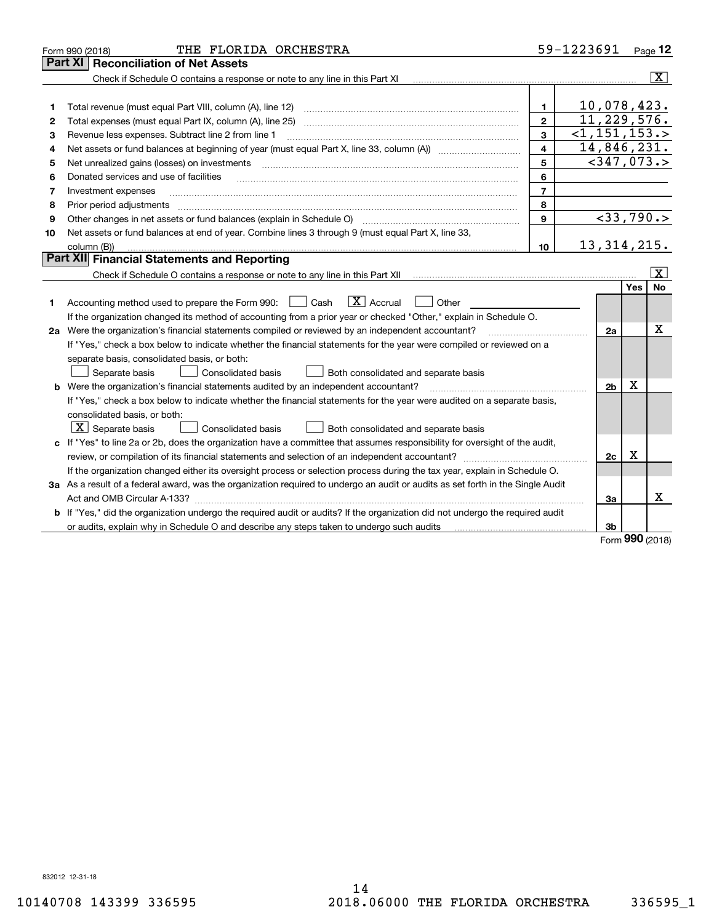|    | THE FLORIDA ORCHESTRA<br>Form 990 (2018)                                                                                        |                         | 59-1223691         |     | Page 12                 |
|----|---------------------------------------------------------------------------------------------------------------------------------|-------------------------|--------------------|-----|-------------------------|
|    | <b>Part XI Reconciliation of Net Assets</b>                                                                                     |                         |                    |     |                         |
|    | Check if Schedule O contains a response or note to any line in this Part XI                                                     |                         |                    |     | $\overline{\mathbf{x}}$ |
|    |                                                                                                                                 |                         |                    |     |                         |
| 1  |                                                                                                                                 | $\mathbf{1}$            | 10,078,423.        |     |                         |
| 2  |                                                                                                                                 | $\overline{2}$          | 11, 229, 576.      |     |                         |
| З  | Revenue less expenses. Subtract line 2 from line 1                                                                              | 3                       | $<$ 1, 151, 153. > |     |                         |
| 4  |                                                                                                                                 | $\overline{\mathbf{4}}$ | 14,846,231.        |     |                         |
| 5  | Net unrealized gains (losses) on investments                                                                                    | 5                       | $<$ 347,073.>      |     |                         |
| 6  | Donated services and use of facilities                                                                                          | 6                       |                    |     |                         |
| 7  | Investment expenses                                                                                                             | $\overline{7}$          |                    |     |                         |
| 8  | Prior period adjustments                                                                                                        | 8                       |                    |     |                         |
| 9  | Other changes in net assets or fund balances (explain in Schedule O)                                                            | $\mathbf{9}$            |                    |     | $<$ 33,790.>            |
| 10 | Net assets or fund balances at end of year. Combine lines 3 through 9 (must equal Part X, line 33,                              |                         |                    |     |                         |
|    | column (B))                                                                                                                     | 10                      | 13, 314, 215.      |     |                         |
|    | Part XII Financial Statements and Reporting                                                                                     |                         |                    |     |                         |
|    |                                                                                                                                 |                         |                    |     | $\mathbf{x}$            |
|    |                                                                                                                                 |                         |                    | Yes | No                      |
| 1  | $\boxed{\mathbf{X}}$ Accrual<br>Accounting method used to prepare the Form 990: <u>I</u> Cash<br>Other                          |                         |                    |     |                         |
|    | If the organization changed its method of accounting from a prior year or checked "Other," explain in Schedule O.               |                         |                    |     |                         |
|    | 2a Were the organization's financial statements compiled or reviewed by an independent accountant?                              |                         | 2a                 |     | Χ                       |
|    | If "Yes," check a box below to indicate whether the financial statements for the year were compiled or reviewed on a            |                         |                    |     |                         |
|    | separate basis, consolidated basis, or both:                                                                                    |                         |                    |     |                         |
|    | Separate basis<br><b>Consolidated basis</b><br>Both consolidated and separate basis                                             |                         |                    |     |                         |
|    | <b>b</b> Were the organization's financial statements audited by an independent accountant?                                     |                         | 2 <sub>b</sub>     | X   |                         |
|    | If "Yes," check a box below to indicate whether the financial statements for the year were audited on a separate basis,         |                         |                    |     |                         |
|    | consolidated basis, or both:                                                                                                    |                         |                    |     |                         |
|    | $X$ Separate basis<br><b>Consolidated basis</b><br>Both consolidated and separate basis                                         |                         |                    |     |                         |
|    | c If "Yes" to line 2a or 2b, does the organization have a committee that assumes responsibility for oversight of the audit,     |                         |                    |     |                         |
|    | review, or compilation of its financial statements and selection of an independent accountant?                                  |                         | 2c                 | х   |                         |
|    | If the organization changed either its oversight process or selection process during the tax year, explain in Schedule O.       |                         |                    |     |                         |
|    | 3a As a result of a federal award, was the organization required to undergo an audit or audits as set forth in the Single Audit |                         |                    |     |                         |
|    |                                                                                                                                 |                         | За                 |     | X                       |
| b  | If "Yes," did the organization undergo the required audit or audits? If the organization did not undergo the required audit     |                         |                    |     |                         |
|    | or audits, explain why in Schedule O and describe any steps taken to undergo such audits                                        |                         | 3b                 | nnn |                         |
|    |                                                                                                                                 |                         |                    |     |                         |

Form (2018) **990**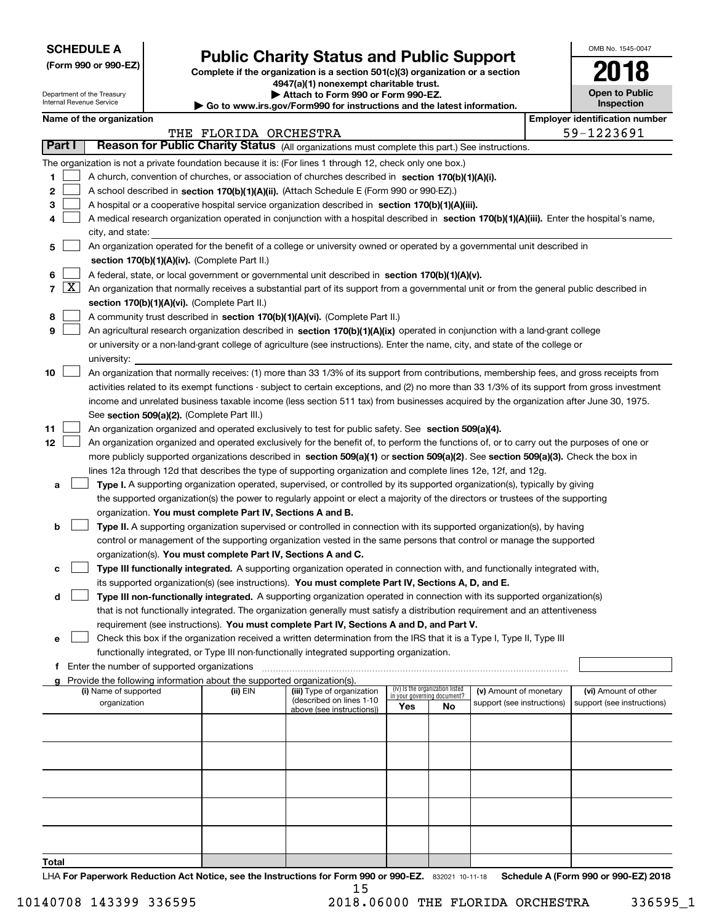| <b>SCHEDULE A</b> |
|-------------------|
|-------------------|

Department of the Treasury Internal Revenue Service

**(Form 990 or 990-EZ)**

# **Public Charity Status and Public Support**

**Complete if the organization is a section 501(c)(3) organization or a section 4947(a)(1) nonexempt charitable trust.**

**| Attach to Form 990 or Form 990-EZ.** 

**| Go to www.irs.gov/Form990 for instructions and the latest information.**

| OMB No. 1545-0047                   |
|-------------------------------------|
| '01<br>8                            |
| <b>Open to Public</b><br>Inspection |

|  | Name of the organization |
|--|--------------------------|
|--|--------------------------|

|            | Name of the organization                                                                                                                      |                       |                                                       |                                                                |    |                            | <b>Employer identification number</b> |  |
|------------|-----------------------------------------------------------------------------------------------------------------------------------------------|-----------------------|-------------------------------------------------------|----------------------------------------------------------------|----|----------------------------|---------------------------------------|--|
| Part I     |                                                                                                                                               | THE FLORIDA ORCHESTRA |                                                       |                                                                |    |                            | 59-1223691                            |  |
|            | Reason for Public Charity Status (All organizations must complete this part.) See instructions.                                               |                       |                                                       |                                                                |    |                            |                                       |  |
|            | The organization is not a private foundation because it is: (For lines 1 through 12, check only one box.)                                     |                       |                                                       |                                                                |    |                            |                                       |  |
| 1.         | A church, convention of churches, or association of churches described in section 170(b)(1)(A)(i).                                            |                       |                                                       |                                                                |    |                            |                                       |  |
| 2          | A school described in section 170(b)(1)(A)(ii). (Attach Schedule E (Form 990 or 990-EZ).)                                                     |                       |                                                       |                                                                |    |                            |                                       |  |
| з          | A hospital or a cooperative hospital service organization described in section $170(b)(1)(A)(iii)$ .                                          |                       |                                                       |                                                                |    |                            |                                       |  |
| 4          | A medical research organization operated in conjunction with a hospital described in section 170(b)(1)(A)(iii). Enter the hospital's name,    |                       |                                                       |                                                                |    |                            |                                       |  |
|            | city, and state:                                                                                                                              |                       |                                                       |                                                                |    |                            |                                       |  |
| 5          | An organization operated for the benefit of a college or university owned or operated by a governmental unit described in                     |                       |                                                       |                                                                |    |                            |                                       |  |
|            | section 170(b)(1)(A)(iv). (Complete Part II.)                                                                                                 |                       |                                                       |                                                                |    |                            |                                       |  |
| 6          | A federal, state, or local government or governmental unit described in section 170(b)(1)(A)(v).                                              |                       |                                                       |                                                                |    |                            |                                       |  |
| $7 \times$ | An organization that normally receives a substantial part of its support from a governmental unit or from the general public described in     |                       |                                                       |                                                                |    |                            |                                       |  |
|            | section 170(b)(1)(A)(vi). (Complete Part II.)                                                                                                 |                       |                                                       |                                                                |    |                            |                                       |  |
| 8          | A community trust described in section 170(b)(1)(A)(vi). (Complete Part II.)                                                                  |                       |                                                       |                                                                |    |                            |                                       |  |
| 9          | An agricultural research organization described in section 170(b)(1)(A)(ix) operated in conjunction with a land-grant college                 |                       |                                                       |                                                                |    |                            |                                       |  |
|            | or university or a non-land-grant college of agriculture (see instructions). Enter the name, city, and state of the college or                |                       |                                                       |                                                                |    |                            |                                       |  |
|            | university:                                                                                                                                   |                       |                                                       |                                                                |    |                            |                                       |  |
| 10         | An organization that normally receives: (1) more than 33 1/3% of its support from contributions, membership fees, and gross receipts from     |                       |                                                       |                                                                |    |                            |                                       |  |
|            | activities related to its exempt functions - subject to certain exceptions, and (2) no more than 33 1/3% of its support from gross investment |                       |                                                       |                                                                |    |                            |                                       |  |
|            | income and unrelated business taxable income (less section 511 tax) from businesses acquired by the organization after June 30, 1975.         |                       |                                                       |                                                                |    |                            |                                       |  |
|            | See section 509(a)(2). (Complete Part III.)                                                                                                   |                       |                                                       |                                                                |    |                            |                                       |  |
| 11         | An organization organized and operated exclusively to test for public safety. See section 509(a)(4).                                          |                       |                                                       |                                                                |    |                            |                                       |  |
| 12         | An organization organized and operated exclusively for the benefit of, to perform the functions of, or to carry out the purposes of one or    |                       |                                                       |                                                                |    |                            |                                       |  |
|            | more publicly supported organizations described in section 509(a)(1) or section 509(a)(2). See section 509(a)(3). Check the box in            |                       |                                                       |                                                                |    |                            |                                       |  |
|            | lines 12a through 12d that describes the type of supporting organization and complete lines 12e, 12f, and 12g.                                |                       |                                                       |                                                                |    |                            |                                       |  |
| а          | Type I. A supporting organization operated, supervised, or controlled by its supported organization(s), typically by giving                   |                       |                                                       |                                                                |    |                            |                                       |  |
|            | the supported organization(s) the power to regularly appoint or elect a majority of the directors or trustees of the supporting               |                       |                                                       |                                                                |    |                            |                                       |  |
|            | organization. You must complete Part IV, Sections A and B.                                                                                    |                       |                                                       |                                                                |    |                            |                                       |  |
| b          | Type II. A supporting organization supervised or controlled in connection with its supported organization(s), by having                       |                       |                                                       |                                                                |    |                            |                                       |  |
|            | control or management of the supporting organization vested in the same persons that control or manage the supported                          |                       |                                                       |                                                                |    |                            |                                       |  |
|            | organization(s). You must complete Part IV, Sections A and C.                                                                                 |                       |                                                       |                                                                |    |                            |                                       |  |
| с          | Type III functionally integrated. A supporting organization operated in connection with, and functionally integrated with,                    |                       |                                                       |                                                                |    |                            |                                       |  |
|            | its supported organization(s) (see instructions). You must complete Part IV, Sections A, D, and E.                                            |                       |                                                       |                                                                |    |                            |                                       |  |
| d          | Type III non-functionally integrated. A supporting organization operated in connection with its supported organization(s)                     |                       |                                                       |                                                                |    |                            |                                       |  |
|            | that is not functionally integrated. The organization generally must satisfy a distribution requirement and an attentiveness                  |                       |                                                       |                                                                |    |                            |                                       |  |
|            | requirement (see instructions). You must complete Part IV, Sections A and D, and Part V.                                                      |                       |                                                       |                                                                |    |                            |                                       |  |
|            | Check this box if the organization received a written determination from the IRS that it is a Type I, Type II, Type III                       |                       |                                                       |                                                                |    |                            |                                       |  |
|            | functionally integrated, or Type III non-functionally integrated supporting organization.                                                     |                       |                                                       |                                                                |    |                            |                                       |  |
|            | f Enter the number of supported organizations                                                                                                 |                       |                                                       |                                                                |    |                            |                                       |  |
|            | g Provide the following information about the supported organization(s).                                                                      |                       |                                                       |                                                                |    |                            |                                       |  |
|            | (i) Name of supported                                                                                                                         | (ii) EIN              | (iii) Type of organization                            | (iv) Is the organization listed<br>in your governing document? |    | (v) Amount of monetary     | (vi) Amount of other                  |  |
|            | organization                                                                                                                                  |                       | (described on lines 1-10<br>above (see instructions)) | Yes                                                            | No | support (see instructions) | support (see instructions)            |  |
|            |                                                                                                                                               |                       |                                                       |                                                                |    |                            |                                       |  |
|            |                                                                                                                                               |                       |                                                       |                                                                |    |                            |                                       |  |
|            |                                                                                                                                               |                       |                                                       |                                                                |    |                            |                                       |  |
|            |                                                                                                                                               |                       |                                                       |                                                                |    |                            |                                       |  |
|            |                                                                                                                                               |                       |                                                       |                                                                |    |                            |                                       |  |
|            |                                                                                                                                               |                       |                                                       |                                                                |    |                            |                                       |  |
|            |                                                                                                                                               |                       |                                                       |                                                                |    |                            |                                       |  |
|            |                                                                                                                                               |                       |                                                       |                                                                |    |                            |                                       |  |
|            |                                                                                                                                               |                       |                                                       |                                                                |    |                            |                                       |  |
|            |                                                                                                                                               |                       |                                                       |                                                                |    |                            |                                       |  |
| Total      |                                                                                                                                               |                       |                                                       |                                                                |    |                            |                                       |  |

LHA For Paperwork Reduction Act Notice, see the Instructions for Form 990 or 990-EZ. 832021 10-11-18 Schedule A (Form 990 or 990-EZ) 2018 15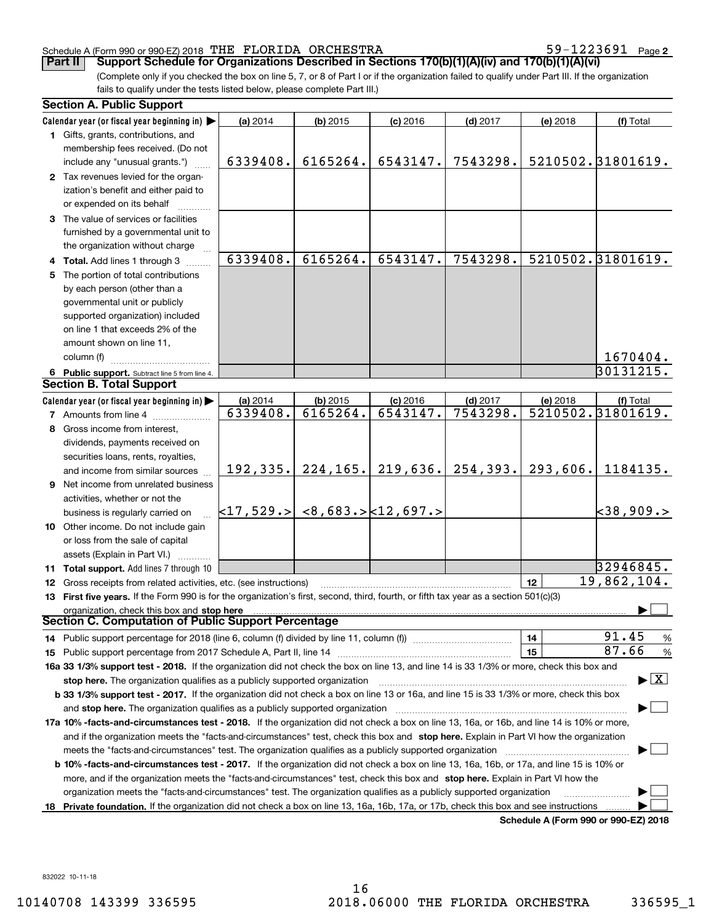59-1223691 Page 2

(Complete only if you checked the box on line 5, 7, or 8 of Part I or if the organization failed to qualify under Part III. If the organization fails to qualify under the tests listed below, please complete Part III.) **Part II COPPORT Schedule for Organizations Described in Sections 170(b)(1)(A)(iv) and 170(b)(1)(A)(vi)** 

|    | <b>Section A. Public Support</b>                                                                                                               |                                                            |                        |                        |                        |          |                                      |
|----|------------------------------------------------------------------------------------------------------------------------------------------------|------------------------------------------------------------|------------------------|------------------------|------------------------|----------|--------------------------------------|
|    | Calendar year (or fiscal year beginning in)                                                                                                    | (a) 2014                                                   | $(b)$ 2015             | $(c)$ 2016             | $(d)$ 2017             | (e) 2018 | (f) Total                            |
|    | 1 Gifts, grants, contributions, and                                                                                                            |                                                            |                        |                        |                        |          |                                      |
|    | membership fees received. (Do not                                                                                                              |                                                            |                        |                        |                        |          |                                      |
|    | include any "unusual grants.")                                                                                                                 | 6339408.                                                   | 6165264.               | 6543147.               | 7543298.               |          | 5210502. 31801619.                   |
|    | 2 Tax revenues levied for the organ-                                                                                                           |                                                            |                        |                        |                        |          |                                      |
|    | ization's benefit and either paid to                                                                                                           |                                                            |                        |                        |                        |          |                                      |
|    | or expended on its behalf                                                                                                                      |                                                            |                        |                        |                        |          |                                      |
|    | 3 The value of services or facilities                                                                                                          |                                                            |                        |                        |                        |          |                                      |
|    | furnished by a governmental unit to                                                                                                            |                                                            |                        |                        |                        |          |                                      |
|    | the organization without charge                                                                                                                |                                                            |                        |                        |                        |          |                                      |
|    | 4 Total. Add lines 1 through 3                                                                                                                 | 6339408.                                                   | 6165264.               | 6543147.               | $\overline{75}$ 43298. |          | 5210502.31801619.                    |
|    | 5 The portion of total contributions                                                                                                           |                                                            |                        |                        |                        |          |                                      |
|    | by each person (other than a                                                                                                                   |                                                            |                        |                        |                        |          |                                      |
|    | governmental unit or publicly                                                                                                                  |                                                            |                        |                        |                        |          |                                      |
|    | supported organization) included                                                                                                               |                                                            |                        |                        |                        |          |                                      |
|    | on line 1 that exceeds 2% of the                                                                                                               |                                                            |                        |                        |                        |          |                                      |
|    | amount shown on line 11,                                                                                                                       |                                                            |                        |                        |                        |          |                                      |
|    | column (f)                                                                                                                                     |                                                            |                        |                        |                        |          | 1670404.                             |
|    | 6 Public support. Subtract line 5 from line 4.                                                                                                 |                                                            |                        |                        |                        |          | 30131215.                            |
|    | <b>Section B. Total Support</b>                                                                                                                |                                                            |                        |                        |                        |          |                                      |
|    | Calendar year (or fiscal year beginning in)                                                                                                    |                                                            |                        |                        | $(d)$ 2017             | (e) 2018 | (f) Total                            |
|    | <b>7</b> Amounts from line 4                                                                                                                   | (a) 2014<br>6339408.                                       | $(b)$ 2015<br>6165264. | $(c)$ 2016<br>6543147. | 7543298.               |          | 5210502.31801619.                    |
|    | 8 Gross income from interest,                                                                                                                  |                                                            |                        |                        |                        |          |                                      |
|    |                                                                                                                                                |                                                            |                        |                        |                        |          |                                      |
|    | dividends, payments received on                                                                                                                |                                                            |                        |                        |                        |          |                                      |
|    | securities loans, rents, royalties,                                                                                                            | 192, 335.                                                  | 224, 165.              | 219,636.               | 254, 393.              | 293,606. | 1184135.                             |
|    | and income from similar sources                                                                                                                |                                                            |                        |                        |                        |          |                                      |
|    | 9 Net income from unrelated business                                                                                                           |                                                            |                        |                        |                        |          |                                      |
|    | activities, whether or not the                                                                                                                 |                                                            |                        |                        |                        |          |                                      |
|    | business is regularly carried on                                                                                                               | $\left  17,529. \right $ <8,683.> $\left  12,697. \right $ |                        |                        |                        |          | $ $ <38,909.>                        |
|    | 10 Other income. Do not include gain                                                                                                           |                                                            |                        |                        |                        |          |                                      |
|    | or loss from the sale of capital                                                                                                               |                                                            |                        |                        |                        |          |                                      |
|    | assets (Explain in Part VI.)                                                                                                                   |                                                            |                        |                        |                        |          |                                      |
|    | 11 Total support. Add lines 7 through 10                                                                                                       |                                                            |                        |                        |                        |          | 32946845.                            |
|    | 12 Gross receipts from related activities, etc. (see instructions)                                                                             |                                                            |                        |                        |                        | 12       | 19,862,104.                          |
|    | 13 First five years. If the Form 990 is for the organization's first, second, third, fourth, or fifth tax year as a section 501(c)(3)          |                                                            |                        |                        |                        |          |                                      |
|    | organization, check this box and stop here                                                                                                     |                                                            |                        |                        |                        |          |                                      |
|    | Section C. Computation of Public Support Percentage                                                                                            |                                                            |                        |                        |                        |          |                                      |
|    | 14 Public support percentage for 2018 (line 6, column (f) divided by line 11, column (f) <i>manumeronoming</i>                                 |                                                            |                        |                        |                        | 14       | 91.45<br>$\frac{9}{6}$               |
|    |                                                                                                                                                |                                                            |                        |                        |                        | 15       | 87.66<br>%                           |
|    | 16a 33 1/3% support test - 2018. If the organization did not check the box on line 13, and line 14 is 33 1/3% or more, check this box and      |                                                            |                        |                        |                        |          |                                      |
|    | stop here. The organization qualifies as a publicly supported organization                                                                     |                                                            |                        |                        |                        |          | $\blacktriangleright$ $\vert$ X      |
|    | b 33 1/3% support test - 2017. If the organization did not check a box on line 13 or 16a, and line 15 is 33 1/3% or more, check this box       |                                                            |                        |                        |                        |          |                                      |
|    | and stop here. The organization qualifies as a publicly supported organization                                                                 |                                                            |                        |                        |                        |          |                                      |
|    | 17a 10% -facts-and-circumstances test - 2018. If the organization did not check a box on line 13, 16a, or 16b, and line 14 is 10% or more,     |                                                            |                        |                        |                        |          |                                      |
|    | and if the organization meets the "facts-and-circumstances" test, check this box and stop here. Explain in Part VI how the organization        |                                                            |                        |                        |                        |          |                                      |
|    | meets the "facts-and-circumstances" test. The organization qualifies as a publicly supported organization <i>marroummumumumum</i>              |                                                            |                        |                        |                        |          |                                      |
|    | <b>b 10% -facts-and-circumstances test - 2017.</b> If the organization did not check a box on line 13, 16a, 16b, or 17a, and line 15 is 10% or |                                                            |                        |                        |                        |          |                                      |
|    | more, and if the organization meets the "facts-and-circumstances" test, check this box and stop here. Explain in Part VI how the               |                                                            |                        |                        |                        |          |                                      |
|    | organization meets the "facts-and-circumstances" test. The organization qualifies as a publicly supported organization                         |                                                            |                        |                        |                        |          |                                      |
| 18 | Private foundation. If the organization did not check a box on line 13, 16a, 16b, 17a, or 17b, check this box and see instructions             |                                                            |                        |                        |                        |          |                                      |
|    |                                                                                                                                                |                                                            |                        |                        |                        |          | Schedule A (Form 990 or 990-F7) 2018 |

**Schedule A (Form 990 or 990-EZ) 2018**

832022 10-11-18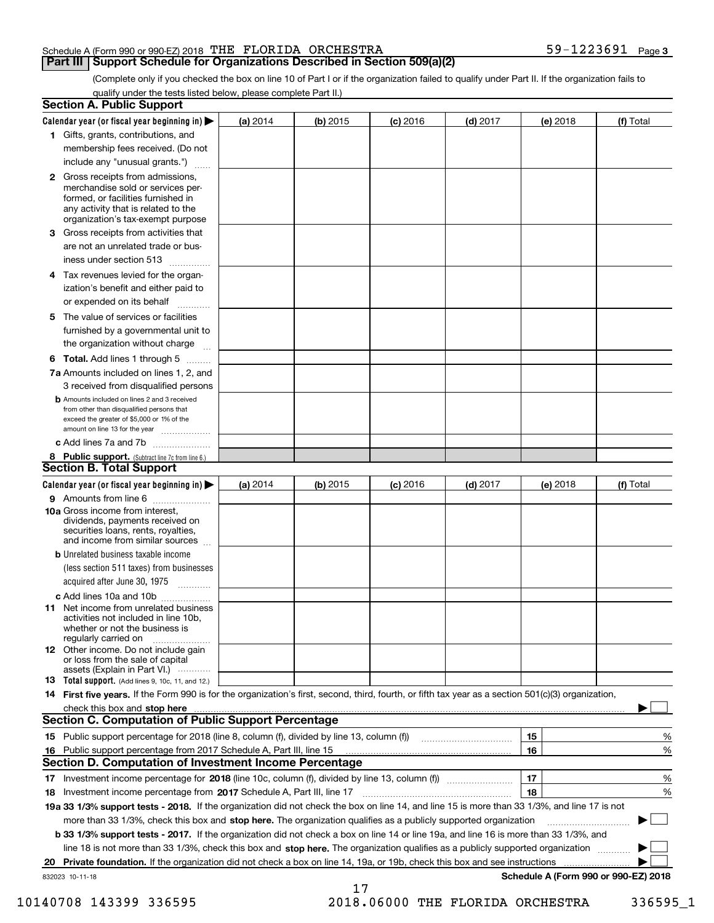### **Part III** | Support Schedule for Organizations Described in Section 509(a)(2)

**3**

(Complete only if you checked the box on line 10 of Part I or if the organization failed to qualify under Part II. If the organization fails to qualify under the tests listed below, please complete Part II.)

|     | <b>Section A. Public Support</b>                                                                                                                                                                |          |          |            |            |          |                                      |
|-----|-------------------------------------------------------------------------------------------------------------------------------------------------------------------------------------------------|----------|----------|------------|------------|----------|--------------------------------------|
|     | Calendar year (or fiscal year beginning in) $\blacktriangleright$                                                                                                                               | (a) 2014 | (b) 2015 | $(c)$ 2016 | $(d)$ 2017 | (e) 2018 | (f) Total                            |
|     | 1 Gifts, grants, contributions, and                                                                                                                                                             |          |          |            |            |          |                                      |
|     | membership fees received. (Do not                                                                                                                                                               |          |          |            |            |          |                                      |
|     | include any "unusual grants.")                                                                                                                                                                  |          |          |            |            |          |                                      |
|     | <b>2</b> Gross receipts from admissions,<br>merchandise sold or services per-<br>formed, or facilities furnished in<br>any activity that is related to the<br>organization's tax-exempt purpose |          |          |            |            |          |                                      |
|     | 3 Gross receipts from activities that<br>are not an unrelated trade or bus-                                                                                                                     |          |          |            |            |          |                                      |
|     | iness under section 513                                                                                                                                                                         |          |          |            |            |          |                                      |
|     | 4 Tax revenues levied for the organ-<br>ization's benefit and either paid to<br>or expended on its behalf                                                                                       |          |          |            |            |          |                                      |
|     | .<br>5 The value of services or facilities                                                                                                                                                      |          |          |            |            |          |                                      |
|     | furnished by a governmental unit to<br>the organization without charge                                                                                                                          |          |          |            |            |          |                                      |
|     | <b>6 Total.</b> Add lines 1 through 5                                                                                                                                                           |          |          |            |            |          |                                      |
|     | 7a Amounts included on lines 1, 2, and<br>3 received from disqualified persons                                                                                                                  |          |          |            |            |          |                                      |
|     | <b>b</b> Amounts included on lines 2 and 3 received<br>from other than disqualified persons that<br>exceed the greater of \$5,000 or 1% of the<br>amount on line 13 for the year                |          |          |            |            |          |                                      |
|     | c Add lines 7a and 7b                                                                                                                                                                           |          |          |            |            |          |                                      |
|     | 8 Public support. (Subtract line 7c from line 6.)                                                                                                                                               |          |          |            |            |          |                                      |
|     | <b>Section B. Total Support</b>                                                                                                                                                                 |          |          |            |            |          |                                      |
|     | Calendar year (or fiscal year beginning in) $\blacktriangleright$                                                                                                                               | (a) 2014 | (b) 2015 | $(c)$ 2016 | $(d)$ 2017 | (e) 2018 | (f) Total                            |
|     | 9 Amounts from line 6                                                                                                                                                                           |          |          |            |            |          |                                      |
|     | 10a Gross income from interest,<br>dividends, payments received on<br>securities loans, rents, royalties,<br>and income from similar sources                                                    |          |          |            |            |          |                                      |
|     | <b>b</b> Unrelated business taxable income<br>(less section 511 taxes) from businesses<br>acquired after June 30, 1975                                                                          |          |          |            |            |          |                                      |
|     | c Add lines 10a and 10b                                                                                                                                                                         |          |          |            |            |          |                                      |
|     | 11 Net income from unrelated business<br>activities not included in line 10b,<br>whether or not the business is<br>regularly carried on                                                         |          |          |            |            |          |                                      |
|     | <b>12</b> Other income. Do not include gain<br>or loss from the sale of capital<br>assets (Explain in Part VI.)                                                                                 |          |          |            |            |          |                                      |
|     | 13 Total support. (Add lines 9, 10c, 11, and 12.)                                                                                                                                               |          |          |            |            |          |                                      |
|     | 14 First five years. If the Form 990 is for the organization's first, second, third, fourth, or fifth tax year as a section 501(c)(3) organization,                                             |          |          |            |            |          |                                      |
|     | check this box and stop here www.communications.communications.com/                                                                                                                             |          |          |            |            |          |                                      |
|     | <b>Section C. Computation of Public Support Percentage</b>                                                                                                                                      |          |          |            |            |          |                                      |
|     |                                                                                                                                                                                                 |          |          |            |            | 15       | %                                    |
| 16. | Public support percentage from 2017 Schedule A, Part III, line 15                                                                                                                               |          |          |            |            | 16       | %                                    |
|     | Section D. Computation of Investment Income Percentage                                                                                                                                          |          |          |            |            |          |                                      |
|     | 17 Investment income percentage for 2018 (line 10c, column (f), divided by line 13, column (f))                                                                                                 |          |          |            |            | 17       | %                                    |
|     | 18 Investment income percentage from 2017 Schedule A, Part III, line 17                                                                                                                         |          |          |            |            | 18       | %                                    |
|     | 19a 33 1/3% support tests - 2018. If the organization did not check the box on line 14, and line 15 is more than 33 1/3%, and line 17 is not                                                    |          |          |            |            |          |                                      |
|     | more than 33 1/3%, check this box and stop here. The organization qualifies as a publicly supported organization                                                                                |          |          |            |            |          |                                      |
|     | b 33 1/3% support tests - 2017. If the organization did not check a box on line 14 or line 19a, and line 16 is more than 33 1/3%, and                                                           |          |          |            |            |          |                                      |
|     | line 18 is not more than 33 1/3%, check this box and stop here. The organization qualifies as a publicly supported organization                                                                 |          |          |            |            |          |                                      |
| 20  | Private foundation. If the organization did not check a box on line 14, 19a, or 19b, check this box and see instructions                                                                        |          |          |            |            |          | .                                    |
|     | 832023 10-11-18                                                                                                                                                                                 |          | 17       |            |            |          | Schedule A (Form 990 or 990-EZ) 2018 |

10140708 143399 336595 2018.06000 THE FLORIDA ORCHESTRA 336595\_1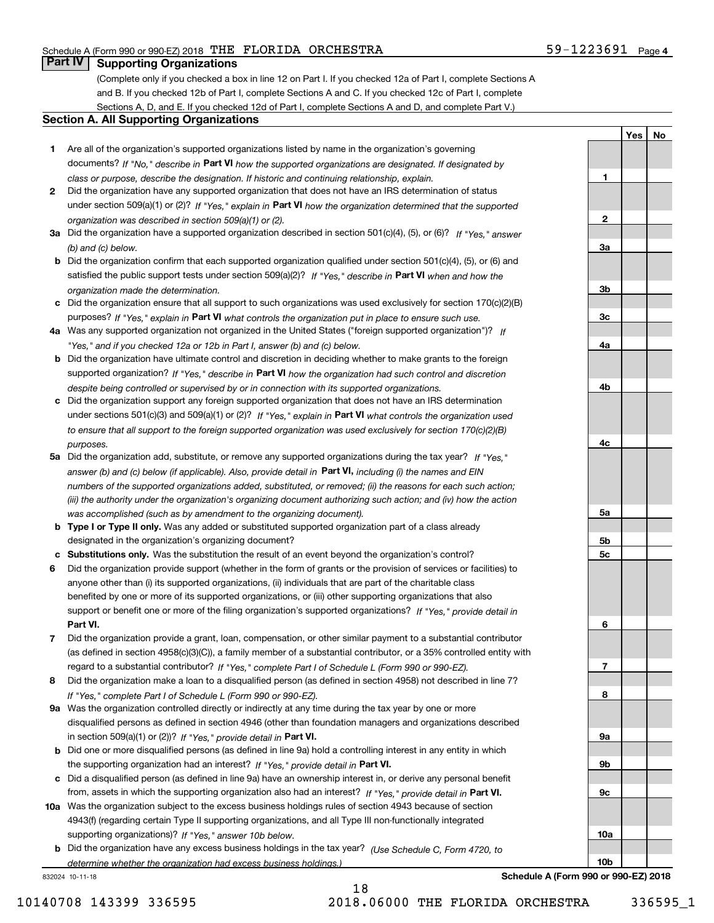**1**

**2**

**3a**

**3b**

**3c**

**4a**

**Yes No**

# **Part IV Supporting Organizations**

(Complete only if you checked a box in line 12 on Part I. If you checked 12a of Part I, complete Sections A and B. If you checked 12b of Part I, complete Sections A and C. If you checked 12c of Part I, complete Sections A, D, and E. If you checked 12d of Part I, complete Sections A and D, and complete Part V.)

#### **Section A. All Supporting Organizations**

- **1** Are all of the organization's supported organizations listed by name in the organization's governing documents? If "No," describe in **Part VI** how the supported organizations are designated. If designated by *class or purpose, describe the designation. If historic and continuing relationship, explain.*
- **2** Did the organization have any supported organization that does not have an IRS determination of status under section 509(a)(1) or (2)? If "Yes," explain in Part VI how the organization determined that the supported *organization was described in section 509(a)(1) or (2).*
- **3a** Did the organization have a supported organization described in section 501(c)(4), (5), or (6)? If "Yes," answer *(b) and (c) below.*
- **b** Did the organization confirm that each supported organization qualified under section 501(c)(4), (5), or (6) and satisfied the public support tests under section 509(a)(2)? If "Yes," describe in **Part VI** when and how the *organization made the determination.*
- **c**Did the organization ensure that all support to such organizations was used exclusively for section 170(c)(2)(B) purposes? If "Yes," explain in **Part VI** what controls the organization put in place to ensure such use.
- **4a***If* Was any supported organization not organized in the United States ("foreign supported organization")? *"Yes," and if you checked 12a or 12b in Part I, answer (b) and (c) below.*
- **b** Did the organization have ultimate control and discretion in deciding whether to make grants to the foreign supported organization? If "Yes," describe in **Part VI** how the organization had such control and discretion *despite being controlled or supervised by or in connection with its supported organizations.*
- **c** Did the organization support any foreign supported organization that does not have an IRS determination under sections 501(c)(3) and 509(a)(1) or (2)? If "Yes," explain in **Part VI** what controls the organization used *to ensure that all support to the foreign supported organization was used exclusively for section 170(c)(2)(B) purposes.*
- **5a** Did the organization add, substitute, or remove any supported organizations during the tax year? If "Yes," answer (b) and (c) below (if applicable). Also, provide detail in **Part VI,** including (i) the names and EIN *numbers of the supported organizations added, substituted, or removed; (ii) the reasons for each such action; (iii) the authority under the organization's organizing document authorizing such action; and (iv) how the action was accomplished (such as by amendment to the organizing document).*
- **b** Type I or Type II only. Was any added or substituted supported organization part of a class already designated in the organization's organizing document?
- **cSubstitutions only.**  Was the substitution the result of an event beyond the organization's control?
- **6** Did the organization provide support (whether in the form of grants or the provision of services or facilities) to **Part VI.** *If "Yes," provide detail in* support or benefit one or more of the filing organization's supported organizations? anyone other than (i) its supported organizations, (ii) individuals that are part of the charitable class benefited by one or more of its supported organizations, or (iii) other supporting organizations that also
- **7**Did the organization provide a grant, loan, compensation, or other similar payment to a substantial contributor *If "Yes," complete Part I of Schedule L (Form 990 or 990-EZ).* regard to a substantial contributor? (as defined in section 4958(c)(3)(C)), a family member of a substantial contributor, or a 35% controlled entity with
- **8** Did the organization make a loan to a disqualified person (as defined in section 4958) not described in line 7? *If "Yes," complete Part I of Schedule L (Form 990 or 990-EZ).*
- **9a** Was the organization controlled directly or indirectly at any time during the tax year by one or more in section 509(a)(1) or (2))? If "Yes," *provide detail in* <code>Part VI.</code> disqualified persons as defined in section 4946 (other than foundation managers and organizations described
- **b** Did one or more disqualified persons (as defined in line 9a) hold a controlling interest in any entity in which the supporting organization had an interest? If "Yes," provide detail in P**art VI**.
- **c**Did a disqualified person (as defined in line 9a) have an ownership interest in, or derive any personal benefit from, assets in which the supporting organization also had an interest? If "Yes," provide detail in P**art VI.**
- **10a** Was the organization subject to the excess business holdings rules of section 4943 because of section supporting organizations)? If "Yes," answer 10b below. 4943(f) (regarding certain Type II supporting organizations, and all Type III non-functionally integrated
- **b** Did the organization have any excess business holdings in the tax year? (Use Schedule C, Form 4720, to *determine whether the organization had excess business holdings.)*

18

832024 10-11-18

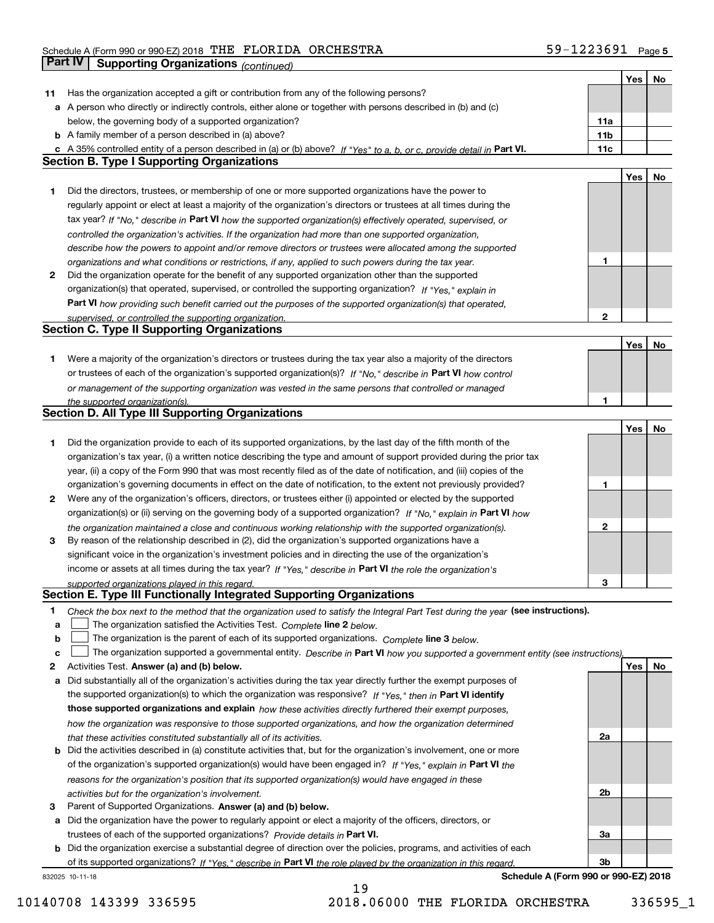|    |                                                                                                                                   |                                | Yes | No |
|----|-----------------------------------------------------------------------------------------------------------------------------------|--------------------------------|-----|----|
| 11 | Has the organization accepted a gift or contribution from any of the following persons?                                           |                                |     |    |
|    | a A person who directly or indirectly controls, either alone or together with persons described in (b) and (c)                    |                                |     |    |
|    | below, the governing body of a supported organization?                                                                            | 11a                            |     |    |
|    | <b>b</b> A family member of a person described in (a) above?                                                                      | 11b                            |     |    |
|    | c A 35% controlled entity of a person described in (a) or (b) above? If "Yes" to a, b, or c, provide detail in Part VI.           | 11c                            |     |    |
|    | <b>Section B. Type I Supporting Organizations</b>                                                                                 |                                |     |    |
|    |                                                                                                                                   |                                | Yes | No |
| 1  | Did the directors, trustees, or membership of one or more supported organizations have the power to                               |                                |     |    |
|    | regularly appoint or elect at least a majority of the organization's directors or trustees at all times during the                |                                |     |    |
|    | tax year? If "No," describe in Part VI how the supported organization(s) effectively operated, supervised, or                     |                                |     |    |
|    | controlled the organization's activities. If the organization had more than one supported organization,                           |                                |     |    |
|    | describe how the powers to appoint and/or remove directors or trustees were allocated among the supported                         |                                |     |    |
|    | organizations and what conditions or restrictions, if any, applied to such powers during the tax year.                            | 1                              |     |    |
| 2  | Did the organization operate for the benefit of any supported organization other than the supported                               |                                |     |    |
|    | organization(s) that operated, supervised, or controlled the supporting organization? If "Yes," explain in                        |                                |     |    |
|    | Part VI how providing such benefit carried out the purposes of the supported organization(s) that operated,                       |                                |     |    |
|    | supervised, or controlled the supporting organization.                                                                            | 2                              |     |    |
|    | <b>Section C. Type II Supporting Organizations</b>                                                                                |                                |     |    |
|    |                                                                                                                                   |                                | Yes | No |
| 1  | Were a majority of the organization's directors or trustees during the tax year also a majority of the directors                  |                                |     |    |
|    | or trustees of each of the organization's supported organization(s)? If "No," describe in Part VI how control                     |                                |     |    |
|    | or management of the supporting organization was vested in the same persons that controlled or managed                            |                                |     |    |
|    | the supported organization(s).<br><b>Section D. All Type III Supporting Organizations</b>                                         | 1                              |     |    |
|    |                                                                                                                                   |                                | Yes | No |
| 1  | Did the organization provide to each of its supported organizations, by the last day of the fifth month of the                    |                                |     |    |
|    | organization's tax year, (i) a written notice describing the type and amount of support provided during the prior tax             |                                |     |    |
|    | year, (ii) a copy of the Form 990 that was most recently filed as of the date of notification, and (iii) copies of the            |                                |     |    |
|    | organization's governing documents in effect on the date of notification, to the extent not previously provided?                  | 1                              |     |    |
| 2  | Were any of the organization's officers, directors, or trustees either (i) appointed or elected by the supported                  |                                |     |    |
|    | organization(s) or (ii) serving on the governing body of a supported organization? If "No," explain in Part VI how                |                                |     |    |
|    | the organization maintained a close and continuous working relationship with the supported organization(s).                       | 2                              |     |    |
| 3  | By reason of the relationship described in (2), did the organization's supported organizations have a                             |                                |     |    |
|    | significant voice in the organization's investment policies and in directing the use of the organization's                        |                                |     |    |
|    | income or assets at all times during the tax year? If "Yes," describe in Part VI the role the organization's                      |                                |     |    |
|    | supported organizations played in this regard.                                                                                    | З                              |     |    |
|    | Section E. Type III Functionally Integrated Supporting Organizations                                                              |                                |     |    |
| 1  | Check the box next to the method that the organization used to satisfy the Integral Part Test during the year (see instructions). |                                |     |    |
| a  | The organization satisfied the Activities Test. Complete line 2 below.                                                            |                                |     |    |
| b  | The organization is the parent of each of its supported organizations. Complete line 3 below.                                     |                                |     |    |
| c  | The organization supported a governmental entity. Describe in Part VI how you supported a government entity (see instructions)    |                                |     |    |
| 2  | Activities Test. Answer (a) and (b) below.                                                                                        |                                | Yes | No |
| а  | Did substantially all of the organization's activities during the tax year directly further the exempt purposes of                |                                |     |    |
|    | the supported organization(s) to which the organization was responsive? If "Yes," then in Part VI identify                        |                                |     |    |
|    | those supported organizations and explain how these activities directly furthered their exempt purposes,                          |                                |     |    |
|    | how the organization was responsive to those supported organizations, and how the organization determined                         |                                |     |    |
|    | that these activities constituted substantially all of its activities.                                                            | 2a                             |     |    |
| b  | Did the activities described in (a) constitute activities that, but for the organization's involvement, one or more               |                                |     |    |
|    | of the organization's supported organization(s) would have been engaged in? If "Yes," explain in Part VI the                      |                                |     |    |
|    | reasons for the organization's position that its supported organization(s) would have engaged in these                            |                                |     |    |
|    | activities but for the organization's involvement.                                                                                | 2b                             |     |    |
| з  | Parent of Supported Organizations. Answer (a) and (b) below.                                                                      |                                |     |    |
| а  | Did the organization have the power to regularly appoint or elect a majority of the officers, directors, or                       |                                |     |    |
|    | trustees of each of the supported organizations? Provide details in Part VI.                                                      | За                             |     |    |
| b  | Did the organization exercise a substantial degree of direction over the policies, programs, and activities of each               |                                |     |    |
|    | of its supported organizations? If "Yes," describe in Part VI the role played by the organization in this regard                  | Зb                             |     |    |
|    |                                                                                                                                   | $A$ (Faxes 000 av 000 EZ) 0040 |     |    |

19

832025 10-11-18

**Schedule A (Form 990 or 990-EZ) 2018**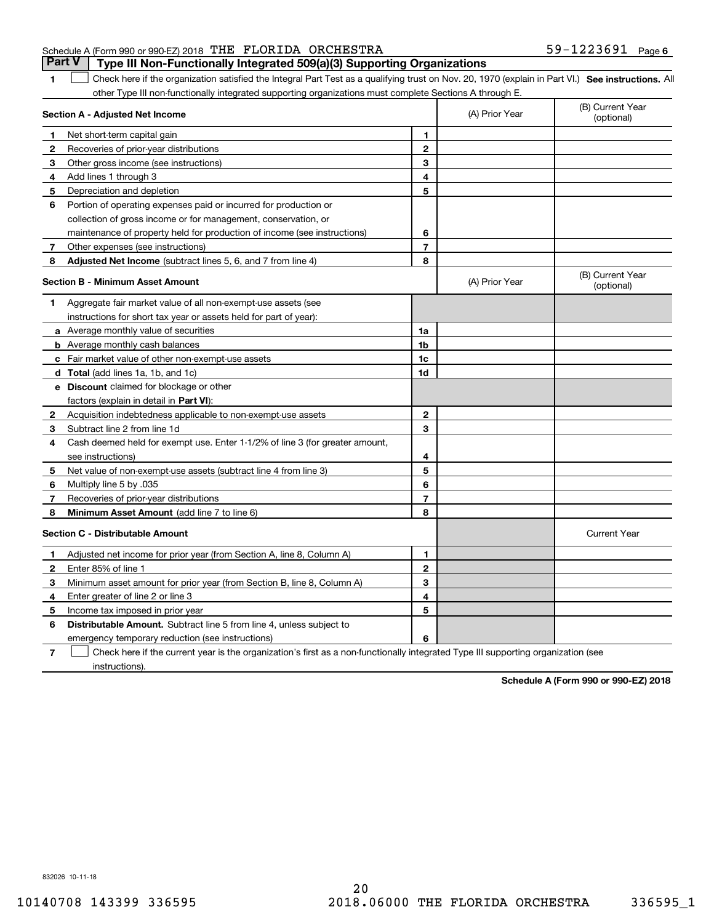1 Check here if the organization satisfied the Integral Part Test as a qualifying trust on Nov. 20, 1970 (explain in Part VI.) See instructions. All other Type III non-functionally integrated supporting organizations must complete Sections A through E. **Part V Type III Non-Functionally Integrated 509(a)(3) Supporting Organizations** 

|   | Section A - Adjusted Net Income                                                                                                   | (A) Prior Year | (B) Current Year<br>(optional) |                                |
|---|-----------------------------------------------------------------------------------------------------------------------------------|----------------|--------------------------------|--------------------------------|
| 1 | Net short-term capital gain                                                                                                       | 1              |                                |                                |
| 2 | Recoveries of prior-year distributions                                                                                            | $\overline{2}$ |                                |                                |
| 3 | Other gross income (see instructions)                                                                                             | 3              |                                |                                |
| 4 | Add lines 1 through 3                                                                                                             | 4              |                                |                                |
| 5 | Depreciation and depletion                                                                                                        | 5              |                                |                                |
| 6 | Portion of operating expenses paid or incurred for production or                                                                  |                |                                |                                |
|   | collection of gross income or for management, conservation, or                                                                    |                |                                |                                |
|   | maintenance of property held for production of income (see instructions)                                                          | 6              |                                |                                |
| 7 | Other expenses (see instructions)                                                                                                 | $\overline{7}$ |                                |                                |
| 8 | Adjusted Net Income (subtract lines 5, 6, and 7 from line 4)                                                                      | 8              |                                |                                |
|   | <b>Section B - Minimum Asset Amount</b>                                                                                           |                | (A) Prior Year                 | (B) Current Year<br>(optional) |
| 1 | Aggregate fair market value of all non-exempt-use assets (see                                                                     |                |                                |                                |
|   | instructions for short tax year or assets held for part of year):                                                                 |                |                                |                                |
|   | <b>a</b> Average monthly value of securities                                                                                      | 1a             |                                |                                |
|   | <b>b</b> Average monthly cash balances                                                                                            | 1 <sub>b</sub> |                                |                                |
|   | c Fair market value of other non-exempt-use assets                                                                                | 1c             |                                |                                |
|   | d Total (add lines 1a, 1b, and 1c)                                                                                                | 1d             |                                |                                |
|   | e Discount claimed for blockage or other                                                                                          |                |                                |                                |
|   | factors (explain in detail in Part VI):                                                                                           |                |                                |                                |
| 2 | Acquisition indebtedness applicable to non-exempt-use assets                                                                      | $\mathbf{2}$   |                                |                                |
| 3 | Subtract line 2 from line 1d                                                                                                      | 3              |                                |                                |
| 4 | Cash deemed held for exempt use. Enter 1-1/2% of line 3 (for greater amount,                                                      |                |                                |                                |
|   | see instructions)                                                                                                                 | 4              |                                |                                |
| 5 | Net value of non-exempt-use assets (subtract line 4 from line 3)                                                                  | 5              |                                |                                |
| 6 | Multiply line 5 by .035                                                                                                           | 6              |                                |                                |
| 7 | Recoveries of prior-year distributions                                                                                            | $\overline{7}$ |                                |                                |
| 8 | Minimum Asset Amount (add line 7 to line 6)                                                                                       | 8              |                                |                                |
|   | <b>Section C - Distributable Amount</b>                                                                                           |                |                                | <b>Current Year</b>            |
| 1 | Adjusted net income for prior year (from Section A, line 8, Column A)                                                             | 1              |                                |                                |
| 2 | Enter 85% of line 1                                                                                                               | $\overline{2}$ |                                |                                |
| 3 | Minimum asset amount for prior year (from Section B, line 8, Column A)                                                            | 3              |                                |                                |
| 4 | Enter greater of line 2 or line 3                                                                                                 | 4              |                                |                                |
| 5 | Income tax imposed in prior year                                                                                                  | 5              |                                |                                |
| 6 | <b>Distributable Amount.</b> Subtract line 5 from line 4, unless subject to                                                       |                |                                |                                |
|   | emergency temporary reduction (see instructions)                                                                                  | 6              |                                |                                |
| 7 | Check here if the current year is the organization's first as a non-functionally integrated Type III supporting organization (see |                |                                |                                |

instructions).

**1**

**Schedule A (Form 990 or 990-EZ) 2018**

832026 10-11-18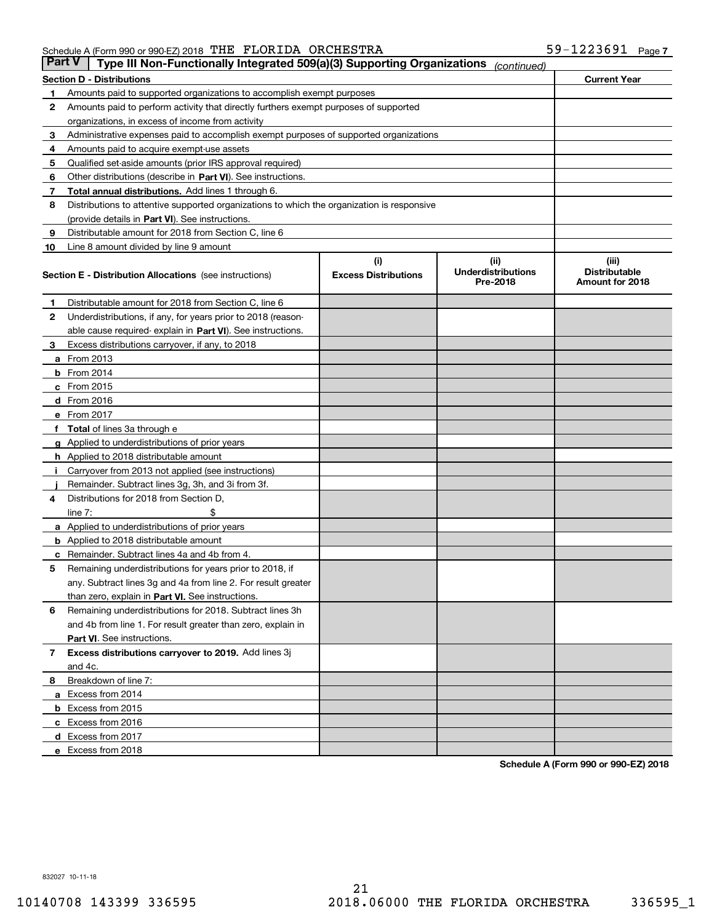|    | Part V<br>Type III Non-Functionally Integrated 509(a)(3) Supporting Organizations          |                             | (continued)                           |                                         |  |  |  |  |  |  |
|----|--------------------------------------------------------------------------------------------|-----------------------------|---------------------------------------|-----------------------------------------|--|--|--|--|--|--|
|    | <b>Section D - Distributions</b>                                                           |                             |                                       | <b>Current Year</b>                     |  |  |  |  |  |  |
| 1  | Amounts paid to supported organizations to accomplish exempt purposes                      |                             |                                       |                                         |  |  |  |  |  |  |
| 2  | Amounts paid to perform activity that directly furthers exempt purposes of supported       |                             |                                       |                                         |  |  |  |  |  |  |
|    | organizations, in excess of income from activity                                           |                             |                                       |                                         |  |  |  |  |  |  |
| з  | Administrative expenses paid to accomplish exempt purposes of supported organizations      |                             |                                       |                                         |  |  |  |  |  |  |
| 4  | Amounts paid to acquire exempt-use assets                                                  |                             |                                       |                                         |  |  |  |  |  |  |
| 5  | Qualified set-aside amounts (prior IRS approval required)                                  |                             |                                       |                                         |  |  |  |  |  |  |
| 6  | Other distributions (describe in Part VI). See instructions.                               |                             |                                       |                                         |  |  |  |  |  |  |
| 7  | <b>Total annual distributions.</b> Add lines 1 through 6.                                  |                             |                                       |                                         |  |  |  |  |  |  |
| 8  | Distributions to attentive supported organizations to which the organization is responsive |                             |                                       |                                         |  |  |  |  |  |  |
|    | (provide details in Part VI). See instructions.                                            |                             |                                       |                                         |  |  |  |  |  |  |
| 9  | Distributable amount for 2018 from Section C, line 6                                       |                             |                                       |                                         |  |  |  |  |  |  |
| 10 | Line 8 amount divided by line 9 amount                                                     |                             |                                       |                                         |  |  |  |  |  |  |
|    |                                                                                            | (i)                         | (iii)                                 | (iii)                                   |  |  |  |  |  |  |
|    | <b>Section E - Distribution Allocations</b> (see instructions)                             | <b>Excess Distributions</b> | <b>Underdistributions</b><br>Pre-2018 | <b>Distributable</b><br>Amount for 2018 |  |  |  |  |  |  |
| 1  | Distributable amount for 2018 from Section C, line 6                                       |                             |                                       |                                         |  |  |  |  |  |  |
| 2  | Underdistributions, if any, for years prior to 2018 (reason-                               |                             |                                       |                                         |  |  |  |  |  |  |
|    | able cause required- explain in Part VI). See instructions.                                |                             |                                       |                                         |  |  |  |  |  |  |
| з  | Excess distributions carryover, if any, to 2018                                            |                             |                                       |                                         |  |  |  |  |  |  |
|    | <b>a</b> From 2013                                                                         |                             |                                       |                                         |  |  |  |  |  |  |
|    | $b$ From 2014                                                                              |                             |                                       |                                         |  |  |  |  |  |  |
|    | $c$ From 2015                                                                              |                             |                                       |                                         |  |  |  |  |  |  |
|    | d From 2016                                                                                |                             |                                       |                                         |  |  |  |  |  |  |
|    | e From 2017                                                                                |                             |                                       |                                         |  |  |  |  |  |  |
|    | Total of lines 3a through e                                                                |                             |                                       |                                         |  |  |  |  |  |  |
|    | <b>g</b> Applied to underdistributions of prior years                                      |                             |                                       |                                         |  |  |  |  |  |  |
|    | <b>h</b> Applied to 2018 distributable amount                                              |                             |                                       |                                         |  |  |  |  |  |  |
|    | Carryover from 2013 not applied (see instructions)                                         |                             |                                       |                                         |  |  |  |  |  |  |
|    | Remainder. Subtract lines 3g, 3h, and 3i from 3f.                                          |                             |                                       |                                         |  |  |  |  |  |  |
| 4  | Distributions for 2018 from Section D,                                                     |                             |                                       |                                         |  |  |  |  |  |  |
|    | line $7:$                                                                                  |                             |                                       |                                         |  |  |  |  |  |  |
|    | <b>a</b> Applied to underdistributions of prior years                                      |                             |                                       |                                         |  |  |  |  |  |  |
|    | <b>b</b> Applied to 2018 distributable amount                                              |                             |                                       |                                         |  |  |  |  |  |  |
| c  | Remainder. Subtract lines 4a and 4b from 4.                                                |                             |                                       |                                         |  |  |  |  |  |  |
| 5  | Remaining underdistributions for years prior to 2018, if                                   |                             |                                       |                                         |  |  |  |  |  |  |
|    | any. Subtract lines 3g and 4a from line 2. For result greater                              |                             |                                       |                                         |  |  |  |  |  |  |
|    | than zero, explain in Part VI. See instructions.                                           |                             |                                       |                                         |  |  |  |  |  |  |
| 6  | Remaining underdistributions for 2018. Subtract lines 3h                                   |                             |                                       |                                         |  |  |  |  |  |  |
|    | and 4b from line 1. For result greater than zero, explain in                               |                             |                                       |                                         |  |  |  |  |  |  |
|    | Part VI. See instructions.                                                                 |                             |                                       |                                         |  |  |  |  |  |  |
| 7  | Excess distributions carryover to 2019. Add lines 3j                                       |                             |                                       |                                         |  |  |  |  |  |  |
|    | and 4c.                                                                                    |                             |                                       |                                         |  |  |  |  |  |  |
| 8  | Breakdown of line 7:                                                                       |                             |                                       |                                         |  |  |  |  |  |  |
|    | a Excess from 2014                                                                         |                             |                                       |                                         |  |  |  |  |  |  |
|    | <b>b</b> Excess from 2015                                                                  |                             |                                       |                                         |  |  |  |  |  |  |
|    | c Excess from 2016                                                                         |                             |                                       |                                         |  |  |  |  |  |  |
|    | d Excess from 2017                                                                         |                             |                                       |                                         |  |  |  |  |  |  |
|    | e Excess from 2018                                                                         |                             |                                       |                                         |  |  |  |  |  |  |

**Schedule A (Form 990 or 990-EZ) 2018**

832027 10-11-18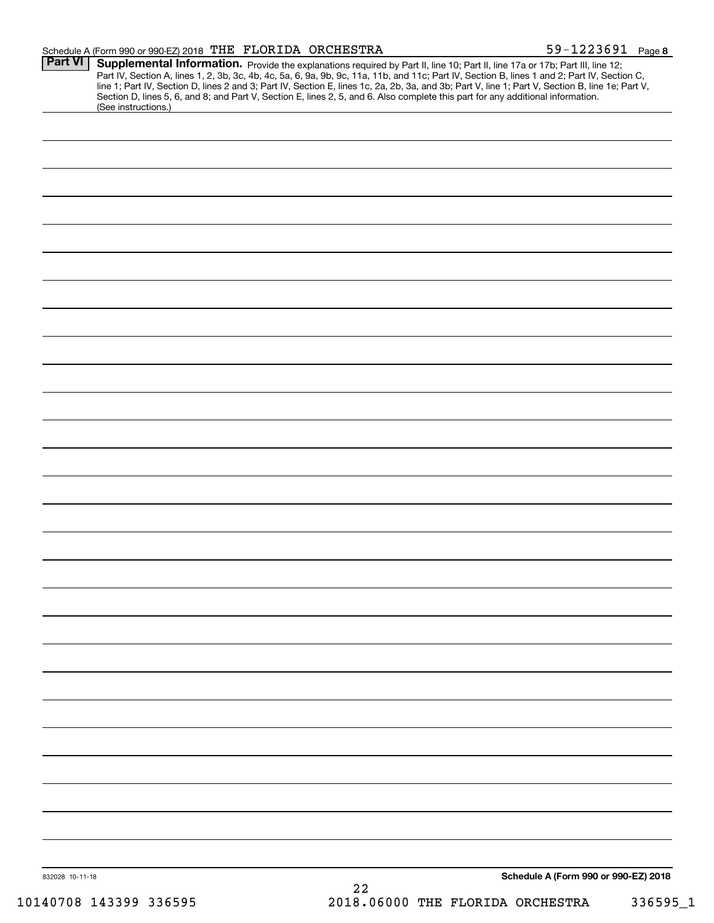| Schedule A (Form 990 or 990-EZ) 2018 THE FLORIDA ORCHESTRA |  | 59-1223691 | Page 8 |
|------------------------------------------------------------|--|------------|--------|
|                                                            |  |            |        |

| Part VI         | Supplemental Information. Provide the explanations required by Part II, line 10; Part II, line 17a or 17b; Part III, line 12;<br>Part IV, Section A, lines 1, 2, 3b, 3c, 4b, 4c, 5a, 6, 9a, 9b, 9c, 11a, 11b, and 11c; Part IV, Section B, lines 1 and 2; Part IV, Section C,<br>Section D, lines 5, 6, and 8; and Part V, Section E, lines 2, 5, and 6. Also complete this part for any additional information. |               | line 1; Part IV, Section D, lines 2 and 3; Part IV, Section E, lines 1c, 2a, 2b, 3a, and 3b; Part V, line 1; Part V, Section B, line 1e; Part V, |
|-----------------|------------------------------------------------------------------------------------------------------------------------------------------------------------------------------------------------------------------------------------------------------------------------------------------------------------------------------------------------------------------------------------------------------------------|---------------|--------------------------------------------------------------------------------------------------------------------------------------------------|
|                 | (See instructions.)                                                                                                                                                                                                                                                                                                                                                                                              |               |                                                                                                                                                  |
|                 |                                                                                                                                                                                                                                                                                                                                                                                                                  |               |                                                                                                                                                  |
|                 |                                                                                                                                                                                                                                                                                                                                                                                                                  |               |                                                                                                                                                  |
|                 |                                                                                                                                                                                                                                                                                                                                                                                                                  |               |                                                                                                                                                  |
|                 |                                                                                                                                                                                                                                                                                                                                                                                                                  |               |                                                                                                                                                  |
|                 |                                                                                                                                                                                                                                                                                                                                                                                                                  |               |                                                                                                                                                  |
|                 |                                                                                                                                                                                                                                                                                                                                                                                                                  |               |                                                                                                                                                  |
|                 |                                                                                                                                                                                                                                                                                                                                                                                                                  |               |                                                                                                                                                  |
|                 |                                                                                                                                                                                                                                                                                                                                                                                                                  |               |                                                                                                                                                  |
|                 |                                                                                                                                                                                                                                                                                                                                                                                                                  |               |                                                                                                                                                  |
|                 |                                                                                                                                                                                                                                                                                                                                                                                                                  |               |                                                                                                                                                  |
|                 |                                                                                                                                                                                                                                                                                                                                                                                                                  |               |                                                                                                                                                  |
|                 |                                                                                                                                                                                                                                                                                                                                                                                                                  |               |                                                                                                                                                  |
|                 |                                                                                                                                                                                                                                                                                                                                                                                                                  |               |                                                                                                                                                  |
|                 |                                                                                                                                                                                                                                                                                                                                                                                                                  |               |                                                                                                                                                  |
|                 |                                                                                                                                                                                                                                                                                                                                                                                                                  |               |                                                                                                                                                  |
|                 |                                                                                                                                                                                                                                                                                                                                                                                                                  |               |                                                                                                                                                  |
|                 |                                                                                                                                                                                                                                                                                                                                                                                                                  |               |                                                                                                                                                  |
|                 |                                                                                                                                                                                                                                                                                                                                                                                                                  |               |                                                                                                                                                  |
|                 |                                                                                                                                                                                                                                                                                                                                                                                                                  |               |                                                                                                                                                  |
|                 |                                                                                                                                                                                                                                                                                                                                                                                                                  |               |                                                                                                                                                  |
|                 |                                                                                                                                                                                                                                                                                                                                                                                                                  |               |                                                                                                                                                  |
|                 |                                                                                                                                                                                                                                                                                                                                                                                                                  |               |                                                                                                                                                  |
|                 |                                                                                                                                                                                                                                                                                                                                                                                                                  |               |                                                                                                                                                  |
|                 |                                                                                                                                                                                                                                                                                                                                                                                                                  |               |                                                                                                                                                  |
|                 |                                                                                                                                                                                                                                                                                                                                                                                                                  |               |                                                                                                                                                  |
|                 |                                                                                                                                                                                                                                                                                                                                                                                                                  |               |                                                                                                                                                  |
|                 |                                                                                                                                                                                                                                                                                                                                                                                                                  |               |                                                                                                                                                  |
|                 |                                                                                                                                                                                                                                                                                                                                                                                                                  |               |                                                                                                                                                  |
|                 |                                                                                                                                                                                                                                                                                                                                                                                                                  |               |                                                                                                                                                  |
|                 |                                                                                                                                                                                                                                                                                                                                                                                                                  |               |                                                                                                                                                  |
|                 |                                                                                                                                                                                                                                                                                                                                                                                                                  |               |                                                                                                                                                  |
|                 |                                                                                                                                                                                                                                                                                                                                                                                                                  |               |                                                                                                                                                  |
|                 |                                                                                                                                                                                                                                                                                                                                                                                                                  |               |                                                                                                                                                  |
| 832028 10-11-18 |                                                                                                                                                                                                                                                                                                                                                                                                                  |               | Schedule A (Form 990 or 990-EZ) 2018                                                                                                             |
|                 | $\mathcal{L} \cap \mathcal{L} \cap \mathcal{L}$<br><b>200</b>                                                                                                                                                                                                                                                                                                                                                    | 22<br>n n 1 n |                                                                                                                                                  |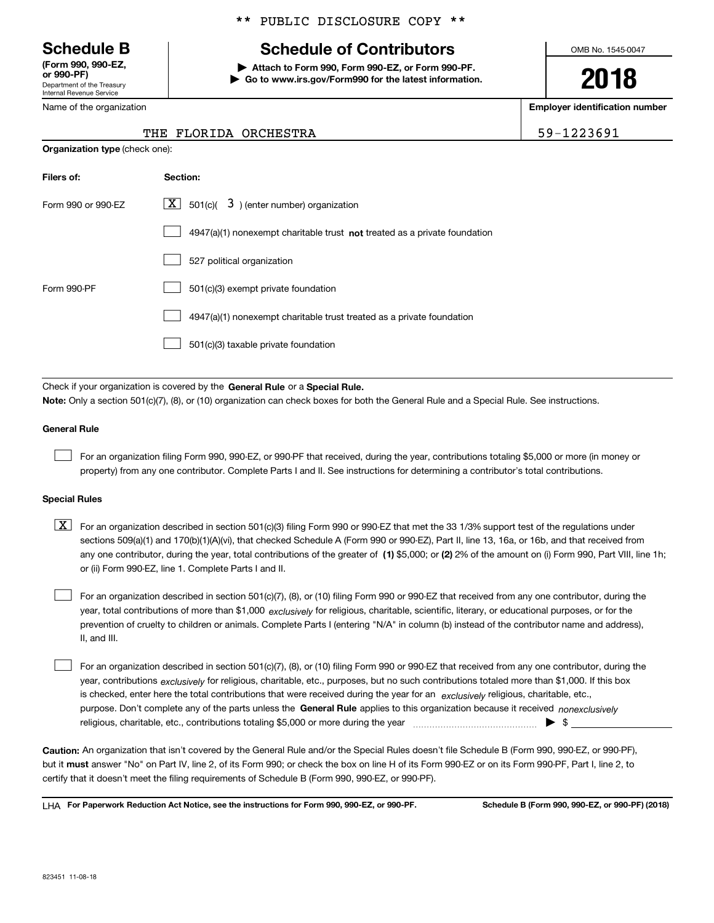Department of the Treasury Internal Revenue Service **(Form 990, 990-EZ, or 990-PF)**

Name of the organization

### \*\* PUBLIC DISCLOSURE COPY \*\*

# **Schedule B Schedule of Contributors**

**| Attach to Form 990, Form 990-EZ, or Form 990-PF. | Go to www.irs.gov/Form990 for the latest information.** OMB No. 1545-0047

**2018**

**Employer identification number**

59-1223691

|  | THE FLORIDA ORCHESTRA |
|--|-----------------------|

| <b>Organization type (check one):</b> |                                                                           |  |  |  |  |
|---------------------------------------|---------------------------------------------------------------------------|--|--|--|--|
| Filers of:                            | Section:                                                                  |  |  |  |  |
| Form 990 or 990-EZ                    | $\overline{X}$ 501(c)( 3) (enter number) organization                     |  |  |  |  |
|                                       | 4947(a)(1) nonexempt charitable trust not treated as a private foundation |  |  |  |  |
|                                       | 527 political organization                                                |  |  |  |  |
| Form 990-PF                           | 501(c)(3) exempt private foundation                                       |  |  |  |  |
|                                       | 4947(a)(1) nonexempt charitable trust treated as a private foundation     |  |  |  |  |
|                                       | 501(c)(3) taxable private foundation                                      |  |  |  |  |
|                                       |                                                                           |  |  |  |  |

Check if your organization is covered by the **General Rule** or a **Special Rule.**<br>Nota: Only a section 501(c)(7), (8), or (10) erganization can chock boxes for be **Note:**  Only a section 501(c)(7), (8), or (10) organization can check boxes for both the General Rule and a Special Rule. See instructions.

#### **General Rule**

 $\mathcal{L}^{\text{max}}$ 

For an organization filing Form 990, 990-EZ, or 990-PF that received, during the year, contributions totaling \$5,000 or more (in money or property) from any one contributor. Complete Parts I and II. See instructions for determining a contributor's total contributions.

#### **Special Rules**

any one contributor, during the year, total contributions of the greater of  $\,$  (1) \$5,000; or **(2)** 2% of the amount on (i) Form 990, Part VIII, line 1h;  $\boxed{\textbf{X}}$  For an organization described in section 501(c)(3) filing Form 990 or 990-EZ that met the 33 1/3% support test of the regulations under sections 509(a)(1) and 170(b)(1)(A)(vi), that checked Schedule A (Form 990 or 990-EZ), Part II, line 13, 16a, or 16b, and that received from or (ii) Form 990-EZ, line 1. Complete Parts I and II.

year, total contributions of more than \$1,000 *exclusively* for religious, charitable, scientific, literary, or educational purposes, or for the For an organization described in section 501(c)(7), (8), or (10) filing Form 990 or 990-EZ that received from any one contributor, during the prevention of cruelty to children or animals. Complete Parts I (entering "N/A" in column (b) instead of the contributor name and address), II, and III.  $\mathcal{L}^{\text{max}}$ 

purpose. Don't complete any of the parts unless the **General Rule** applies to this organization because it received *nonexclusively* year, contributions <sub>exclusively</sub> for religious, charitable, etc., purposes, but no such contributions totaled more than \$1,000. If this box is checked, enter here the total contributions that were received during the year for an  $\;$ exclusively religious, charitable, etc., For an organization described in section 501(c)(7), (8), or (10) filing Form 990 or 990-EZ that received from any one contributor, during the religious, charitable, etc., contributions totaling \$5,000 or more during the year  $\Box$ — $\Box$   $\Box$  $\mathcal{L}^{\text{max}}$ 

**Caution:**  An organization that isn't covered by the General Rule and/or the Special Rules doesn't file Schedule B (Form 990, 990-EZ, or 990-PF), but it **must** answer "No" on Part IV, line 2, of its Form 990; or check the box on line H of its Form 990-EZ or on its Form 990-PF, Part I, line 2, to<br>cortify that it doesn't meet the filipe requirements of Schodule B (Fer certify that it doesn't meet the filing requirements of Schedule B (Form 990, 990-EZ, or 990-PF).

**For Paperwork Reduction Act Notice, see the instructions for Form 990, 990-EZ, or 990-PF. Schedule B (Form 990, 990-EZ, or 990-PF) (2018)** LHA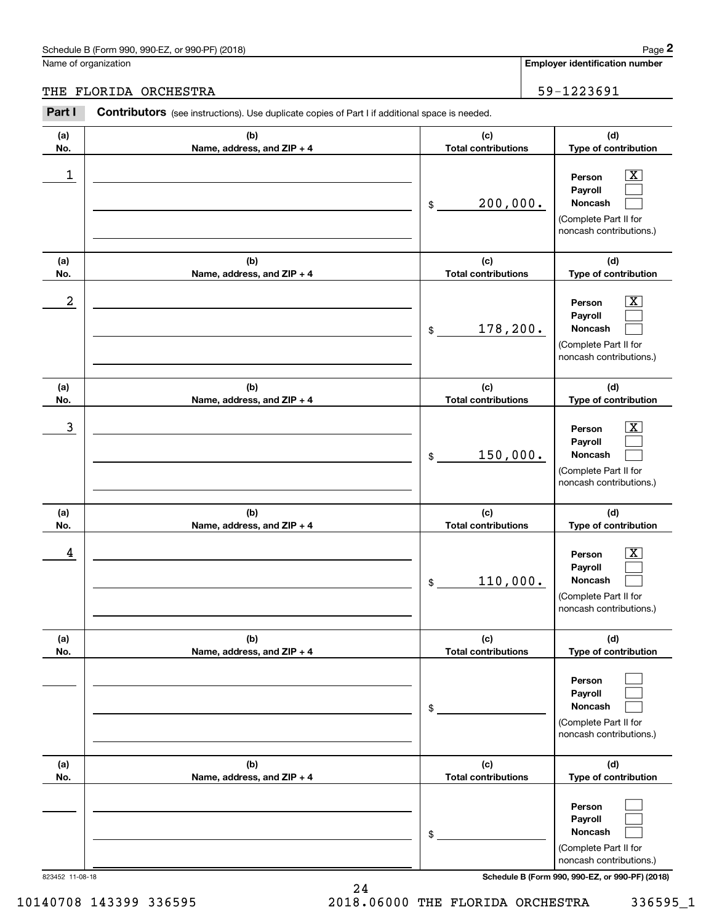## THE FLORIDA ORCHESTRA 59-1223691

|                 | Schedule B (Form 990, 990-EZ, or 990-PF) (2018)                                                |                                   | Page 2                                                                                                      |
|-----------------|------------------------------------------------------------------------------------------------|-----------------------------------|-------------------------------------------------------------------------------------------------------------|
|                 | Name of organization                                                                           |                                   | Employer identification number                                                                              |
| THE             | FLORIDA ORCHESTRA                                                                              |                                   | 59-1223691                                                                                                  |
| Part I          | Contributors (see instructions). Use duplicate copies of Part I if additional space is needed. |                                   |                                                                                                             |
| (a)<br>No.      | (b)<br>Name, address, and ZIP + 4                                                              | (c)<br><b>Total contributions</b> | (d)<br>Type of contribution                                                                                 |
| 1               |                                                                                                | 200,000.<br>\$                    | $\overline{\text{X}}$<br>Person<br>Payroll<br>Noncash<br>(Complete Part II for<br>noncash contributions.)   |
| (a)<br>No.      | (b)<br>Name, address, and ZIP + 4                                                              | (c)<br><b>Total contributions</b> | (d)<br>Type of contribution                                                                                 |
| 2               |                                                                                                | 178,200.<br>\$                    | $\overline{\mathbf{X}}$<br>Person<br>Payroll<br>Noncash<br>(Complete Part II for<br>noncash contributions.) |
| (a)<br>No.      | (b)<br>Name, address, and ZIP + 4                                                              | (c)<br><b>Total contributions</b> | (d)<br>Type of contribution                                                                                 |
| 3               |                                                                                                | 150,000.<br>\$                    | $\overline{\mathbf{X}}$<br>Person<br>Payroll<br>Noncash<br>(Complete Part II for<br>noncash contributions.) |
| (a)<br>No.      | (b)<br>Name, address, and ZIP + 4                                                              | (c)<br><b>Total contributions</b> | (d)<br>Type of contribution                                                                                 |
| 4               |                                                                                                | 110,000.<br>\$                    | $\overline{\mathbf{X}}$<br>Person<br>Payroll<br>Noncash<br>(Complete Part II for<br>noncash contributions.) |
| (a)<br>No.      | (b)<br>Name, address, and ZIP + 4                                                              | (c)<br><b>Total contributions</b> | (d)<br>Type of contribution                                                                                 |
|                 |                                                                                                | \$                                | Person<br>Payroll<br>Noncash<br>(Complete Part II for<br>noncash contributions.)                            |
| (a)<br>No.      | (b)<br>Name, address, and ZIP + 4                                                              | (c)<br><b>Total contributions</b> | (d)<br>Type of contribution                                                                                 |
|                 |                                                                                                | \$                                | Person<br>Payroll<br>Noncash<br>(Complete Part II for<br>noncash contributions.)                            |
| 823452 11-08-18 |                                                                                                |                                   | Schedule B (Form 990, 990-EZ, or 990-PF) (2018)                                                             |

24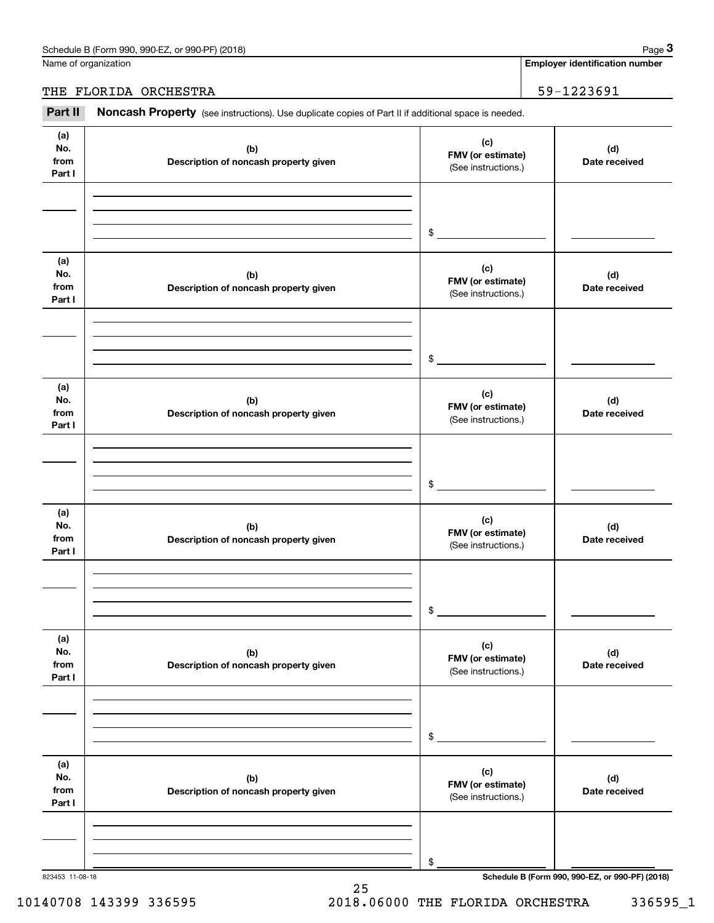## THE FLORIDA ORCHESTRA 59-1223691

| Name of organization                                                                                           |                                                 | <b>Employer identification number</b>           |  |  |
|----------------------------------------------------------------------------------------------------------------|-------------------------------------------------|-------------------------------------------------|--|--|
|                                                                                                                |                                                 |                                                 |  |  |
| THE FLORIDA ORCHESTRA                                                                                          | 59-1223691                                      |                                                 |  |  |
| Part II<br>Noncash Property (see instructions). Use duplicate copies of Part II if additional space is needed. |                                                 |                                                 |  |  |
| (a)<br>No.<br>(b)<br>from<br>Description of noncash property given<br>Part I                                   | (c)<br>FMV (or estimate)<br>(See instructions.) | (d)<br>Date received                            |  |  |
|                                                                                                                | \$                                              |                                                 |  |  |
| (a)<br>No.<br>(b)<br>from<br>Description of noncash property given<br>Part I                                   | (c)<br>FMV (or estimate)<br>(See instructions.) | (d)<br>Date received                            |  |  |
|                                                                                                                | \$                                              |                                                 |  |  |
| (a)<br>No.<br>(b)<br>from<br>Description of noncash property given<br>Part I                                   | (c)<br>FMV (or estimate)<br>(See instructions.) | (d)<br>Date received                            |  |  |
|                                                                                                                | \$                                              |                                                 |  |  |
| (a)<br>No.<br>(b)<br>from<br>Description of noncash property given<br>Part I                                   | (c)<br>FMV (or estimate)<br>(See instructions.) | (d)<br>Date received                            |  |  |
|                                                                                                                | \$                                              |                                                 |  |  |
| (a)<br>No.<br>(b)<br>from<br>Description of noncash property given<br>Part I                                   | (c)<br>FMV (or estimate)<br>(See instructions.) | (d)<br>Date received                            |  |  |
|                                                                                                                | \$                                              |                                                 |  |  |
| (a)<br>No.<br>(b)<br>from<br>Description of noncash property given<br>Part I                                   | (c)<br>FMV (or estimate)<br>(See instructions.) | (d)<br>Date received                            |  |  |
| 823453 11-08-18                                                                                                | \$                                              | Schedule B (Form 990, 990-EZ, or 990-PF) (2018) |  |  |

25

# 10140708 143399 336595 2018.06000 THE FLORIDA ORCHESTRA 336595\_1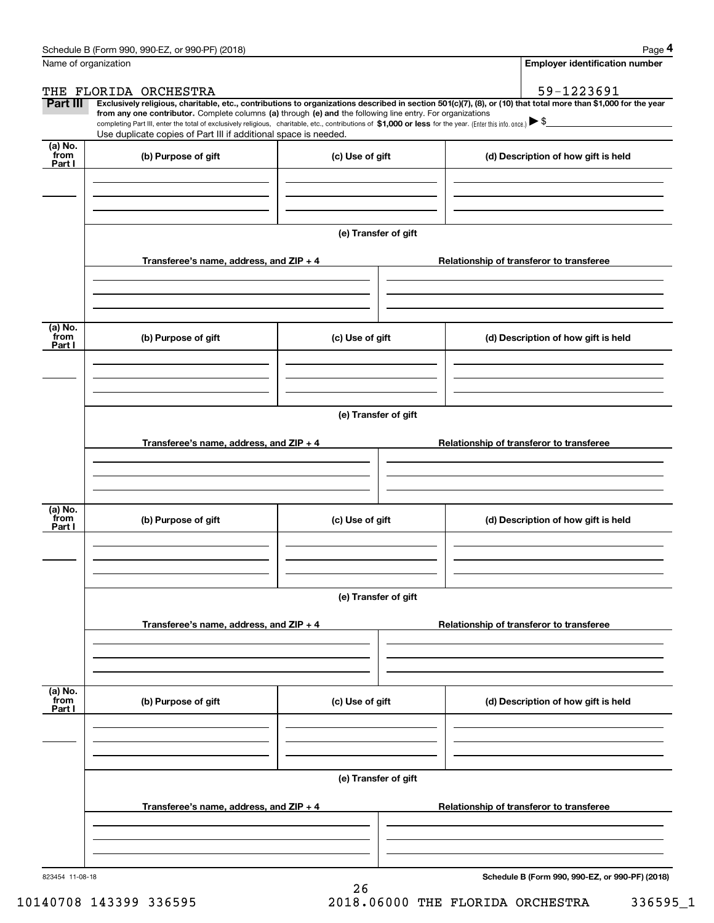|                           | Schedule B (Form 990, 990-EZ, or 990-PF) (2018)                                                                                                                                                                                                                              |                      |                                          | Page 4                                          |  |  |  |
|---------------------------|------------------------------------------------------------------------------------------------------------------------------------------------------------------------------------------------------------------------------------------------------------------------------|----------------------|------------------------------------------|-------------------------------------------------|--|--|--|
|                           | Name of organization                                                                                                                                                                                                                                                         |                      |                                          | <b>Employer identification number</b>           |  |  |  |
|                           | THE FLORIDA ORCHESTRA                                                                                                                                                                                                                                                        |                      |                                          | 59-1223691                                      |  |  |  |
| Part III                  | Exclusively religious, charitable, etc., contributions to organizations described in section 501(c)(7), (8), or (10) that total more than \$1,000 for the year<br>from any one contributor. Complete columns (a) through (e) and the following line entry. For organizations |                      |                                          |                                                 |  |  |  |
|                           | completing Part III, enter the total of exclusively religious, charitable, etc., contributions of \$1,000 or less for the year. (Enter this info. once.) \\$                                                                                                                 |                      |                                          |                                                 |  |  |  |
|                           | Use duplicate copies of Part III if additional space is needed.                                                                                                                                                                                                              |                      |                                          |                                                 |  |  |  |
| (a) No.<br>from<br>Part I | (b) Purpose of gift                                                                                                                                                                                                                                                          | (c) Use of gift      |                                          | (d) Description of how gift is held             |  |  |  |
|                           |                                                                                                                                                                                                                                                                              |                      |                                          |                                                 |  |  |  |
|                           |                                                                                                                                                                                                                                                                              |                      |                                          |                                                 |  |  |  |
|                           | Transferee's name, address, and ZIP + 4                                                                                                                                                                                                                                      | (e) Transfer of gift | Relationship of transferor to transferee |                                                 |  |  |  |
|                           |                                                                                                                                                                                                                                                                              |                      |                                          |                                                 |  |  |  |
|                           |                                                                                                                                                                                                                                                                              |                      |                                          |                                                 |  |  |  |
| (a) No.<br>from<br>Part I | (b) Purpose of gift                                                                                                                                                                                                                                                          | (c) Use of gift      |                                          | (d) Description of how gift is held             |  |  |  |
|                           |                                                                                                                                                                                                                                                                              |                      |                                          |                                                 |  |  |  |
|                           |                                                                                                                                                                                                                                                                              | (e) Transfer of gift |                                          |                                                 |  |  |  |
|                           | Transferee's name, address, and ZIP + 4<br>Relationship of transferor to transferee                                                                                                                                                                                          |                      |                                          |                                                 |  |  |  |
|                           |                                                                                                                                                                                                                                                                              |                      |                                          |                                                 |  |  |  |
|                           |                                                                                                                                                                                                                                                                              |                      |                                          |                                                 |  |  |  |
| (a) No.<br>from<br>Part I | (b) Purpose of gift                                                                                                                                                                                                                                                          | (c) Use of gift      |                                          | (d) Description of how gift is held             |  |  |  |
|                           |                                                                                                                                                                                                                                                                              |                      |                                          |                                                 |  |  |  |
|                           | (e) Transfer of gift                                                                                                                                                                                                                                                         |                      |                                          |                                                 |  |  |  |
|                           | Transferee's name, address, and ZIP + 4                                                                                                                                                                                                                                      |                      | Relationship of transferor to transferee |                                                 |  |  |  |
|                           |                                                                                                                                                                                                                                                                              |                      |                                          |                                                 |  |  |  |
| (a) No.<br>from           |                                                                                                                                                                                                                                                                              |                      |                                          |                                                 |  |  |  |
| Part I                    | (b) Purpose of gift                                                                                                                                                                                                                                                          | (c) Use of gift      |                                          | (d) Description of how gift is held             |  |  |  |
|                           |                                                                                                                                                                                                                                                                              |                      |                                          |                                                 |  |  |  |
|                           | (e) Transfer of gift                                                                                                                                                                                                                                                         |                      |                                          |                                                 |  |  |  |
|                           | Transferee's name, address, and ZIP + 4                                                                                                                                                                                                                                      |                      | Relationship of transferor to transferee |                                                 |  |  |  |
|                           |                                                                                                                                                                                                                                                                              |                      |                                          |                                                 |  |  |  |
|                           |                                                                                                                                                                                                                                                                              |                      |                                          |                                                 |  |  |  |
| 823454 11-08-18           |                                                                                                                                                                                                                                                                              |                      |                                          | Schedule B (Form 990, 990-EZ, or 990-PF) (2018) |  |  |  |

26

10140708 143399 336595 2018.06000 THE FLORIDA ORCHESTRA 336595\_1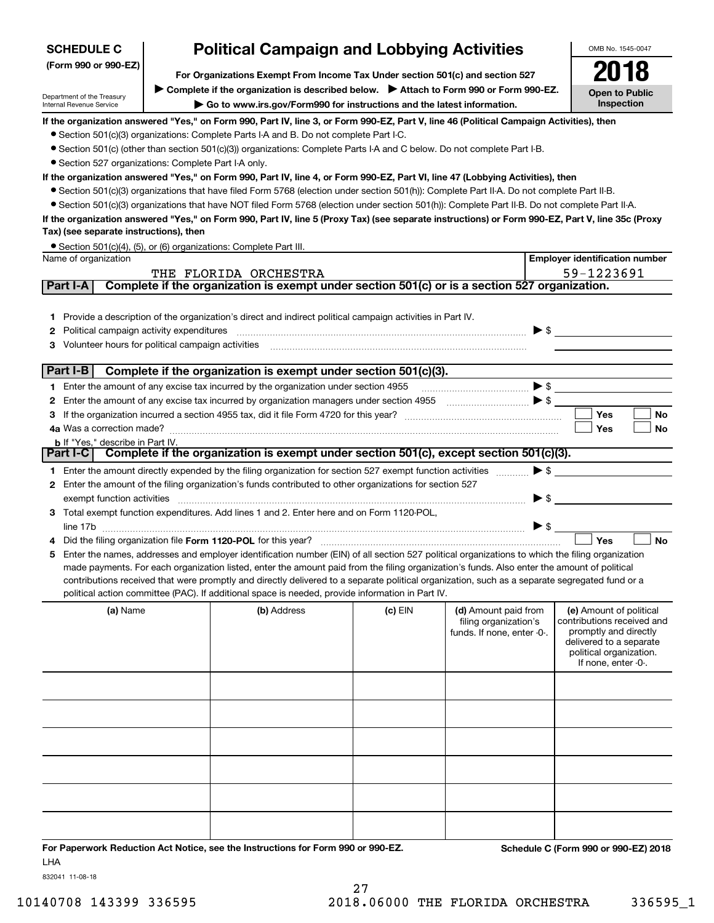| (Form 990 or 990-EZ)                                   |                                                                                                                                                                                                                                                                               | For Organizations Exempt From Income Tax Under section 501(c) and section 527                                                                                                                                                                      |           |                                                     |                          | 018                                                   |  |  |  |
|--------------------------------------------------------|-------------------------------------------------------------------------------------------------------------------------------------------------------------------------------------------------------------------------------------------------------------------------------|----------------------------------------------------------------------------------------------------------------------------------------------------------------------------------------------------------------------------------------------------|-----------|-----------------------------------------------------|--------------------------|-------------------------------------------------------|--|--|--|
| Department of the Treasury<br>Internal Revenue Service |                                                                                                                                                                                                                                                                               | ▶ Complete if the organization is described below. ▶ Attach to Form 990 or Form 990-EZ.<br>Go to www.irs.gov/Form990 for instructions and the latest information.                                                                                  |           |                                                     |                          | <b>Open to Public</b><br>Inspection                   |  |  |  |
|                                                        |                                                                                                                                                                                                                                                                               | If the organization answered "Yes," on Form 990, Part IV, line 3, or Form 990-EZ, Part V, line 46 (Political Campaign Activities), then                                                                                                            |           |                                                     |                          |                                                       |  |  |  |
|                                                        |                                                                                                                                                                                                                                                                               | • Section 501(c)(3) organizations: Complete Parts I-A and B. Do not complete Part I-C.                                                                                                                                                             |           |                                                     |                          |                                                       |  |  |  |
|                                                        |                                                                                                                                                                                                                                                                               | • Section 501(c) (other than section 501(c)(3)) organizations: Complete Parts I-A and C below. Do not complete Part I-B.                                                                                                                           |           |                                                     |                          |                                                       |  |  |  |
| • Section 527 organizations: Complete Part I-A only.   |                                                                                                                                                                                                                                                                               |                                                                                                                                                                                                                                                    |           |                                                     |                          |                                                       |  |  |  |
|                                                        |                                                                                                                                                                                                                                                                               |                                                                                                                                                                                                                                                    |           |                                                     |                          |                                                       |  |  |  |
|                                                        | If the organization answered "Yes," on Form 990, Part IV, line 4, or Form 990-EZ, Part VI, line 47 (Lobbying Activities), then<br>• Section 501(c)(3) organizations that have filed Form 5768 (election under section 501(h)): Complete Part II-A. Do not complete Part II-B. |                                                                                                                                                                                                                                                    |           |                                                     |                          |                                                       |  |  |  |
|                                                        |                                                                                                                                                                                                                                                                               | • Section 501(c)(3) organizations that have NOT filed Form 5768 (election under section 501(h)): Complete Part II-B. Do not complete Part II-A.                                                                                                    |           |                                                     |                          |                                                       |  |  |  |
|                                                        |                                                                                                                                                                                                                                                                               | If the organization answered "Yes," on Form 990, Part IV, line 5 (Proxy Tax) (see separate instructions) or Form 990-EZ, Part V, line 35c (Proxy                                                                                                   |           |                                                     |                          |                                                       |  |  |  |
| Tax) (see separate instructions), then                 |                                                                                                                                                                                                                                                                               |                                                                                                                                                                                                                                                    |           |                                                     |                          |                                                       |  |  |  |
|                                                        |                                                                                                                                                                                                                                                                               | • Section 501(c)(4), (5), or (6) organizations: Complete Part III.                                                                                                                                                                                 |           |                                                     |                          |                                                       |  |  |  |
| Name of organization                                   |                                                                                                                                                                                                                                                                               |                                                                                                                                                                                                                                                    |           |                                                     |                          | <b>Employer identification number</b>                 |  |  |  |
|                                                        |                                                                                                                                                                                                                                                                               | THE FLORIDA ORCHESTRA                                                                                                                                                                                                                              |           |                                                     |                          | 59-1223691                                            |  |  |  |
| Part I-A                                               |                                                                                                                                                                                                                                                                               | Complete if the organization is exempt under section 501(c) or is a section 527 organization.                                                                                                                                                      |           |                                                     |                          |                                                       |  |  |  |
|                                                        |                                                                                                                                                                                                                                                                               |                                                                                                                                                                                                                                                    |           |                                                     |                          |                                                       |  |  |  |
|                                                        |                                                                                                                                                                                                                                                                               | 1 Provide a description of the organization's direct and indirect political campaign activities in Part IV.                                                                                                                                        |           |                                                     |                          |                                                       |  |  |  |
| Political campaign activity expenditures<br>2          |                                                                                                                                                                                                                                                                               |                                                                                                                                                                                                                                                    |           |                                                     |                          | $\blacktriangleright$ \$                              |  |  |  |
|                                                        |                                                                                                                                                                                                                                                                               |                                                                                                                                                                                                                                                    |           |                                                     |                          |                                                       |  |  |  |
|                                                        |                                                                                                                                                                                                                                                                               |                                                                                                                                                                                                                                                    |           |                                                     |                          |                                                       |  |  |  |
| Part I-B                                               |                                                                                                                                                                                                                                                                               | Complete if the organization is exempt under section 501(c)(3).                                                                                                                                                                                    |           |                                                     |                          |                                                       |  |  |  |
| 1.                                                     |                                                                                                                                                                                                                                                                               |                                                                                                                                                                                                                                                    |           |                                                     |                          |                                                       |  |  |  |
| 2                                                      |                                                                                                                                                                                                                                                                               |                                                                                                                                                                                                                                                    |           |                                                     |                          |                                                       |  |  |  |
| з                                                      |                                                                                                                                                                                                                                                                               |                                                                                                                                                                                                                                                    |           |                                                     |                          | <b>Yes</b><br>No                                      |  |  |  |
|                                                        |                                                                                                                                                                                                                                                                               |                                                                                                                                                                                                                                                    |           |                                                     |                          | No<br>Yes                                             |  |  |  |
| <b>b</b> If "Yes," describe in Part IV.                |                                                                                                                                                                                                                                                                               |                                                                                                                                                                                                                                                    |           |                                                     |                          |                                                       |  |  |  |
| Part I-C                                               |                                                                                                                                                                                                                                                                               | Complete if the organization is exempt under section 501(c), except section 501(c)(3).                                                                                                                                                             |           |                                                     |                          |                                                       |  |  |  |
|                                                        |                                                                                                                                                                                                                                                                               | 1 Enter the amount directly expended by the filing organization for section 527 exempt function activities                                                                                                                                         |           |                                                     | $\blacktriangleright$ \$ |                                                       |  |  |  |
|                                                        |                                                                                                                                                                                                                                                                               | 2 Enter the amount of the filing organization's funds contributed to other organizations for section 527                                                                                                                                           |           |                                                     |                          |                                                       |  |  |  |
|                                                        |                                                                                                                                                                                                                                                                               | exempt function activities exempt function activities exempt function activities exempt function activities                                                                                                                                        |           |                                                     | $\triangleright$ \$      |                                                       |  |  |  |
|                                                        |                                                                                                                                                                                                                                                                               | 3 Total exempt function expenditures. Add lines 1 and 2. Enter here and on Form 1120-POL,                                                                                                                                                          |           |                                                     |                          |                                                       |  |  |  |
|                                                        |                                                                                                                                                                                                                                                                               |                                                                                                                                                                                                                                                    |           |                                                     | $\blacktriangleright$ \$ |                                                       |  |  |  |
|                                                        |                                                                                                                                                                                                                                                                               |                                                                                                                                                                                                                                                    |           |                                                     |                          | <b>Yes</b><br>No                                      |  |  |  |
| 5                                                      |                                                                                                                                                                                                                                                                               | Enter the names, addresses and employer identification number (EIN) of all section 527 political organizations to which the filing organization                                                                                                    |           |                                                     |                          |                                                       |  |  |  |
|                                                        |                                                                                                                                                                                                                                                                               | made payments. For each organization listed, enter the amount paid from the filing organization's funds. Also enter the amount of political                                                                                                        |           |                                                     |                          |                                                       |  |  |  |
|                                                        |                                                                                                                                                                                                                                                                               | contributions received that were promptly and directly delivered to a separate political organization, such as a separate segregated fund or a<br>political action committee (PAC). If additional space is needed, provide information in Part IV. |           |                                                     |                          |                                                       |  |  |  |
|                                                        |                                                                                                                                                                                                                                                                               |                                                                                                                                                                                                                                                    |           |                                                     |                          |                                                       |  |  |  |
| (a) Name                                               |                                                                                                                                                                                                                                                                               | (b) Address                                                                                                                                                                                                                                        | $(c)$ EIN | (d) Amount paid from                                |                          | (e) Amount of political<br>contributions received and |  |  |  |
|                                                        |                                                                                                                                                                                                                                                                               |                                                                                                                                                                                                                                                    |           | filing organization's<br>funds. If none, enter -0-. |                          | promptly and directly                                 |  |  |  |
|                                                        |                                                                                                                                                                                                                                                                               |                                                                                                                                                                                                                                                    |           |                                                     |                          | delivered to a separate                               |  |  |  |
|                                                        |                                                                                                                                                                                                                                                                               |                                                                                                                                                                                                                                                    |           |                                                     |                          | political organization.<br>If none, enter -0-.        |  |  |  |
|                                                        |                                                                                                                                                                                                                                                                               |                                                                                                                                                                                                                                                    |           |                                                     |                          |                                                       |  |  |  |
|                                                        |                                                                                                                                                                                                                                                                               |                                                                                                                                                                                                                                                    |           |                                                     |                          |                                                       |  |  |  |
|                                                        |                                                                                                                                                                                                                                                                               |                                                                                                                                                                                                                                                    |           |                                                     |                          |                                                       |  |  |  |
|                                                        |                                                                                                                                                                                                                                                                               |                                                                                                                                                                                                                                                    |           |                                                     |                          |                                                       |  |  |  |
|                                                        |                                                                                                                                                                                                                                                                               |                                                                                                                                                                                                                                                    |           |                                                     |                          |                                                       |  |  |  |
|                                                        |                                                                                                                                                                                                                                                                               |                                                                                                                                                                                                                                                    |           |                                                     |                          |                                                       |  |  |  |
|                                                        |                                                                                                                                                                                                                                                                               |                                                                                                                                                                                                                                                    |           |                                                     |                          |                                                       |  |  |  |
|                                                        |                                                                                                                                                                                                                                                                               |                                                                                                                                                                                                                                                    |           |                                                     |                          |                                                       |  |  |  |
|                                                        |                                                                                                                                                                                                                                                                               |                                                                                                                                                                                                                                                    |           |                                                     |                          |                                                       |  |  |  |

# **Political Campaign and Lobbying Activities**

**SCHEDULE C**

**For Paperwork Reduction Act Notice, see the Instructions for Form 990 or 990-EZ. Schedule C (Form 990 or 990-EZ) 2018**

OMB No. 1545-0047

832041 11-08-18

LHA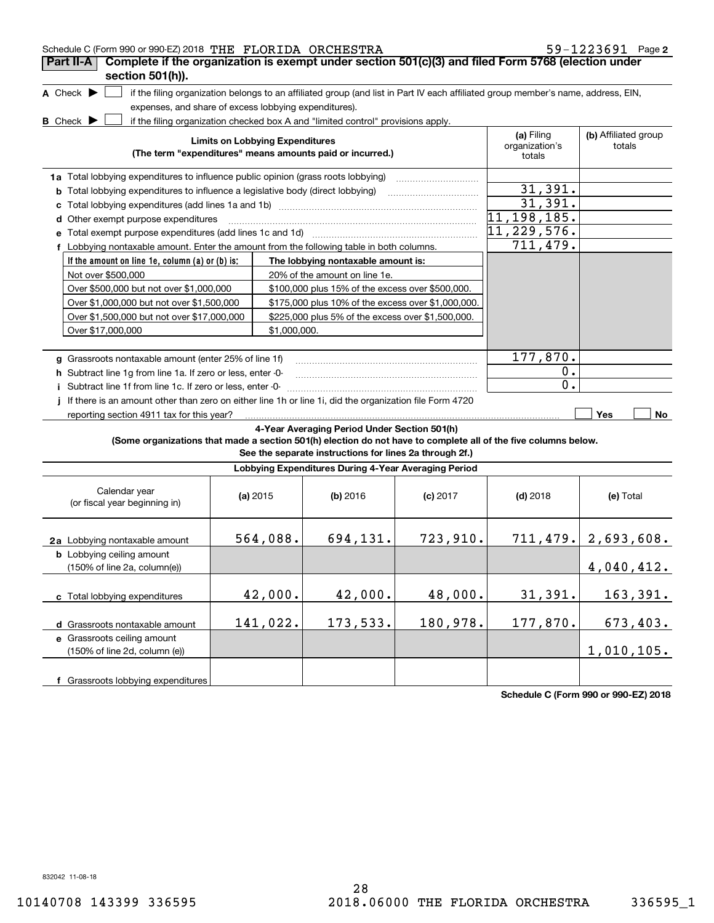| Schedule C (Form 990 or 990-EZ) 2018 THE FLORIDA ORCHESTRA                                                                                                             |  |                                        |                                                                                  |            |                                                                                                                                   | 59-1223691 Page 2              |
|------------------------------------------------------------------------------------------------------------------------------------------------------------------------|--|----------------------------------------|----------------------------------------------------------------------------------|------------|-----------------------------------------------------------------------------------------------------------------------------------|--------------------------------|
| Complete if the organization is exempt under section 501(c)(3) and filed Form 5768 (election under<br>Part II-A                                                        |  |                                        |                                                                                  |            |                                                                                                                                   |                                |
| section 501(h)).                                                                                                                                                       |  |                                        |                                                                                  |            |                                                                                                                                   |                                |
| A Check $\blacktriangleright$                                                                                                                                          |  |                                        |                                                                                  |            | if the filing organization belongs to an affiliated group (and list in Part IV each affiliated group member's name, address, EIN, |                                |
| expenses, and share of excess lobbying expenditures).                                                                                                                  |  |                                        |                                                                                  |            |                                                                                                                                   |                                |
| <b>B</b> Check $\blacktriangleright$                                                                                                                                   |  |                                        | if the filing organization checked box A and "limited control" provisions apply. |            |                                                                                                                                   |                                |
|                                                                                                                                                                        |  | <b>Limits on Lobbying Expenditures</b> | (The term "expenditures" means amounts paid or incurred.)                        |            | (a) Filing<br>organization's<br>totals                                                                                            | (b) Affiliated group<br>totals |
| 1a Total lobbying expenditures to influence public opinion (grass roots lobbying)                                                                                      |  |                                        |                                                                                  |            |                                                                                                                                   |                                |
| <b>b</b> Total lobbying expenditures to influence a legislative body (direct lobbying)                                                                                 |  |                                        |                                                                                  |            | 31,391.                                                                                                                           |                                |
|                                                                                                                                                                        |  |                                        |                                                                                  |            | 31,391.                                                                                                                           |                                |
| c Total lobbying expenditures (add lines 1a and 1b) manufactured contains an intervention of the Total Indiana<br>11, 198, 185.<br>d Other exempt purpose expenditures |  |                                        |                                                                                  |            |                                                                                                                                   |                                |
| e Total exempt purpose expenditures (add lines 1c and 1d)                                                                                                              |  |                                        |                                                                                  |            | $11,229,576$ .                                                                                                                    |                                |
| f Lobbying nontaxable amount. Enter the amount from the following table in both columns.                                                                               |  |                                        |                                                                                  |            | 711,479.                                                                                                                          |                                |
| If the amount on line 1e, column (a) or (b) is:                                                                                                                        |  |                                        | The lobbying nontaxable amount is:                                               |            |                                                                                                                                   |                                |
| Not over \$500,000                                                                                                                                                     |  |                                        | 20% of the amount on line 1e.                                                    |            |                                                                                                                                   |                                |
| Over \$500,000 but not over \$1,000,000                                                                                                                                |  |                                        | \$100,000 plus 15% of the excess over \$500,000.                                 |            |                                                                                                                                   |                                |
| Over \$1,000,000 but not over \$1,500,000                                                                                                                              |  |                                        | \$175,000 plus 10% of the excess over \$1,000,000.                               |            |                                                                                                                                   |                                |
| Over \$1,500,000 but not over \$17,000,000                                                                                                                             |  |                                        | \$225,000 plus 5% of the excess over \$1,500,000.                                |            |                                                                                                                                   |                                |
| Over \$17,000,000                                                                                                                                                      |  | \$1,000,000.                           |                                                                                  |            |                                                                                                                                   |                                |
|                                                                                                                                                                        |  |                                        |                                                                                  |            |                                                                                                                                   |                                |
| g Grassroots nontaxable amount (enter 25% of line 1f)                                                                                                                  |  |                                        |                                                                                  |            | 177,870.                                                                                                                          |                                |
| h Subtract line 1g from line 1a. If zero or less, enter -0-                                                                                                            |  |                                        |                                                                                  |            | 0.                                                                                                                                |                                |
| i Subtract line 1f from line 1c. If zero or less, enter -0-                                                                                                            |  |                                        |                                                                                  |            | $\mathbf 0$ .                                                                                                                     |                                |
| If there is an amount other than zero on either line 1h or line 1i, did the organization file Form 4720                                                                |  |                                        |                                                                                  |            |                                                                                                                                   |                                |
| reporting section 4911 tax for this year?                                                                                                                              |  |                                        |                                                                                  |            |                                                                                                                                   | Yes<br>No                      |
|                                                                                                                                                                        |  |                                        | 4-Year Averaging Period Under Section 501(h)                                     |            |                                                                                                                                   |                                |
| (Some organizations that made a section 501(h) election do not have to complete all of the five columns below.                                                         |  |                                        |                                                                                  |            |                                                                                                                                   |                                |
|                                                                                                                                                                        |  |                                        | See the separate instructions for lines 2a through 2f.)                          |            |                                                                                                                                   |                                |
|                                                                                                                                                                        |  |                                        | Lobbying Expenditures During 4-Year Averaging Period                             |            |                                                                                                                                   |                                |
| Calendar year<br>(or fiscal year beginning in)                                                                                                                         |  | (a) $2015$                             | $(b)$ 2016                                                                       | $(c)$ 2017 | $(d)$ 2018                                                                                                                        | (e) Total                      |
| 2a Lobbying nontaxable amount                                                                                                                                          |  | 564,088.                               | 694,131.                                                                         | 723,910.   |                                                                                                                                   | $711, 479.$ 2,693,608.         |
| <b>b</b> Lobbying ceiling amount<br>$(150\% \text{ of line } 2a, \text{ column}(e))$                                                                                   |  |                                        |                                                                                  |            |                                                                                                                                   | 4,040,412.                     |
| c Total lobbying expenditures                                                                                                                                          |  | 42,000.                                | 42,000.                                                                          | 48,000.    | 31,391.                                                                                                                           | 163, 391.                      |
| d Grassroots nontaxable amount                                                                                                                                         |  | 141,022.                               | 173,533.                                                                         | 180,978.   | 177,870.                                                                                                                          | 673,403.                       |
| e Grassroots ceiling amount                                                                                                                                            |  |                                        |                                                                                  |            |                                                                                                                                   |                                |
| (150% of line 2d, column (e))                                                                                                                                          |  |                                        |                                                                                  |            |                                                                                                                                   | 1,010,105.                     |
| f Grassroots lobbying expenditures                                                                                                                                     |  |                                        |                                                                                  |            |                                                                                                                                   |                                |

**Schedule C (Form 990 or 990-EZ) 2018**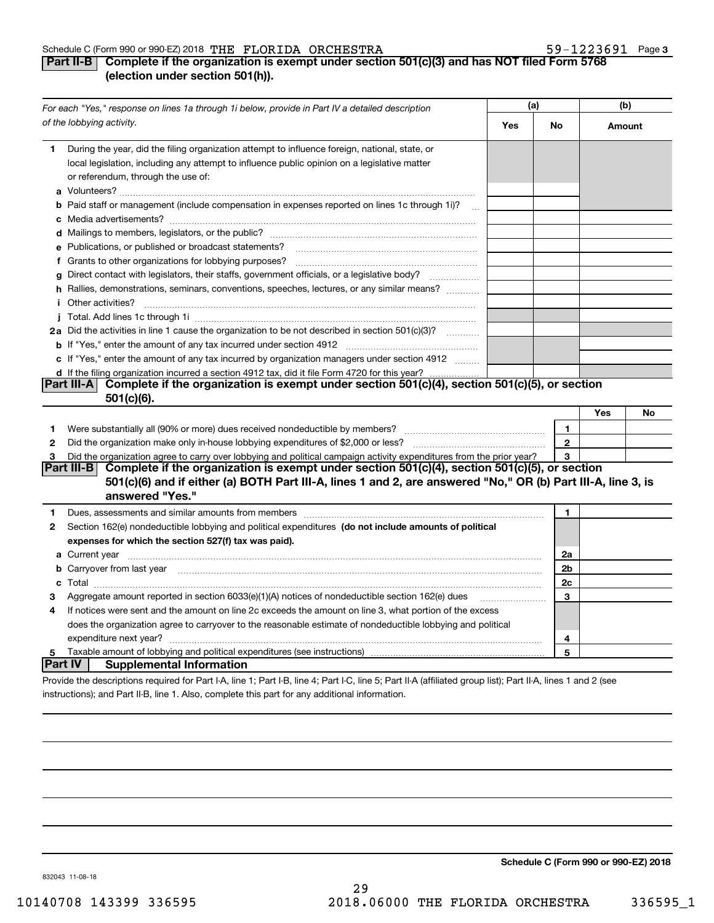#### Schedule C (Form 990 or 990-EZ) 2018 「THE FLORIDA ORCHESTRA THE STANDALL SAMELL SAMELL Page SCHORIDA

# **Part II-B Complete if the organization is exempt under section 501(c)(3) and has NOT filed Form 5768 (election under section 501(h)).**

|                | For each "Yes," response on lines 1a through 1i below, provide in Part IV a detailed description                                                                                                                                                 | (a) |              | (b)    |    |
|----------------|--------------------------------------------------------------------------------------------------------------------------------------------------------------------------------------------------------------------------------------------------|-----|--------------|--------|----|
|                | of the lobbying activity.                                                                                                                                                                                                                        | Yes | No           | Amount |    |
| 1.             | During the year, did the filing organization attempt to influence foreign, national, state, or<br>local legislation, including any attempt to influence public opinion on a legislative matter<br>or referendum, through the use of:             |     |              |        |    |
|                | <b>b</b> Paid staff or management (include compensation in expenses reported on lines 1c through 1i)?                                                                                                                                            |     |              |        |    |
|                |                                                                                                                                                                                                                                                  |     |              |        |    |
|                | e Publications, or published or broadcast statements?                                                                                                                                                                                            |     |              |        |    |
|                | f Grants to other organizations for lobbying purposes?                                                                                                                                                                                           |     |              |        |    |
| g              | Direct contact with legislators, their staffs, government officials, or a legislative body?<br>.                                                                                                                                                 |     |              |        |    |
|                | h Rallies, demonstrations, seminars, conventions, speeches, lectures, or any similar means?                                                                                                                                                      |     |              |        |    |
|                | <i>i</i> Other activities?                                                                                                                                                                                                                       |     |              |        |    |
|                |                                                                                                                                                                                                                                                  |     |              |        |    |
|                | 2a Did the activities in line 1 cause the organization to be not described in section 501(c)(3)?                                                                                                                                                 |     |              |        |    |
|                |                                                                                                                                                                                                                                                  |     |              |        |    |
|                | c If "Yes," enter the amount of any tax incurred by organization managers under section 4912                                                                                                                                                     |     |              |        |    |
|                | d If the filing organization incurred a section 4912 tax, did it file Form 4720 for this year?                                                                                                                                                   |     |              |        |    |
|                | $501(c)(6)$ .                                                                                                                                                                                                                                    |     |              | Yes    | No |
| 1              |                                                                                                                                                                                                                                                  |     | 1            |        |    |
| $\mathbf{2}$   |                                                                                                                                                                                                                                                  |     | $\mathbf{2}$ |        |    |
| 3              | Did the organization agree to carry over lobbying and political campaign activity expenditures from the prior year?                                                                                                                              |     | 3            |        |    |
|                | Complete if the organization is exempt under section 501(c)(4), section 501(c)(5), or section<br> Part III-B <br>501(c)(6) and if either (a) BOTH Part III-A, lines 1 and 2, are answered "No," OR (b) Part III-A, line 3, is<br>answered "Yes." |     |              |        |    |
| 1              |                                                                                                                                                                                                                                                  |     | 1.           |        |    |
| 2              | Section 162(e) nondeductible lobbying and political expenditures (do not include amounts of political<br>expenses for which the section 527(f) tax was paid).                                                                                    |     |              |        |    |
|                |                                                                                                                                                                                                                                                  |     | 2a           |        |    |
|                | b Carryover from last year [11] manufactured and the contract of the contract of the contract of the contract of the contract of the contract of the contract of the contract of the contract of the contract of the contract                    |     | 2b           |        |    |
|                |                                                                                                                                                                                                                                                  |     | 2c           |        |    |
| 3              | Aggregate amount reported in section 6033(e)(1)(A) notices of nondeductible section 162(e) dues                                                                                                                                                  |     | 3            |        |    |
| 4              | If notices were sent and the amount on line 2c exceeds the amount on line 3, what portion of the excess                                                                                                                                          |     |              |        |    |
|                | does the organization agree to carryover to the reasonable estimate of nondeductible lobbying and political                                                                                                                                      |     |              |        |    |
|                | expenditure next year?                                                                                                                                                                                                                           |     | 4            |        |    |
| 5              | Taxable amount of lobbying and political expenditures (see instructions)                                                                                                                                                                         |     | 5            |        |    |
| <b>Part IV</b> | <b>Supplemental Information</b>                                                                                                                                                                                                                  |     |              |        |    |
|                | Provide the descriptions required for Part I-A, line 1; Part I-B, line 4; Part I-C, line 5; Part II-A (affiliated group list); Part II-A, lines 1 and 2 (see                                                                                     |     |              |        |    |

instructions); and Part II-B, line 1. Also, complete this part for any additional information.

**Schedule C (Form 990 or 990-EZ) 2018**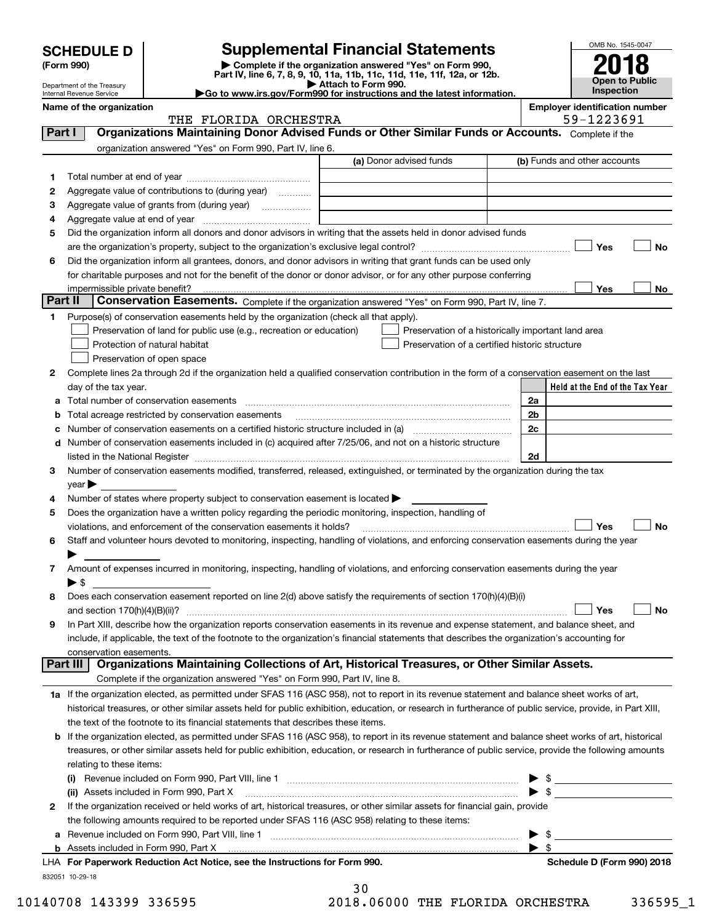|          | <b>SCHEDULE D</b><br>(Form 990) |                                                                                                                                  | <b>Supplemental Financial Statements</b><br>Complete if the organization answered "Yes" on Form 990,                                           |                |                                                     |          |
|----------|---------------------------------|----------------------------------------------------------------------------------------------------------------------------------|------------------------------------------------------------------------------------------------------------------------------------------------|----------------|-----------------------------------------------------|----------|
|          | Department of the Treasury      |                                                                                                                                  | Part IV, line 6, 7, 8, 9, 10, 11a, 11b, 11c, 11d, 11e, 11f, 12a, or 12b.<br>Attach to Form 990.                                                |                | Open to Public<br>Inspection                        |          |
|          | Internal Revenue Service        |                                                                                                                                  | Go to www.irs.gov/Form990 for instructions and the latest information.                                                                         |                |                                                     |          |
|          | Name of the organization        | THE FLORIDA ORCHESTRA                                                                                                            |                                                                                                                                                |                | <b>Employer identification number</b><br>59-1223691 |          |
| Part I   |                                 |                                                                                                                                  | Organizations Maintaining Donor Advised Funds or Other Similar Funds or Accounts. Complete if the                                              |                |                                                     |          |
|          |                                 | organization answered "Yes" on Form 990, Part IV, line 6.                                                                        |                                                                                                                                                |                |                                                     |          |
|          |                                 |                                                                                                                                  | (a) Donor advised funds                                                                                                                        |                | (b) Funds and other accounts                        |          |
| 1        |                                 |                                                                                                                                  |                                                                                                                                                |                |                                                     |          |
| 2        |                                 | Aggregate value of contributions to (during year)                                                                                | the control of the control of the control of the control of the control of the control of                                                      |                |                                                     |          |
| З        |                                 |                                                                                                                                  |                                                                                                                                                |                |                                                     |          |
| 4        |                                 |                                                                                                                                  |                                                                                                                                                |                |                                                     |          |
| 5        |                                 |                                                                                                                                  | Did the organization inform all donors and donor advisors in writing that the assets held in donor advised funds                               |                |                                                     |          |
|          |                                 |                                                                                                                                  |                                                                                                                                                |                | Yes                                                 | No       |
| 6        |                                 |                                                                                                                                  | Did the organization inform all grantees, donors, and donor advisors in writing that grant funds can be used only                              |                |                                                     |          |
|          |                                 |                                                                                                                                  | for charitable purposes and not for the benefit of the donor or donor advisor, or for any other purpose conferring                             |                |                                                     |          |
|          | impermissible private benefit?  |                                                                                                                                  |                                                                                                                                                |                | Yes                                                 | No       |
| Part II  |                                 |                                                                                                                                  | Conservation Easements. Complete if the organization answered "Yes" on Form 990, Part IV, line 7.                                              |                |                                                     |          |
| 2        | Preservation of open space      |                                                                                                                                  | Complete lines 2a through 2d if the organization held a qualified conservation contribution in the form of a conservation easement on the last |                |                                                     |          |
|          | day of the tax year.            |                                                                                                                                  |                                                                                                                                                |                | Held at the End of the Tax Year                     |          |
| а        |                                 |                                                                                                                                  |                                                                                                                                                | 2a             |                                                     |          |
| b        |                                 | Total acreage restricted by conservation easements                                                                               |                                                                                                                                                | 2 <sub>b</sub> |                                                     |          |
| c        |                                 |                                                                                                                                  |                                                                                                                                                | 2c             |                                                     |          |
|          |                                 |                                                                                                                                  | d Number of conservation easements included in (c) acquired after 7/25/06, and not on a historic structure                                     |                |                                                     |          |
|          |                                 |                                                                                                                                  | listed in the National Register [111] [12] The Management of the National Property of the National Register [1                                 | 2d             |                                                     |          |
| 3        |                                 | Number of conservation easements modified, transferred, released, extinguished, or terminated by the organization during the tax |                                                                                                                                                |                |                                                     |          |
|          | $vear \blacktriangleright$      |                                                                                                                                  |                                                                                                                                                |                |                                                     |          |
|          |                                 |                                                                                                                                  |                                                                                                                                                |                |                                                     |          |
| 4        |                                 | Number of states where property subject to conservation easement is located $\blacktriangleright$                                |                                                                                                                                                |                |                                                     |          |
| 5        |                                 |                                                                                                                                  | Does the organization have a written policy regarding the periodic monitoring, inspection, handling of                                         |                |                                                     |          |
|          |                                 |                                                                                                                                  |                                                                                                                                                |                | Yes                                                 |          |
|          |                                 |                                                                                                                                  | Staff and volunteer hours devoted to monitoring, inspecting, handling of violations, and enforcing conservation easements during the year      |                |                                                     |          |
|          |                                 |                                                                                                                                  |                                                                                                                                                |                |                                                     |          |
| 7        |                                 |                                                                                                                                  | Amount of expenses incurred in monitoring, inspecting, handling of violations, and enforcing conservation easements during the year            |                |                                                     |          |
| ▶ \$     |                                 |                                                                                                                                  |                                                                                                                                                |                |                                                     |          |
| 8        |                                 |                                                                                                                                  | Does each conservation easement reported on line 2(d) above satisfy the requirements of section 170(h)(4)(B)(i)                                |                |                                                     |          |
|          | and section $170(h)(4)(B)(ii)?$ |                                                                                                                                  |                                                                                                                                                |                | Yes                                                 |          |
| 9        |                                 |                                                                                                                                  | In Part XIII, describe how the organization reports conservation easements in its revenue and expense statement, and balance sheet, and        |                |                                                     |          |
|          |                                 |                                                                                                                                  | include, if applicable, the text of the footnote to the organization's financial statements that describes the organization's accounting for   |                |                                                     |          |
|          | conservation easements.         |                                                                                                                                  |                                                                                                                                                |                |                                                     | No<br>No |
| Part III |                                 |                                                                                                                                  | Organizations Maintaining Collections of Art, Historical Treasures, or Other Similar Assets.                                                   |                |                                                     |          |
|          |                                 | Complete if the organization answered "Yes" on Form 990, Part IV, line 8.                                                        | 1a If the organization elected, as permitted under SFAS 116 (ASC 958), not to report in its revenue statement and balance sheet works of art,  |                |                                                     |          |

| the text of the footnote to its financial statements that describes these items.                                                                                                                                                                                                                  |
|---------------------------------------------------------------------------------------------------------------------------------------------------------------------------------------------------------------------------------------------------------------------------------------------------|
| <b>b</b> If the organization elected, as permitted under SFAS 116 (ASC 958), to report in its revenue statement and balance sheet works of art, historical                                                                                                                                        |
| treasures, or other similar assets held for public exhibition, education, or research in furtherance of public service, provide the following amounts                                                                                                                                             |
| relating to these items:                                                                                                                                                                                                                                                                          |
| $f_1$ $\sum_{i=1}^{n}$ $\sum_{i=1}^{n}$ $\sum_{i=1}^{n}$ $\sum_{i=1}^{n}$ $\sum_{i=1}^{n}$ $\sum_{i=1}^{n}$ $\sum_{i=1}^{n}$ $\sum_{i=1}^{n}$ $\sum_{i=1}^{n}$ $\sum_{i=1}^{n}$ $\sum_{i=1}^{n}$ $\sum_{i=1}^{n}$ $\sum_{i=1}^{n}$ $\sum_{i=1}^{n}$ $\sum_{i=1}^{n}$ $\sum_{i=1}^{n}$ $\sum_{i=1$ |

|   | Revenue included on Form 990, Part VIII, line 1<br>(i)                                                                       |                            |
|---|------------------------------------------------------------------------------------------------------------------------------|----------------------------|
|   | (ii) Assets included in Form 990, Part X [11] [12] Assets included in Form 990, Part X                                       |                            |
| 2 | If the organization received or held works of art, historical treasures, or other similar assets for financial gain, provide |                            |
|   | the following amounts required to be reported under SFAS 116 (ASC 958) relating to these items:                              |                            |
|   | a Revenue included on Form 990, Part VIII, line 1                                                                            |                            |
|   |                                                                                                                              |                            |
|   | LHA For Paperwork Reduction Act Notice, see the Instructions for Form 990.                                                   | Schedule D (Form 990) 2018 |
|   | 832051 10-29-18                                                                                                              |                            |

| 30              |  |
|-----------------|--|
| 8.06000 THE FLC |  |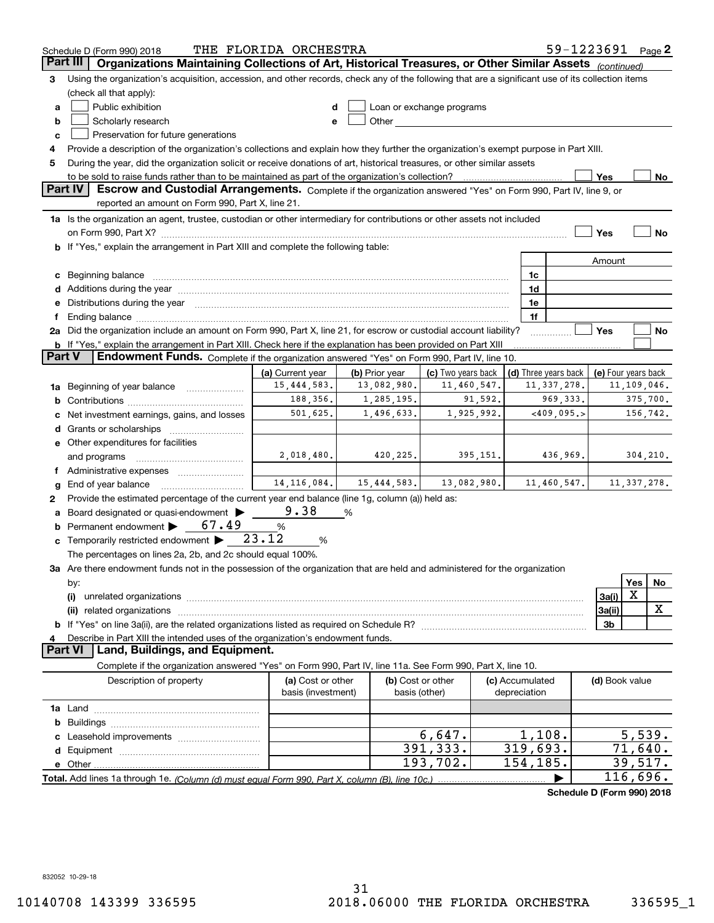|          | Schedule D (Form 990) 2018                                                                                                                                                                                                     | THE FLORIDA ORCHESTRA |                |             |                           |             |                 | 59-1223691 Page 2          |                     |               |           |
|----------|--------------------------------------------------------------------------------------------------------------------------------------------------------------------------------------------------------------------------------|-----------------------|----------------|-------------|---------------------------|-------------|-----------------|----------------------------|---------------------|---------------|-----------|
| Part III | Organizations Maintaining Collections of Art, Historical Treasures, or Other Similar Assets (continued)                                                                                                                        |                       |                |             |                           |             |                 |                            |                     |               |           |
| 3        | Using the organization's acquisition, accession, and other records, check any of the following that are a significant use of its collection items                                                                              |                       |                |             |                           |             |                 |                            |                     |               |           |
|          | (check all that apply):                                                                                                                                                                                                        |                       |                |             |                           |             |                 |                            |                     |               |           |
| a        | Public exhibition                                                                                                                                                                                                              | d                     |                |             | Loan or exchange programs |             |                 |                            |                     |               |           |
| b        | Scholarly research                                                                                                                                                                                                             | е                     |                |             |                           |             |                 |                            |                     |               |           |
| c        | Preservation for future generations                                                                                                                                                                                            |                       |                |             |                           |             |                 |                            |                     |               |           |
| 4        | Provide a description of the organization's collections and explain how they further the organization's exempt purpose in Part XIII.                                                                                           |                       |                |             |                           |             |                 |                            |                     |               |           |
| 5        | During the year, did the organization solicit or receive donations of art, historical treasures, or other similar assets                                                                                                       |                       |                |             |                           |             |                 |                            |                     |               |           |
|          | to be sold to raise funds rather than to be maintained as part of the organization's collection?                                                                                                                               |                       |                |             |                           |             |                 |                            | Yes                 |               | No        |
|          | Part IV<br>Escrow and Custodial Arrangements. Complete if the organization answered "Yes" on Form 990, Part IV, line 9, or                                                                                                     |                       |                |             |                           |             |                 |                            |                     |               |           |
|          | reported an amount on Form 990, Part X, line 21.                                                                                                                                                                               |                       |                |             |                           |             |                 |                            |                     |               |           |
|          | 1a Is the organization an agent, trustee, custodian or other intermediary for contributions or other assets not included                                                                                                       |                       |                |             |                           |             |                 |                            |                     |               |           |
|          | on Form 990, Part X? [11] matter contracts and contracts and contracts are contracted as a function of the set of the set of the set of the set of the set of the set of the set of the set of the set of the set of the set o |                       |                |             |                           |             |                 |                            | Yes                 |               | <b>No</b> |
|          | b If "Yes," explain the arrangement in Part XIII and complete the following table:                                                                                                                                             |                       |                |             |                           |             |                 |                            |                     |               |           |
|          |                                                                                                                                                                                                                                |                       |                |             |                           |             |                 |                            |                     |               |           |
|          |                                                                                                                                                                                                                                |                       |                |             |                           |             |                 |                            | Amount              |               |           |
| c        | Beginning balance                                                                                                                                                                                                              |                       |                |             |                           |             | 1c              |                            |                     |               |           |
| d        | Additions during the year manufactured and an account of the state of the state of the state of the state of the state of the state of the state of the state of the state of the state of the state of the state of the state |                       |                |             |                           |             | 1d              |                            |                     |               |           |
| е        | Distributions during the year manufactured and an account of the state of the state of the state of the state o                                                                                                                |                       |                |             |                           |             | 1e              |                            |                     |               |           |
|          |                                                                                                                                                                                                                                |                       |                |             |                           |             | 1f              |                            |                     |               |           |
|          | 2a Did the organization include an amount on Form 990, Part X, line 21, for escrow or custodial account liability?                                                                                                             |                       |                |             |                           |             |                 |                            | Yes                 |               | No        |
| Part V   | <b>b</b> If "Yes," explain the arrangement in Part XIII. Check here if the explanation has been provided on Part XIII                                                                                                          |                       |                |             |                           |             |                 |                            |                     |               |           |
|          | Endowment Funds. Complete if the organization answered "Yes" on Form 990, Part IV, line 10.                                                                                                                                    |                       |                |             |                           |             |                 |                            |                     |               |           |
|          |                                                                                                                                                                                                                                | (a) Current year      | (b) Prior year |             | (c) Two years back        |             |                 | (d) Three years back       | (e) Four years back |               |           |
| 1a       | Beginning of year balance                                                                                                                                                                                                      | 15, 444, 583.         |                | 13,082,980. | 11,460,547.               |             |                 | 11, 337, 278.              |                     | 11,109,046.   |           |
| b        |                                                                                                                                                                                                                                | 188,356.              |                | 1,285,195.  |                           | 91,592.     |                 | 969, 333.                  |                     | 375,700.      |           |
|          | Net investment earnings, gains, and losses                                                                                                                                                                                     | 501,625.              |                | 1,496,633.  |                           | 1,925,992.  |                 | <409,095.>                 |                     | 156,742.      |           |
| d        | Grants or scholarships                                                                                                                                                                                                         |                       |                |             |                           |             |                 |                            |                     |               |           |
|          | e Other expenditures for facilities                                                                                                                                                                                            |                       |                |             |                           |             |                 |                            |                     |               |           |
|          | and programs                                                                                                                                                                                                                   | 2,018,480.            |                | 420,225.    |                           | 395,151.    |                 | 436,969.                   |                     |               | 304, 210. |
|          | f Administrative expenses <i></i>                                                                                                                                                                                              |                       |                |             |                           |             |                 |                            |                     |               |           |
| g        | End of year balance                                                                                                                                                                                                            | 14, 116, 084.         |                | 15,444,583. |                           | 13,082,980. |                 | 11,460,547.                |                     | 11, 337, 278. |           |
| 2        | Provide the estimated percentage of the current year end balance (line 1g, column (a)) held as:                                                                                                                                |                       |                |             |                           |             |                 |                            |                     |               |           |
| а        | Board designated or quasi-endowment >                                                                                                                                                                                          | 9.38                  | %              |             |                           |             |                 |                            |                     |               |           |
| b        | Permanent endowment $\triangleright$ 67.49                                                                                                                                                                                     | $\%$                  |                |             |                           |             |                 |                            |                     |               |           |
| c        | Temporarily restricted endowment $\blacktriangleright$ 23.12                                                                                                                                                                   | %                     |                |             |                           |             |                 |                            |                     |               |           |
|          | The percentages on lines 2a, 2b, and 2c should equal 100%.                                                                                                                                                                     |                       |                |             |                           |             |                 |                            |                     |               |           |
|          | 3a Are there endowment funds not in the possession of the organization that are held and administered for the organization                                                                                                     |                       |                |             |                           |             |                 |                            |                     |               |           |
|          | by:                                                                                                                                                                                                                            |                       |                |             |                           |             |                 |                            |                     | Yes           | No        |
|          | (i)                                                                                                                                                                                                                            |                       |                |             |                           |             |                 |                            | 3a(i)               | Х             |           |
|          | (ii) related organizations                                                                                                                                                                                                     |                       |                |             |                           |             |                 |                            | 3a(ii)              |               | x         |
|          |                                                                                                                                                                                                                                |                       |                |             |                           |             |                 |                            | 3b                  |               |           |
|          | Describe in Part XIII the intended uses of the organization's endowment funds.                                                                                                                                                 |                       |                |             |                           |             |                 |                            |                     |               |           |
|          | Land, Buildings, and Equipment.<br><b>Part VI</b>                                                                                                                                                                              |                       |                |             |                           |             |                 |                            |                     |               |           |
|          | Complete if the organization answered "Yes" on Form 990, Part IV, line 11a. See Form 990, Part X, line 10.                                                                                                                     |                       |                |             |                           |             |                 |                            |                     |               |           |
|          | Description of property                                                                                                                                                                                                        | (a) Cost or other     |                |             | (b) Cost or other         |             | (c) Accumulated |                            | (d) Book value      |               |           |
|          |                                                                                                                                                                                                                                | basis (investment)    |                |             | basis (other)             |             | depreciation    |                            |                     |               |           |
|          |                                                                                                                                                                                                                                |                       |                |             |                           |             |                 |                            |                     |               |           |
| b        |                                                                                                                                                                                                                                |                       |                |             |                           |             |                 |                            |                     |               |           |
|          |                                                                                                                                                                                                                                |                       |                |             | 6,647.                    |             | 1,108.          |                            |                     |               | 5,539.    |
| d        |                                                                                                                                                                                                                                |                       |                |             | 391,333.                  |             | 319,693.        |                            |                     | 71,640.       |           |
|          | e Other                                                                                                                                                                                                                        |                       |                |             | 193,702.                  |             | 154,185.        |                            |                     | 39,517.       |           |
|          | Total. Add lines 1a through 1e. (Column (d) must equal Form 990. Part X, column (B), line 10c.)                                                                                                                                |                       |                |             |                           |             |                 |                            |                     | 116,696.      |           |
|          |                                                                                                                                                                                                                                |                       |                |             |                           |             |                 | Schedule D (Form 990) 2018 |                     |               |           |
|          |                                                                                                                                                                                                                                |                       |                |             |                           |             |                 |                            |                     |               |           |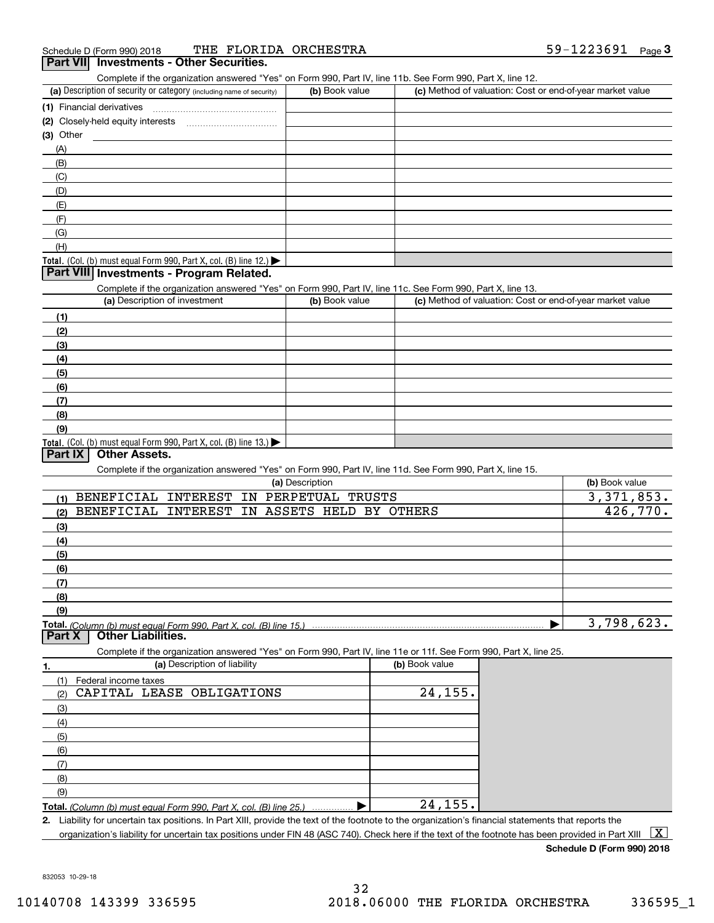| Schedule D (Form 990) 2018 | THE FLORIDA ORCHESTRA                    |  | 59-1223691 | Page |
|----------------------------|------------------------------------------|--|------------|------|
|                            | Part VII Investments - Other Securities. |  |            |      |

| Complete if the organization answered "Yes" on Form 990, Part IV, line 11b. See Form 990, Part X, line 12. |                |                                                           |
|------------------------------------------------------------------------------------------------------------|----------------|-----------------------------------------------------------|
| (a) Description of security or category (including name of security)                                       | (b) Book value | (c) Method of valuation: Cost or end-of-year market value |
| (1) Financial derivatives                                                                                  |                |                                                           |
| (2) Closely-held equity interests                                                                          |                |                                                           |
| (3) Other                                                                                                  |                |                                                           |
| (A)                                                                                                        |                |                                                           |
| (B)                                                                                                        |                |                                                           |
| (C)                                                                                                        |                |                                                           |
| (D)                                                                                                        |                |                                                           |
| (E)                                                                                                        |                |                                                           |
| (F)                                                                                                        |                |                                                           |
| (G)                                                                                                        |                |                                                           |
| (H)                                                                                                        |                |                                                           |
| <b>Total.</b> (Col. (b) must equal Form 990, Part X, col. (B) line 12.) $\blacktriangleright$              |                |                                                           |
| <b>Part VIII Investments - Program Related.</b>                                                            |                |                                                           |

Complete if the organization answered "Yes" on Form 990, Part IV, line 11c. See Form 990, Part X, line 13.

| (a) Description of investment                                    | (b) Book value | (c) Method of valuation: Cost or end-of-year market value |
|------------------------------------------------------------------|----------------|-----------------------------------------------------------|
| (1)                                                              |                |                                                           |
| (2)                                                              |                |                                                           |
| (3)                                                              |                |                                                           |
| (4)                                                              |                |                                                           |
| $\frac{1}{2}$                                                    |                |                                                           |
| (6)                                                              |                |                                                           |
| $\sqrt{(7)}$                                                     |                |                                                           |
| (8)                                                              |                |                                                           |
| (9)                                                              |                |                                                           |
| Total. (Col. (b) must equal Form 990, Part X, col. (B) line 13.) |                |                                                           |

#### **Part IX Other Assets.**

Complete if the organization answered "Yes" on Form 990, Part IV, line 11d. See Form 990, Part X, line 15.

| (a) Description                                     | (b) Book value |
|-----------------------------------------------------|----------------|
| INTEREST IN PERPETUAL TRUSTS<br>BENEFICIAL<br>(1)   | 3,371,853.     |
| BENEFICIAL INTEREST IN ASSETS HELD BY OTHERS<br>(2) | 426,770.       |
| (3)                                                 |                |
| (4)                                                 |                |
| $\frac{1}{2}$ (5)                                   |                |
| $\frac{6}{6}$                                       |                |
| (7)                                                 |                |
| (8)                                                 |                |
| (9)                                                 |                |
|                                                     | 3,798,623.     |

**Part X Other Liabilities.**

Complete if the organization answered "Yes" on Form 990, Part IV, line 11e or 11f. See Form 990, Part X, line 25.

|     | (a) Description of liability                                            | (b) Book value |
|-----|-------------------------------------------------------------------------|----------------|
|     | Federal income taxes                                                    |                |
| (2) | CAPITAL LEASE OBLIGATIONS                                               | 24, 155.       |
| (3) |                                                                         |                |
| (4) |                                                                         |                |
| (5) |                                                                         |                |
| (6) |                                                                         |                |
|     |                                                                         |                |
| (8) |                                                                         |                |
| (9) |                                                                         |                |
|     | Total. (Column (b) must equal Form 990, Part X, col. (B) line 25.)<br>. | 24,155.        |

**2.**. . . . . . . . . . . . . . . | Liability for uncertain tax positions. In Part XIII, provide the text of the footnote to the organization's financial statements that reports the

organization's liability for uncertain tax positions under FIN 48 (ASC 740). Check here if the text of the footnote has been provided in Part XIII  $~\boxed{\rm X}$ 

**Schedule D (Form 990) 2018**

832053 10-29-18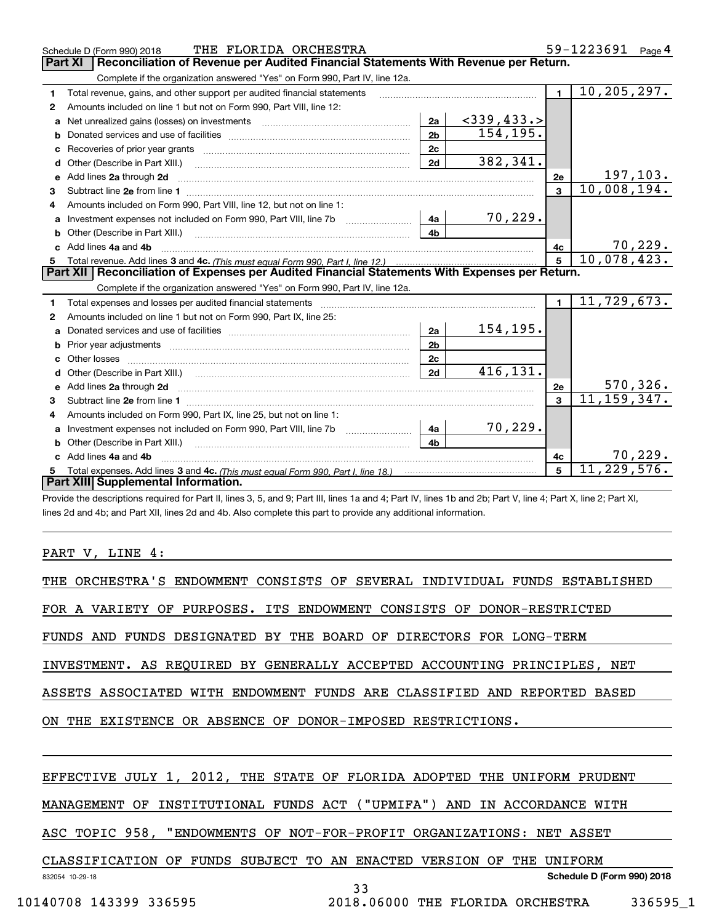|    | THE FLORIDA ORCHESTRA<br>Schedule D (Form 990) 2018                                                                                                                                                                                  |                |               |                | 59-1223691 Page 4            |  |
|----|--------------------------------------------------------------------------------------------------------------------------------------------------------------------------------------------------------------------------------------|----------------|---------------|----------------|------------------------------|--|
|    | Reconciliation of Revenue per Audited Financial Statements With Revenue per Return.<br><b>Part XI</b>                                                                                                                                |                |               |                |                              |  |
|    | Complete if the organization answered "Yes" on Form 990, Part IV, line 12a.                                                                                                                                                          |                |               |                |                              |  |
| 1  | Total revenue, gains, and other support per audited financial statements                                                                                                                                                             |                |               | $\blacksquare$ | $\overline{10}$ , 205, 297.  |  |
| 2  | Amounts included on line 1 but not on Form 990, Part VIII, line 12:                                                                                                                                                                  |                |               |                |                              |  |
| a  | Net unrealized gains (losses) on investments [11] matter contracts and the unrealized gains (losses) on investments                                                                                                                  | 2a             | $<$ 339,433.> |                |                              |  |
| b  |                                                                                                                                                                                                                                      | 2 <sub>b</sub> | 154, 195.     |                |                              |  |
|    |                                                                                                                                                                                                                                      | 2c             |               |                |                              |  |
| d  | Other (Describe in Part XIII.) <b>2006</b> 2007 2010 2010 2010 2010 2011 2012 2013 2014 2014 2015 2016 2017 2018 2019 2016 2017 2018 2019 2016 2017 2018 2019 2016 2017 2018 2019 2018 2019 2019 2016 2017 2018 2019 2018 2019 2019  | 2d             | 382,341.      |                |                              |  |
| е  | Add lines 2a through 2d                                                                                                                                                                                                              |                |               | 2e             | 197, 103.                    |  |
| 3  |                                                                                                                                                                                                                                      |                |               | $\mathbf{3}$   | 10,008,194.                  |  |
| 4  | Amounts included on Form 990, Part VIII, line 12, but not on line 1:                                                                                                                                                                 |                |               |                |                              |  |
| a  |                                                                                                                                                                                                                                      | 4a             | 70, 229.      |                |                              |  |
| b  | Other (Describe in Part XIII.) <b>Construction Contract Construction</b> Chern Construction Chern Chern Chern Chern Chern Chern Chern Chern Chern Chern Chern Chern Chern Chern Chern Chern Chern Chern Chern Chern Chern Chern Che  | 4b             |               |                |                              |  |
|    | Add lines 4a and 4b                                                                                                                                                                                                                  |                |               | 4с             | $\frac{70,229}{10,078,423.}$ |  |
| 5  |                                                                                                                                                                                                                                      |                |               |                |                              |  |
|    | Part XII   Reconciliation of Expenses per Audited Financial Statements With Expenses per Return.                                                                                                                                     |                |               |                |                              |  |
|    | Complete if the organization answered "Yes" on Form 990, Part IV, line 12a.                                                                                                                                                          |                |               |                |                              |  |
| 1  |                                                                                                                                                                                                                                      |                |               | $\blacksquare$ | 11,729,673.                  |  |
| 2  | Amounts included on line 1 but not on Form 990, Part IX, line 25:                                                                                                                                                                    |                |               |                |                              |  |
| a  |                                                                                                                                                                                                                                      | 2a             | 154, 195.     |                |                              |  |
|    | Prior year adjustments manufactured and contract and contract and contract and contract and contract and contract and contract and contract and contract and contract and contract and contract and contract and contract and        | 2 <sub>b</sub> |               |                |                              |  |
|    |                                                                                                                                                                                                                                      | 2c             |               |                |                              |  |
| d  | Other (Describe in Part XIII.) <b>Construction Contract Construction</b>                                                                                                                                                             | 2d             | 416,131.      |                |                              |  |
| e  | Add lines 2a through 2d <b>continuum contract and all contract and all contract and all contract and all contract and all contract and all contract and all contract and all contract and all contract and all contract and all </b> |                |               | 2e             | 570, 326.                    |  |
| З. |                                                                                                                                                                                                                                      |                |               | $\mathbf{a}$   | 11, 159, 347.                |  |
| 4  | Amounts included on Form 990, Part IX, line 25, but not on line 1:                                                                                                                                                                   |                |               |                |                              |  |
| a  |                                                                                                                                                                                                                                      | 4a             | 70,229.       |                |                              |  |
| b  | Other (Describe in Part XIII.) <b>Construction Contract Construction</b> (Describe in Part XIII.)                                                                                                                                    | 4 <sub>b</sub> |               |                |                              |  |
|    | Add lines 4a and 4b                                                                                                                                                                                                                  |                |               | 4с             | 70,229.                      |  |
| 5  |                                                                                                                                                                                                                                      |                |               | $\overline{5}$ | 11, 229, 576.                |  |
|    | Part XIII Supplemental Information.                                                                                                                                                                                                  |                |               |                |                              |  |
|    | Provide the descriptions required for Part II, lines 3, 5, and 9; Part III, lines 1a and 4; Part IV, lines 1b and 2b; Part V, line 4; Part X, line 2; Part XI,                                                                       |                |               |                |                              |  |

lines 2d and 4b; and Part XII, lines 2d and 4b. Also complete this part to provide any additional information.

PART V, LINE 4:

| THE ORCHESTRA'S ENDOWMENT CONSISTS OF SEVERAL INDIVIDUAL FUNDS ESTABLISHED |
|----------------------------------------------------------------------------|
| FOR A VARIETY OF PURPOSES. ITS ENDOWMENT CONSISTS OF DONOR-RESTRICTED      |
| FUNDS AND FUNDS DESIGNATED BY THE BOARD OF DIRECTORS FOR LONG-TERM         |
| INVESTMENT. AS REQUIRED BY GENERALLY ACCEPTED ACCOUNTING PRINCIPLES, NET   |
| ASSETS ASSOCIATED WITH ENDOWMENT FUNDS ARE CLASSIFIED AND REPORTED BASED   |
| ON THE EXISTENCE OR ABSENCE OF DONOR-IMPOSED RESTRICTIONS.                 |
|                                                                            |
| EFFECTIVE JULY 1, 2012, THE STATE OF FLORIDA ADOPTED THE UNIFORM PRUDENT   |
| MANAGEMENT OF INSTITUTIONAL FUNDS ACT ("UPMIFA") AND IN ACCORDANCE WITH    |
| ASC TOPIC 958, "ENDOWMENTS OF NOT-FOR-PROFIT ORGANIZATIONS: NET ASSET      |

832054 10-29-18 **Schedule D (Form 990) 2018** CLASSIFICATION OF FUNDS SUBJECT TO AN ENACTED VERSION OF THE UNIFORM

33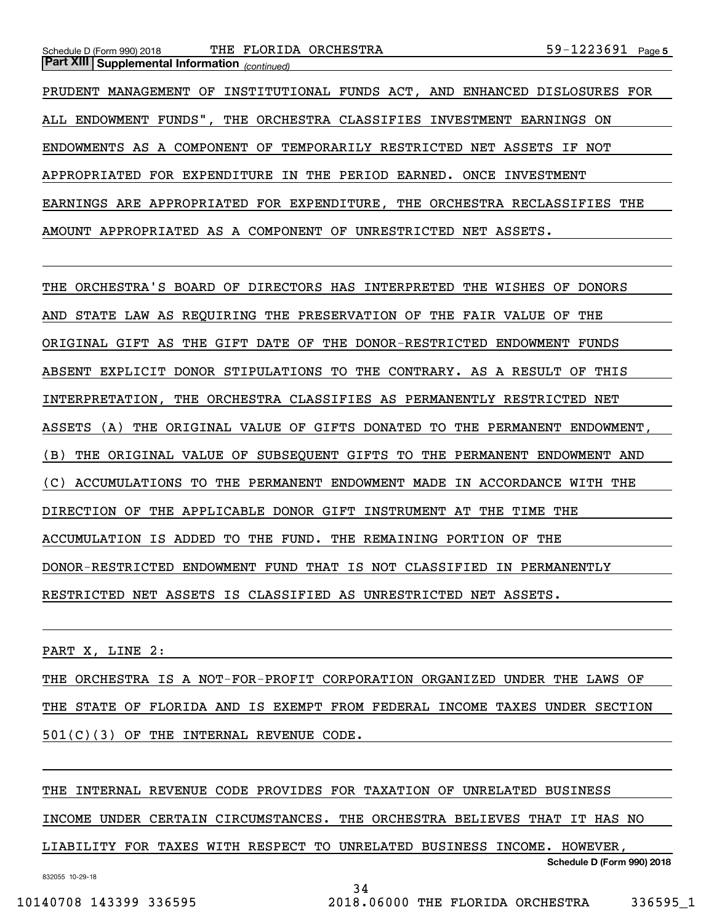*(continued)* **Part XIII Supplemental Information** 

PRUDENT MANAGEMENT OF INSTITUTIONAL FUNDS ACT, AND ENHANCED DISLOSURES FOR ALL ENDOWMENT FUNDS", THE ORCHESTRA CLASSIFIES INVESTMENT EARNINGS ON ENDOWMENTS AS A COMPONENT OF TEMPORARILY RESTRICTED NET ASSETS IF NOT APPROPRIATED FOR EXPENDITURE IN THE PERIOD EARNED. ONCE INVESTMENT EARNINGS ARE APPROPRIATED FOR EXPENDITURE, THE ORCHESTRA RECLASSIFIES THE AMOUNT APPROPRIATED AS A COMPONENT OF UNRESTRICTED NET ASSETS.

THE ORCHESTRA'S BOARD OF DIRECTORS HAS INTERPRETED THE WISHES OF DONORS AND STATE LAW AS REQUIRING THE PRESERVATION OF THE FAIR VALUE OF THE ORIGINAL GIFT AS THE GIFT DATE OF THE DONOR-RESTRICTED ENDOWMENT FUNDS ABSENT EXPLICIT DONOR STIPULATIONS TO THE CONTRARY. AS A RESULT OF THIS INTERPRETATION, THE ORCHESTRA CLASSIFIES AS PERMANENTLY RESTRICTED NET ASSETS (A) THE ORIGINAL VALUE OF GIFTS DONATED TO THE PERMANENT ENDOWMENT, (B) THE ORIGINAL VALUE OF SUBSEQUENT GIFTS TO THE PERMANENT ENDOWMENT AND (C) ACCUMULATIONS TO THE PERMANENT ENDOWMENT MADE IN ACCORDANCE WITH THE DIRECTION OF THE APPLICABLE DONOR GIFT INSTRUMENT AT THE TIME THE ACCUMULATION IS ADDED TO THE FUND. THE REMAINING PORTION OF THE DONOR-RESTRICTED ENDOWMENT FUND THAT IS NOT CLASSIFIED IN PERMANENTLY RESTRICTED NET ASSETS IS CLASSIFIED AS UNRESTRICTED NET ASSETS.

PART X, LINE 2:

THE ORCHESTRA IS A NOT-FOR-PROFIT CORPORATION ORGANIZED UNDER THE LAWS OF THE STATE OF FLORIDA AND IS EXEMPT FROM FEDERAL INCOME TAXES UNDER SECTION 501(C)(3) OF THE INTERNAL REVENUE CODE.

THE INTERNAL REVENUE CODE PROVIDES FOR TAXATION OF UNRELATED BUSINESS INCOME UNDER CERTAIN CIRCUMSTANCES. THE ORCHESTRA BELIEVES THAT IT HAS NO LIABILITY FOR TAXES WITH RESPECT TO UNRELATED BUSINESS INCOME. HOWEVER,

34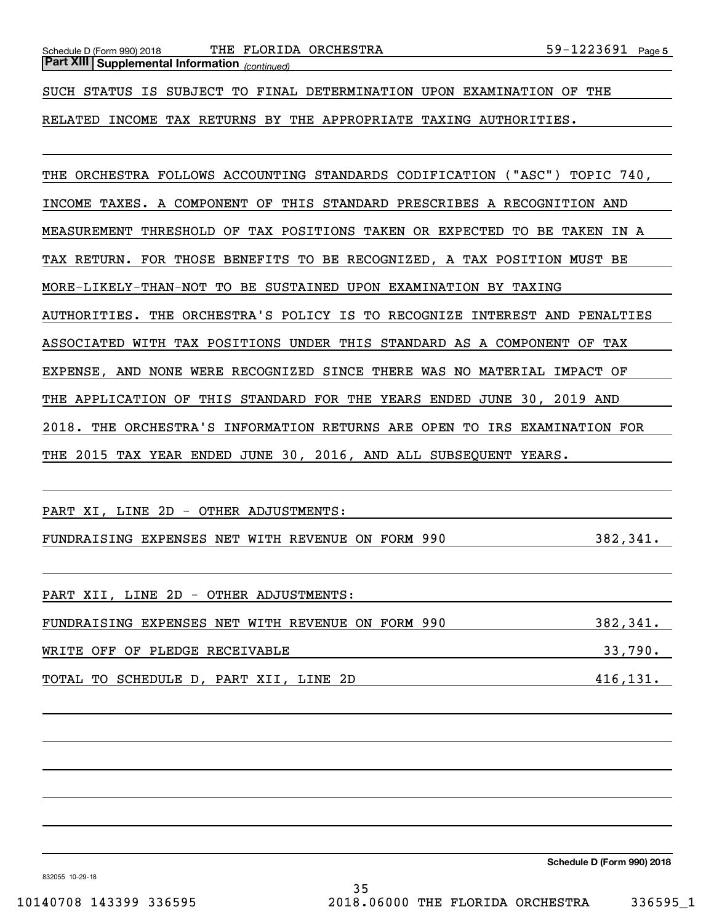*(continued)* **Part XIII Supplemental Information** 

SUCH STATUS IS SUBJECT TO FINAL DETERMINATION UPON EXAMINATION OF THE

RELATED INCOME TAX RETURNS BY THE APPROPRIATE TAXING AUTHORITIES.

THE ORCHESTRA FOLLOWS ACCOUNTING STANDARDS CODIFICATION ("ASC") TOPIC 740, INCOME TAXES. A COMPONENT OF THIS STANDARD PRESCRIBES A RECOGNITION AND MEASUREMENT THRESHOLD OF TAX POSITIONS TAKEN OR EXPECTED TO BE TAKEN IN A TAX RETURN. FOR THOSE BENEFITS TO BE RECOGNIZED, A TAX POSITION MUST BE MORE-LIKELY-THAN-NOT TO BE SUSTAINED UPON EXAMINATION BY TAXING AUTHORITIES. THE ORCHESTRA'S POLICY IS TO RECOGNIZE INTEREST AND PENALTIES ASSOCIATED WITH TAX POSITIONS UNDER THIS STANDARD AS A COMPONENT OF TAX EXPENSE, AND NONE WERE RECOGNIZED SINCE THERE WAS NO MATERIAL IMPACT OF THE APPLICATION OF THIS STANDARD FOR THE YEARS ENDED JUNE 30, 2019 AND 2018. THE ORCHESTRA'S INFORMATION RETURNS ARE OPEN TO IRS EXAMINATION FOR THE 2015 TAX YEAR ENDED JUNE 30, 2016, AND ALL SUBSEQUENT YEARS.

PART XI, LINE 2D - OTHER ADJUSTMENTS:

FUNDRAISING EXPENSES NET WITH REVENUE ON FORM 990 382,341.

PART XII, LINE 2D - OTHER ADJUSTMENTS: FUNDRAISING EXPENSES NET WITH REVENUE ON FORM 990 382,341. WRITE OFF OF PLEDGE RECEIVABLE **All and Solution** and Sq. 790. TOTAL TO SCHEDULE D, PART XII, LINE 2D 416,131.

**Schedule D (Form 990) 2018**

832055 10-29-18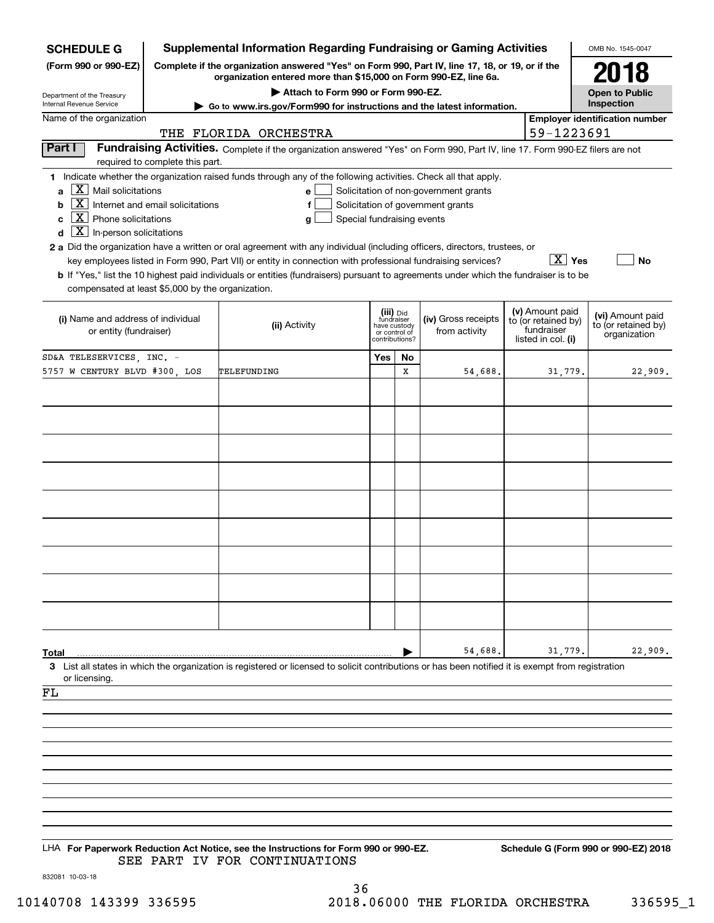| <b>SCHEDULE G</b>                                                                         |                                                                                                                                                                     | <b>Supplemental Information Regarding Fundraising or Gaming Activities</b>                                                                         |                                                          |                |                                       |  |                                   | OMB No. 1545-0047                    |
|-------------------------------------------------------------------------------------------|---------------------------------------------------------------------------------------------------------------------------------------------------------------------|----------------------------------------------------------------------------------------------------------------------------------------------------|----------------------------------------------------------|----------------|---------------------------------------|--|-----------------------------------|--------------------------------------|
| (Form 990 or 990-EZ)                                                                      | Complete if the organization answered "Yes" on Form 990, Part IV, line 17, 18, or 19, or if the<br>organization entered more than \$15,000 on Form 990-EZ, line 6a. |                                                                                                                                                    | 2018                                                     |                |                                       |  |                                   |                                      |
| Department of the Treasury                                                                |                                                                                                                                                                     |                                                                                                                                                    | <b>Open to Public</b>                                    |                |                                       |  |                                   |                                      |
| Internal Revenue Service                                                                  |                                                                                                                                                                     | ► Go to www.irs.gov/Form990 for instructions and the latest information.                                                                           |                                                          |                |                                       |  |                                   | Inspection                           |
| Name of the organization                                                                  | 59-1223691                                                                                                                                                          | <b>Employer identification number</b>                                                                                                              |                                                          |                |                                       |  |                                   |                                      |
| Part I                                                                                    | required to complete this part.                                                                                                                                     | Fundraising Activities. Complete if the organization answered "Yes" on Form 990, Part IV, line 17. Form 990-EZ filers are not                      |                                                          |                |                                       |  |                                   |                                      |
|                                                                                           |                                                                                                                                                                     | 1 Indicate whether the organization raised funds through any of the following activities. Check all that apply.                                    |                                                          |                |                                       |  |                                   |                                      |
| $\vert X \vert$ Mail solicitations<br>$\mathbf{a}$                                        |                                                                                                                                                                     | $\mathbf{e}$                                                                                                                                       |                                                          |                | Solicitation of non-government grants |  |                                   |                                      |
| $\boxed{\textbf{X}}$ Internet and email solicitations<br>b                                |                                                                                                                                                                     | f                                                                                                                                                  |                                                          |                | Solicitation of government grants     |  |                                   |                                      |
| $\boxed{\text{X}}$ Phone solicitations<br>C<br>$\boxed{\text{X}}$ In-person solicitations |                                                                                                                                                                     | Special fundraising events<br>g                                                                                                                    |                                                          |                |                                       |  |                                   |                                      |
| d                                                                                         |                                                                                                                                                                     | 2 a Did the organization have a written or oral agreement with any individual (including officers, directors, trustees, or                         |                                                          |                |                                       |  |                                   |                                      |
|                                                                                           |                                                                                                                                                                     | key employees listed in Form 990, Part VII) or entity in connection with professional fundraising services?                                        |                                                          |                |                                       |  | $\boxed{\text{X}}$ Yes            | No                                   |
|                                                                                           |                                                                                                                                                                     | <b>b</b> If "Yes," list the 10 highest paid individuals or entities (fundraisers) pursuant to agreements under which the fundraiser is to be       |                                                          |                |                                       |  |                                   |                                      |
| compensated at least \$5,000 by the organization.                                         |                                                                                                                                                                     |                                                                                                                                                    |                                                          |                |                                       |  |                                   |                                      |
|                                                                                           |                                                                                                                                                                     |                                                                                                                                                    |                                                          |                |                                       |  | (v) Amount paid                   | (vi) Amount paid                     |
| (i) Name and address of individual<br>or entity (fundraiser)                              |                                                                                                                                                                     | (ii) Activity                                                                                                                                      | (iii) Did<br>fundraiser<br>have custody<br>or control of |                | (iv) Gross receipts<br>from activity  |  | to (or retained by)<br>fundraiser | to (or retained by)                  |
|                                                                                           |                                                                                                                                                                     |                                                                                                                                                    |                                                          | contributions? |                                       |  | listed in col. (i)                | organization                         |
| SD&A TELESERVICES, INC. -                                                                 |                                                                                                                                                                     |                                                                                                                                                    | Yes                                                      | No             |                                       |  |                                   |                                      |
| 5757 W CENTURY BLVD #300, LOS                                                             |                                                                                                                                                                     | TELEFUNDING                                                                                                                                        |                                                          | x              | 54,688.                               |  | 31,779.                           | 22,909.                              |
|                                                                                           |                                                                                                                                                                     |                                                                                                                                                    |                                                          |                |                                       |  |                                   |                                      |
|                                                                                           |                                                                                                                                                                     |                                                                                                                                                    |                                                          |                |                                       |  |                                   |                                      |
|                                                                                           |                                                                                                                                                                     |                                                                                                                                                    |                                                          |                |                                       |  |                                   |                                      |
|                                                                                           |                                                                                                                                                                     |                                                                                                                                                    |                                                          |                |                                       |  |                                   |                                      |
|                                                                                           |                                                                                                                                                                     |                                                                                                                                                    |                                                          |                |                                       |  |                                   |                                      |
|                                                                                           |                                                                                                                                                                     |                                                                                                                                                    |                                                          |                |                                       |  |                                   |                                      |
|                                                                                           |                                                                                                                                                                     |                                                                                                                                                    |                                                          |                |                                       |  |                                   |                                      |
|                                                                                           |                                                                                                                                                                     |                                                                                                                                                    |                                                          |                |                                       |  |                                   |                                      |
|                                                                                           |                                                                                                                                                                     |                                                                                                                                                    |                                                          |                |                                       |  |                                   |                                      |
|                                                                                           |                                                                                                                                                                     |                                                                                                                                                    |                                                          |                |                                       |  |                                   |                                      |
|                                                                                           |                                                                                                                                                                     |                                                                                                                                                    |                                                          |                |                                       |  |                                   |                                      |
|                                                                                           |                                                                                                                                                                     |                                                                                                                                                    |                                                          |                |                                       |  |                                   |                                      |
|                                                                                           |                                                                                                                                                                     |                                                                                                                                                    |                                                          |                |                                       |  |                                   |                                      |
|                                                                                           |                                                                                                                                                                     |                                                                                                                                                    |                                                          |                |                                       |  |                                   |                                      |
|                                                                                           |                                                                                                                                                                     |                                                                                                                                                    |                                                          |                |                                       |  |                                   |                                      |
| Total                                                                                     |                                                                                                                                                                     |                                                                                                                                                    |                                                          |                | 54,688.                               |  | 31,779.                           | 22,909.                              |
| or licensing.                                                                             |                                                                                                                                                                     | 3 List all states in which the organization is registered or licensed to solicit contributions or has been notified it is exempt from registration |                                                          |                |                                       |  |                                   |                                      |
| FL                                                                                        |                                                                                                                                                                     |                                                                                                                                                    |                                                          |                |                                       |  |                                   |                                      |
|                                                                                           |                                                                                                                                                                     |                                                                                                                                                    |                                                          |                |                                       |  |                                   |                                      |
|                                                                                           |                                                                                                                                                                     |                                                                                                                                                    |                                                          |                |                                       |  |                                   |                                      |
|                                                                                           |                                                                                                                                                                     |                                                                                                                                                    |                                                          |                |                                       |  |                                   |                                      |
|                                                                                           |                                                                                                                                                                     |                                                                                                                                                    |                                                          |                |                                       |  |                                   |                                      |
|                                                                                           |                                                                                                                                                                     |                                                                                                                                                    |                                                          |                |                                       |  |                                   |                                      |
|                                                                                           |                                                                                                                                                                     |                                                                                                                                                    |                                                          |                |                                       |  |                                   |                                      |
|                                                                                           |                                                                                                                                                                     |                                                                                                                                                    |                                                          |                |                                       |  |                                   |                                      |
|                                                                                           |                                                                                                                                                                     |                                                                                                                                                    |                                                          |                |                                       |  |                                   |                                      |
|                                                                                           |                                                                                                                                                                     | LHA For Paperwork Reduction Act Notice, see the Instructions for Form 990 or 990-EZ.                                                               |                                                          |                |                                       |  |                                   | Schedule G (Form 990 or 990-EZ) 2018 |
|                                                                                           |                                                                                                                                                                     | SEE PART IV FOR CONTINUATIONS                                                                                                                      |                                                          |                |                                       |  |                                   |                                      |
| 832081 10-03-18                                                                           |                                                                                                                                                                     |                                                                                                                                                    |                                                          |                |                                       |  |                                   |                                      |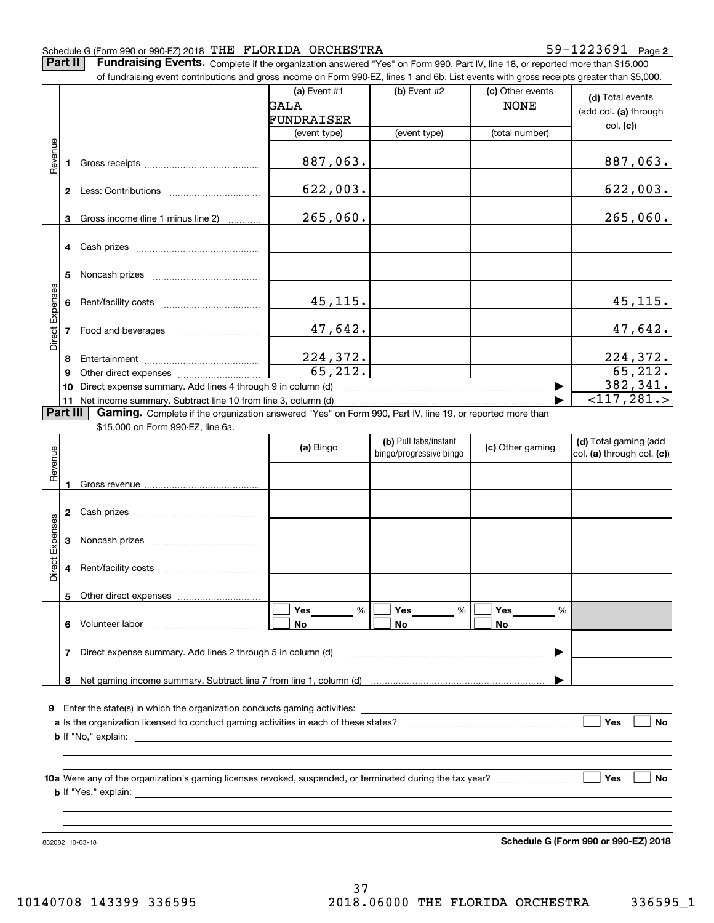**2**

**Part II Fundraising Events.** Complete if the organization answered "Yes" on Form 990, Part IV, line 18, or reported more than \$15,000<br>15.000 of fundraising event contributions and gross income on Form 990-EZ. lines 1 an of fundraising event contributions and gross income on Form 990-EZ, lines 1 and 6b. List events with gross receipts greater than \$5,000.

|                 |          | of fundraising event contributions and gross income on Form 990-EZ, lines 1 and 6b. List events with gross receipts greater than \$5,000. |                                    |                         |                                 |                                                       |  |  |
|-----------------|----------|-------------------------------------------------------------------------------------------------------------------------------------------|------------------------------------|-------------------------|---------------------------------|-------------------------------------------------------|--|--|
|                 |          |                                                                                                                                           | (a) Event #1<br>GALA<br>FUNDRAISER | (b) Event #2            | (c) Other events<br><b>NONE</b> | (d) Total events<br>(add col. (a) through<br>col. (c) |  |  |
|                 |          |                                                                                                                                           | (event type)                       | (event type)            | (total number)                  |                                                       |  |  |
| Revenue         |          |                                                                                                                                           | 887,063.                           |                         |                                 | 887,063.                                              |  |  |
|                 |          |                                                                                                                                           | 622,003.                           |                         |                                 | <u>622,003.</u>                                       |  |  |
|                 | 3        | Gross income (line 1 minus line 2)                                                                                                        | 265,060.                           |                         |                                 | 265,060.                                              |  |  |
|                 |          |                                                                                                                                           |                                    |                         |                                 |                                                       |  |  |
|                 | 5        |                                                                                                                                           |                                    |                         |                                 |                                                       |  |  |
|                 | 6        |                                                                                                                                           | 45,115.                            |                         |                                 | <u>45,115.</u>                                        |  |  |
| Direct Expenses |          |                                                                                                                                           | 47,642.                            |                         |                                 | 47,642.                                               |  |  |
|                 | 8        |                                                                                                                                           |                                    |                         |                                 |                                                       |  |  |
|                 | 9        |                                                                                                                                           | $\frac{224,372.}{65,212.}$         |                         |                                 | $\frac{224,372.}{65,212.}$<br>382,341.                |  |  |
|                 | 10       | Direct expense summary. Add lines 4 through 9 in column (d)                                                                               |                                    |                         |                                 |                                                       |  |  |
|                 |          | 11 Net income summary. Subtract line 10 from line 3, column (d)                                                                           |                                    |                         |                                 | $\overline{117,281.5}$                                |  |  |
|                 | Part III | Gaming. Complete if the organization answered "Yes" on Form 990, Part IV, line 19, or reported more than                                  |                                    |                         |                                 |                                                       |  |  |
|                 |          | \$15,000 on Form 990-EZ, line 6a.                                                                                                         |                                    | (b) Pull tabs/instant   |                                 | (d) Total gaming (add                                 |  |  |
| Revenue         |          |                                                                                                                                           | (a) Bingo                          | bingo/progressive bingo | (c) Other gaming                | col. (a) through col. (c))                            |  |  |
|                 | -1       |                                                                                                                                           |                                    |                         |                                 |                                                       |  |  |
|                 |          |                                                                                                                                           |                                    |                         |                                 |                                                       |  |  |
|                 |          |                                                                                                                                           |                                    |                         |                                 |                                                       |  |  |
| Expenses        |          |                                                                                                                                           |                                    |                         |                                 |                                                       |  |  |
| <b>Direct</b>   | 4        |                                                                                                                                           |                                    |                         |                                 |                                                       |  |  |
|                 | 5        | Other direct expenses                                                                                                                     |                                    |                         |                                 |                                                       |  |  |
|                 |          | 6 Volunteer labor                                                                                                                         | Yes<br>%<br>No                     | Yes<br>%<br>No          | <b>Yes</b><br>%<br>No           |                                                       |  |  |
|                 |          | 7 Direct expense summary. Add lines 2 through 5 in column (d)                                                                             |                                    |                         |                                 |                                                       |  |  |
|                 | 8        |                                                                                                                                           |                                    |                         |                                 |                                                       |  |  |
|                 |          | 9 Enter the state(s) in which the organization conducts gaming activities:                                                                |                                    |                         |                                 |                                                       |  |  |
|                 |          | Yes<br>No                                                                                                                                 |                                    |                         |                                 |                                                       |  |  |
|                 |          |                                                                                                                                           |                                    |                         |                                 |                                                       |  |  |
|                 |          |                                                                                                                                           |                                    |                         |                                 |                                                       |  |  |
|                 |          |                                                                                                                                           |                                    |                         |                                 |                                                       |  |  |
|                 |          |                                                                                                                                           |                                    |                         |                                 |                                                       |  |  |
|                 |          |                                                                                                                                           |                                    |                         |                                 | Yes<br>No                                             |  |  |

832082 10-03-18

**Schedule G (Form 990 or 990-EZ) 2018**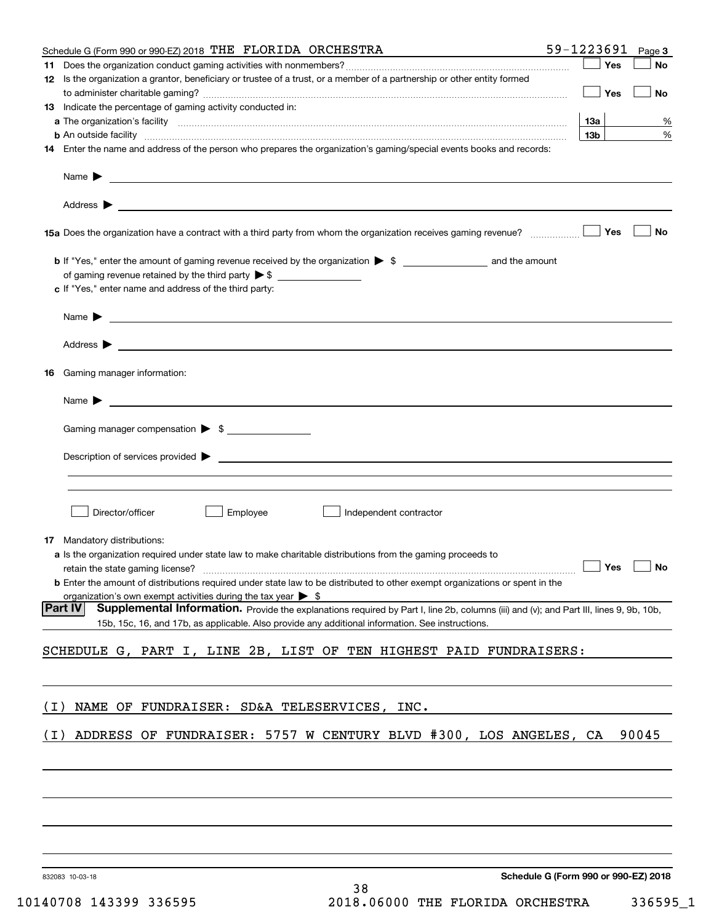| Schedule G (Form 990 or 990-EZ) 2018 THE FLORIDA ORCHESTRA                                                                                                                                                                                            | 59-1223691<br>Page 3                 |
|-------------------------------------------------------------------------------------------------------------------------------------------------------------------------------------------------------------------------------------------------------|--------------------------------------|
|                                                                                                                                                                                                                                                       | Yes<br>No                            |
| 12 Is the organization a grantor, beneficiary or trustee of a trust, or a member of a partnership or other entity formed                                                                                                                              | Yes<br>No                            |
| <b>13</b> Indicate the percentage of gaming activity conducted in:                                                                                                                                                                                    |                                      |
|                                                                                                                                                                                                                                                       | 13а<br>%                             |
| <b>b</b> An outside facility <i>www.communicality communicality communicality communicality communicality communicality</i>                                                                                                                           | 13 <sub>b</sub><br>%                 |
| 14 Enter the name and address of the person who prepares the organization's gaming/special events books and records:                                                                                                                                  |                                      |
| Name $\blacktriangleright$<br><u> 1989 - Andrea Stadt Britain, amerikansk politik (</u>                                                                                                                                                               |                                      |
| Address $\blacktriangleright$<br><u> 1989 - Andrea Stadt Britain, amerikansk politik (</u>                                                                                                                                                            |                                      |
|                                                                                                                                                                                                                                                       | Yes<br>No                            |
|                                                                                                                                                                                                                                                       |                                      |
|                                                                                                                                                                                                                                                       |                                      |
| c If "Yes," enter name and address of the third party:                                                                                                                                                                                                |                                      |
| <u> 1980 - Johann Barbara, martin amerikan basar da</u><br>Name $\blacktriangleright$                                                                                                                                                                 |                                      |
|                                                                                                                                                                                                                                                       |                                      |
| Gaming manager information:<br>16                                                                                                                                                                                                                     |                                      |
| $Name \rightarrow$                                                                                                                                                                                                                                    |                                      |
|                                                                                                                                                                                                                                                       |                                      |
| Gaming manager compensation > \$                                                                                                                                                                                                                      |                                      |
| $\blacksquare$ Description of services provided $\blacktriangleright$                                                                                                                                                                                 |                                      |
|                                                                                                                                                                                                                                                       |                                      |
| Employee<br>Director/officer<br>Independent contractor                                                                                                                                                                                                |                                      |
|                                                                                                                                                                                                                                                       |                                      |
| <b>17</b> Mandatory distributions:                                                                                                                                                                                                                    |                                      |
| a Is the organization required under state law to make charitable distributions from the gaming proceeds to                                                                                                                                           | $\Box$ Yes $\Box$ No                 |
| <b>b</b> Enter the amount of distributions required under state law to be distributed to other exempt organizations or spent in the                                                                                                                   |                                      |
| organization's own exempt activities during the tax year $\triangleright$ \$                                                                                                                                                                          |                                      |
| Part IV<br>Supplemental Information. Provide the explanations required by Part I, line 2b, columns (iii) and (v); and Part III, lines 9, 9b, 10b,<br>15b, 15c, 16, and 17b, as applicable. Also provide any additional information. See instructions. |                                      |
|                                                                                                                                                                                                                                                       |                                      |
| SCHEDULE G, PART I, LINE 2B, LIST OF TEN HIGHEST PAID FUNDRAISERS:                                                                                                                                                                                    |                                      |
|                                                                                                                                                                                                                                                       |                                      |
| NAME OF FUNDRAISER: SD&A TELESERVICES, INC.<br>( I )                                                                                                                                                                                                  |                                      |
| ADDRESS OF FUNDRAISER: 5757 W CENTURY BLVD #300, LOS ANGELES, CA<br>( I )                                                                                                                                                                             | 90045                                |
|                                                                                                                                                                                                                                                       |                                      |
|                                                                                                                                                                                                                                                       |                                      |
|                                                                                                                                                                                                                                                       |                                      |
|                                                                                                                                                                                                                                                       |                                      |
|                                                                                                                                                                                                                                                       |                                      |
| 832083 10-03-18<br>38                                                                                                                                                                                                                                 | Schedule G (Form 990 or 990-EZ) 2018 |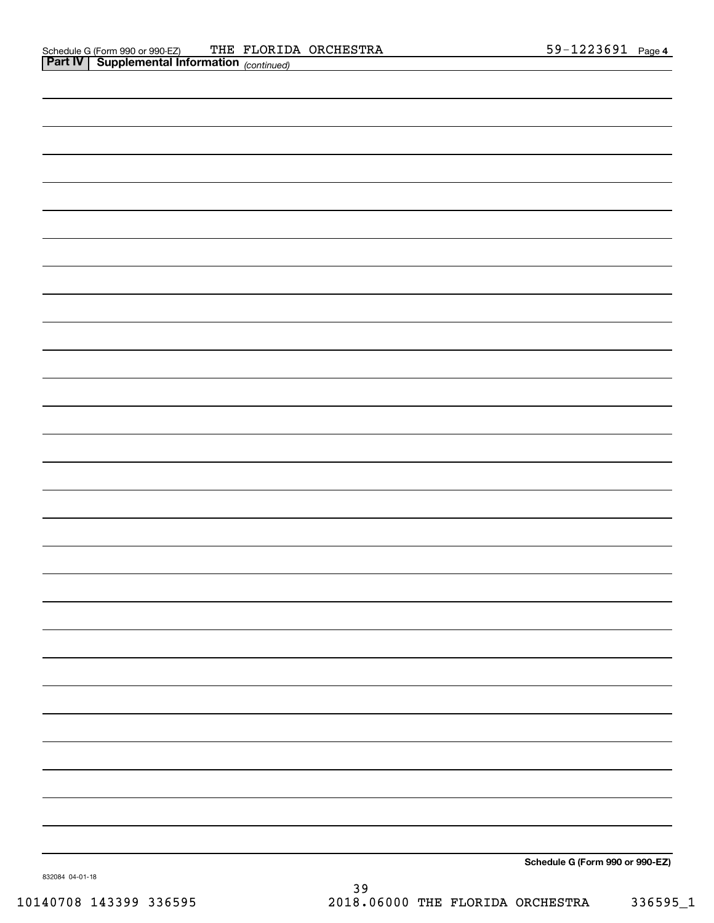| Schedule G (Form 990 or 990-EZ) |
|---------------------------------|

832084 04-01-18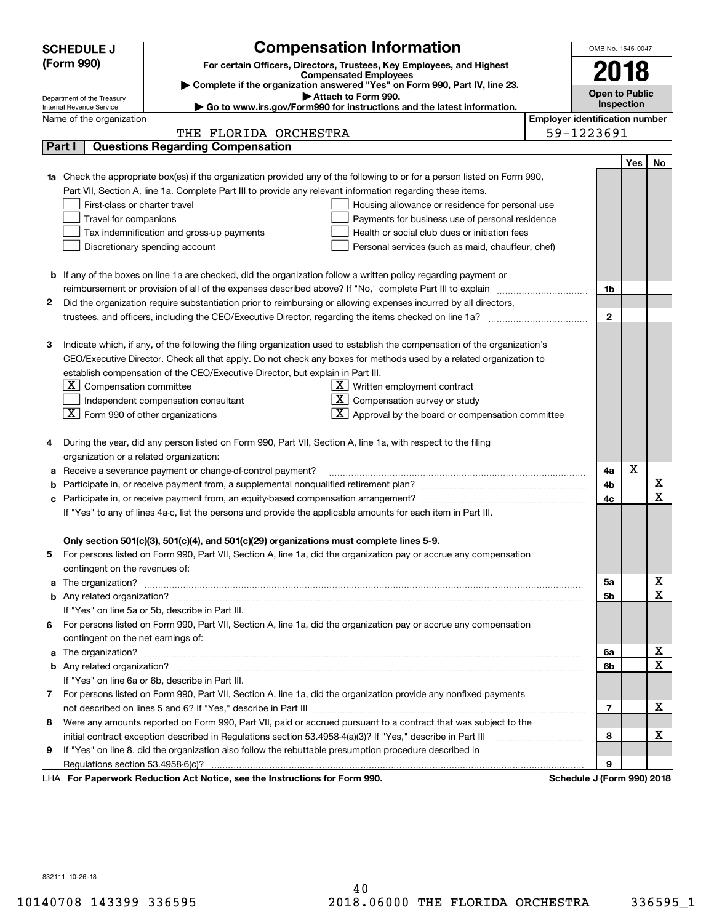|    | <b>SCHEDULE J</b>                                                                                                                                                                                        |                                                                                                              | <b>Compensation Information</b>                                                                                           |  | OMB No. 1545-0047          |      |             |  |
|----|----------------------------------------------------------------------------------------------------------------------------------------------------------------------------------------------------------|--------------------------------------------------------------------------------------------------------------|---------------------------------------------------------------------------------------------------------------------------|--|----------------------------|------|-------------|--|
|    | (Form 990)<br>For certain Officers, Directors, Trustees, Key Employees, and Highest                                                                                                                      |                                                                                                              |                                                                                                                           |  |                            |      |             |  |
|    | <b>Compensated Employees</b>                                                                                                                                                                             |                                                                                                              |                                                                                                                           |  |                            | 2018 |             |  |
|    | Complete if the organization answered "Yes" on Form 990, Part IV, line 23.<br><b>Open to Public</b><br>Attach to Form 990.                                                                               |                                                                                                              |                                                                                                                           |  |                            |      |             |  |
|    | Department of the Treasury<br>Go to www.irs.gov/Form990 for instructions and the latest information.<br>Internal Revenue Service                                                                         |                                                                                                              |                                                                                                                           |  |                            |      |             |  |
|    | <b>Employer identification number</b><br>Name of the organization                                                                                                                                        |                                                                                                              |                                                                                                                           |  |                            |      |             |  |
|    |                                                                                                                                                                                                          | THE FLORIDA ORCHESTRA                                                                                        |                                                                                                                           |  | 59-1223691                 |      |             |  |
|    | Part I                                                                                                                                                                                                   | <b>Questions Regarding Compensation</b>                                                                      |                                                                                                                           |  |                            |      |             |  |
|    |                                                                                                                                                                                                          |                                                                                                              |                                                                                                                           |  |                            | Yes  | No          |  |
|    |                                                                                                                                                                                                          |                                                                                                              | Check the appropriate box(es) if the organization provided any of the following to or for a person listed on Form 990,    |  |                            |      |             |  |
|    |                                                                                                                                                                                                          | Part VII, Section A, line 1a. Complete Part III to provide any relevant information regarding these items.   |                                                                                                                           |  |                            |      |             |  |
|    | First-class or charter travel                                                                                                                                                                            |                                                                                                              | Housing allowance or residence for personal use                                                                           |  |                            |      |             |  |
|    | Travel for companions                                                                                                                                                                                    |                                                                                                              | Payments for business use of personal residence                                                                           |  |                            |      |             |  |
|    |                                                                                                                                                                                                          | Tax indemnification and gross-up payments                                                                    | Health or social club dues or initiation fees                                                                             |  |                            |      |             |  |
|    |                                                                                                                                                                                                          | Discretionary spending account                                                                               | Personal services (such as maid, chauffeur, chef)                                                                         |  |                            |      |             |  |
|    |                                                                                                                                                                                                          |                                                                                                              |                                                                                                                           |  |                            |      |             |  |
|    |                                                                                                                                                                                                          |                                                                                                              | <b>b</b> If any of the boxes on line 1a are checked, did the organization follow a written policy regarding payment or    |  |                            |      |             |  |
|    |                                                                                                                                                                                                          | reimbursement or provision of all of the expenses described above? If "No," complete Part III to explain     |                                                                                                                           |  | 1b                         |      |             |  |
| 2  |                                                                                                                                                                                                          |                                                                                                              | Did the organization require substantiation prior to reimbursing or allowing expenses incurred by all directors,          |  |                            |      |             |  |
|    |                                                                                                                                                                                                          |                                                                                                              |                                                                                                                           |  | $\mathbf{2}$               |      |             |  |
|    |                                                                                                                                                                                                          |                                                                                                              |                                                                                                                           |  |                            |      |             |  |
| З  |                                                                                                                                                                                                          |                                                                                                              | Indicate which, if any, of the following the filing organization used to establish the compensation of the organization's |  |                            |      |             |  |
|    |                                                                                                                                                                                                          |                                                                                                              | CEO/Executive Director. Check all that apply. Do not check any boxes for methods used by a related organization to        |  |                            |      |             |  |
|    |                                                                                                                                                                                                          | establish compensation of the CEO/Executive Director, but explain in Part III.                               |                                                                                                                           |  |                            |      |             |  |
|    | $X$ Compensation committee                                                                                                                                                                               |                                                                                                              | $\underline{\mathbf{X}}$ Written employment contract                                                                      |  |                            |      |             |  |
|    |                                                                                                                                                                                                          | Independent compensation consultant                                                                          | $X$ Compensation survey or study                                                                                          |  |                            |      |             |  |
|    | $\boxed{\textbf{X}}$ Form 990 of other organizations                                                                                                                                                     |                                                                                                              | $\boxed{\textbf{X}}$ Approval by the board or compensation committee                                                      |  |                            |      |             |  |
|    |                                                                                                                                                                                                          |                                                                                                              |                                                                                                                           |  |                            |      |             |  |
|    |                                                                                                                                                                                                          | During the year, did any person listed on Form 990, Part VII, Section A, line 1a, with respect to the filing |                                                                                                                           |  |                            |      |             |  |
|    | organization or a related organization:                                                                                                                                                                  |                                                                                                              |                                                                                                                           |  |                            |      |             |  |
| а  |                                                                                                                                                                                                          | Receive a severance payment or change-of-control payment?                                                    |                                                                                                                           |  | 4a                         | х    |             |  |
| b  |                                                                                                                                                                                                          |                                                                                                              |                                                                                                                           |  | 4b                         |      | X<br>X      |  |
|    | Participate in, or receive payment from, an equity-based compensation arrangement?<br>c<br>If "Yes" to any of lines 4a-c, list the persons and provide the applicable amounts for each item in Part III. |                                                                                                              |                                                                                                                           |  | 4c                         |      |             |  |
|    |                                                                                                                                                                                                          |                                                                                                              |                                                                                                                           |  |                            |      |             |  |
|    |                                                                                                                                                                                                          | Only section 501(c)(3), 501(c)(4), and 501(c)(29) organizations must complete lines 5-9.                     |                                                                                                                           |  |                            |      |             |  |
|    |                                                                                                                                                                                                          |                                                                                                              | For persons listed on Form 990, Part VII, Section A, line 1a, did the organization pay or accrue any compensation         |  |                            |      |             |  |
|    | contingent on the revenues of:                                                                                                                                                                           |                                                                                                              |                                                                                                                           |  |                            |      |             |  |
| a  |                                                                                                                                                                                                          |                                                                                                              |                                                                                                                           |  | 5a                         |      | x           |  |
|    |                                                                                                                                                                                                          |                                                                                                              |                                                                                                                           |  | 5b                         |      | $\mathbf X$ |  |
|    |                                                                                                                                                                                                          | If "Yes" on line 5a or 5b, describe in Part III.                                                             |                                                                                                                           |  |                            |      |             |  |
| 6. |                                                                                                                                                                                                          |                                                                                                              | For persons listed on Form 990, Part VII, Section A, line 1a, did the organization pay or accrue any compensation         |  |                            |      |             |  |
|    | contingent on the net earnings of:                                                                                                                                                                       |                                                                                                              |                                                                                                                           |  |                            |      |             |  |
| a  |                                                                                                                                                                                                          |                                                                                                              |                                                                                                                           |  | 6a                         |      | x           |  |
|    |                                                                                                                                                                                                          |                                                                                                              |                                                                                                                           |  | 6b                         |      | $\mathbf X$ |  |
|    |                                                                                                                                                                                                          | If "Yes" on line 6a or 6b, describe in Part III.                                                             |                                                                                                                           |  |                            |      |             |  |
|    |                                                                                                                                                                                                          |                                                                                                              | 7 For persons listed on Form 990, Part VII, Section A, line 1a, did the organization provide any nonfixed payments        |  |                            |      |             |  |
|    |                                                                                                                                                                                                          |                                                                                                              |                                                                                                                           |  | 7                          |      | х           |  |
| 8  |                                                                                                                                                                                                          |                                                                                                              | Were any amounts reported on Form 990, Part VII, paid or accrued pursuant to a contract that was subject to the           |  |                            |      |             |  |
|    |                                                                                                                                                                                                          | initial contract exception described in Regulations section 53.4958-4(a)(3)? If "Yes," describe in Part III  |                                                                                                                           |  | 8                          |      | х           |  |
| 9  |                                                                                                                                                                                                          | If "Yes" on line 8, did the organization also follow the rebuttable presumption procedure described in       |                                                                                                                           |  |                            |      |             |  |
|    | Regulations section 53.4958-6(c)?                                                                                                                                                                        |                                                                                                              |                                                                                                                           |  | 9                          |      |             |  |
|    |                                                                                                                                                                                                          | LHA For Paperwork Reduction Act Notice, see the Instructions for Form 990.                                   |                                                                                                                           |  | Schedule J (Form 990) 2018 |      |             |  |

832111 10-26-18

40 10140708 143399 336595 2018.06000 THE FLORIDA ORCHESTRA 336595\_1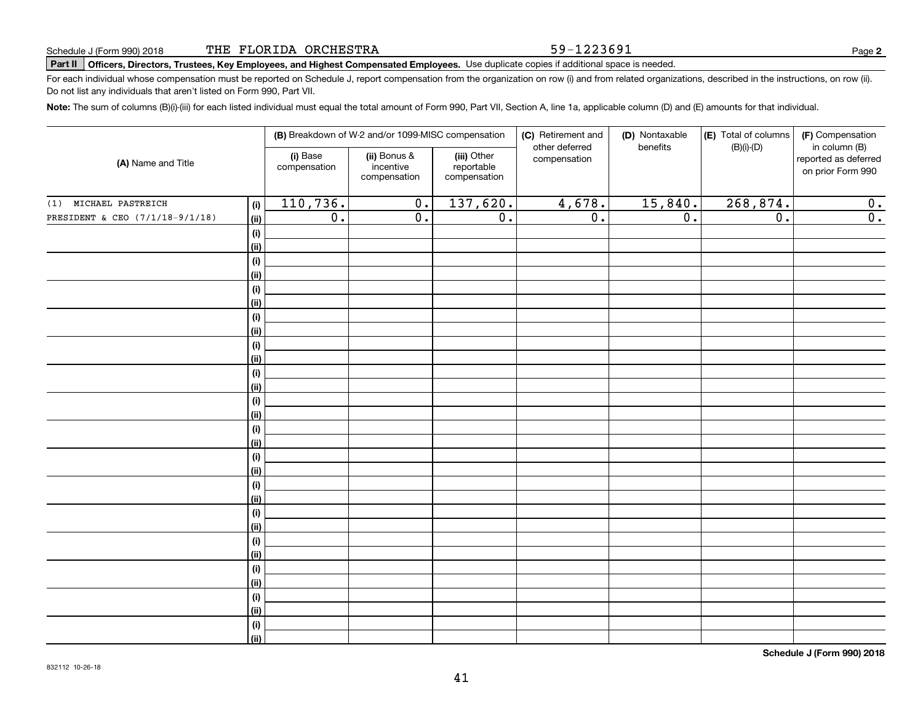59-1223691

# **Part II Officers, Directors, Trustees, Key Employees, and Highest Compensated Employees.**  Schedule J (Form 990) 2018 Page Use duplicate copies if additional space is needed.

For each individual whose compensation must be reported on Schedule J, report compensation from the organization on row (i) and from related organizations, described in the instructions, on row (ii). Do not list any individuals that aren't listed on Form 990, Part VII.

**Note:**  The sum of columns (B)(i)-(iii) for each listed individual must equal the total amount of Form 990, Part VII, Section A, line 1a, applicable column (D) and (E) amounts for that individual.

|                                 |                              | (B) Breakdown of W-2 and/or 1099-MISC compensation |                                           |                                           | (C) Retirement and<br>other deferred | (D) Nontaxable<br>benefits | (E) Total of columns<br>(F) Compensation<br>$(B)(i)-(D)$ |                                                            |  |
|---------------------------------|------------------------------|----------------------------------------------------|-------------------------------------------|-------------------------------------------|--------------------------------------|----------------------------|----------------------------------------------------------|------------------------------------------------------------|--|
| (A) Name and Title              |                              | (i) Base<br>compensation                           | (ii) Bonus &<br>incentive<br>compensation | (iii) Other<br>reportable<br>compensation | compensation                         |                            |                                                          | in column (B)<br>reported as deferred<br>on prior Form 990 |  |
| (1) MICHAEL PASTREICH           | (i)                          | 110,736.                                           | $\overline{0}$ .                          | 137,620.                                  | 4,678.                               | 15,840.                    | 268,874.                                                 | 0.                                                         |  |
| PRESIDENT & CEO (7/1/18-9/1/18) | (ii)                         | $\overline{0}$ .                                   | $\overline{0}$ .                          | $\overline{0}$ .                          | $\overline{0}$ .                     | $\overline{0}$ .           | $\overline{0}$ .                                         | $\overline{0}$ .                                           |  |
|                                 | $\qquad \qquad \textbf{(i)}$ |                                                    |                                           |                                           |                                      |                            |                                                          |                                                            |  |
|                                 | <u>(ii)</u>                  |                                                    |                                           |                                           |                                      |                            |                                                          |                                                            |  |
|                                 | (i)                          |                                                    |                                           |                                           |                                      |                            |                                                          |                                                            |  |
|                                 | <u>(ii)</u>                  |                                                    |                                           |                                           |                                      |                            |                                                          |                                                            |  |
|                                 | (i)                          |                                                    |                                           |                                           |                                      |                            |                                                          |                                                            |  |
|                                 | <u>(ii)</u>                  |                                                    |                                           |                                           |                                      |                            |                                                          |                                                            |  |
|                                 | (i)                          |                                                    |                                           |                                           |                                      |                            |                                                          |                                                            |  |
|                                 | <u>(ii)</u>                  |                                                    |                                           |                                           |                                      |                            |                                                          |                                                            |  |
|                                 | (i)                          |                                                    |                                           |                                           |                                      |                            |                                                          |                                                            |  |
|                                 | <u>(ii)</u>                  |                                                    |                                           |                                           |                                      |                            |                                                          |                                                            |  |
|                                 | (i)<br>(ii)                  |                                                    |                                           |                                           |                                      |                            |                                                          |                                                            |  |
|                                 | (i)                          |                                                    |                                           |                                           |                                      |                            |                                                          |                                                            |  |
|                                 | (ii)                         |                                                    |                                           |                                           |                                      |                            |                                                          |                                                            |  |
|                                 | (i)                          |                                                    |                                           |                                           |                                      |                            |                                                          |                                                            |  |
|                                 | (ii)                         |                                                    |                                           |                                           |                                      |                            |                                                          |                                                            |  |
|                                 | (i)                          |                                                    |                                           |                                           |                                      |                            |                                                          |                                                            |  |
|                                 | (ii)                         |                                                    |                                           |                                           |                                      |                            |                                                          |                                                            |  |
|                                 | (i)                          |                                                    |                                           |                                           |                                      |                            |                                                          |                                                            |  |
|                                 | <u>(ii)</u>                  |                                                    |                                           |                                           |                                      |                            |                                                          |                                                            |  |
|                                 | (i)                          |                                                    |                                           |                                           |                                      |                            |                                                          |                                                            |  |
|                                 | <u>(ii)</u>                  |                                                    |                                           |                                           |                                      |                            |                                                          |                                                            |  |
|                                 | (i)                          |                                                    |                                           |                                           |                                      |                            |                                                          |                                                            |  |
|                                 | <u>(ii)</u>                  |                                                    |                                           |                                           |                                      |                            |                                                          |                                                            |  |
|                                 | (i)                          |                                                    |                                           |                                           |                                      |                            |                                                          |                                                            |  |
|                                 | (iii)                        |                                                    |                                           |                                           |                                      |                            |                                                          |                                                            |  |
|                                 | (i)<br><u>(ii)</u>           |                                                    |                                           |                                           |                                      |                            |                                                          |                                                            |  |
|                                 | (i)                          |                                                    |                                           |                                           |                                      |                            |                                                          |                                                            |  |
|                                 | $\overline{}}$               |                                                    |                                           |                                           |                                      |                            |                                                          |                                                            |  |
|                                 |                              |                                                    |                                           |                                           |                                      |                            |                                                          |                                                            |  |

**Schedule J (Form 990) 2018**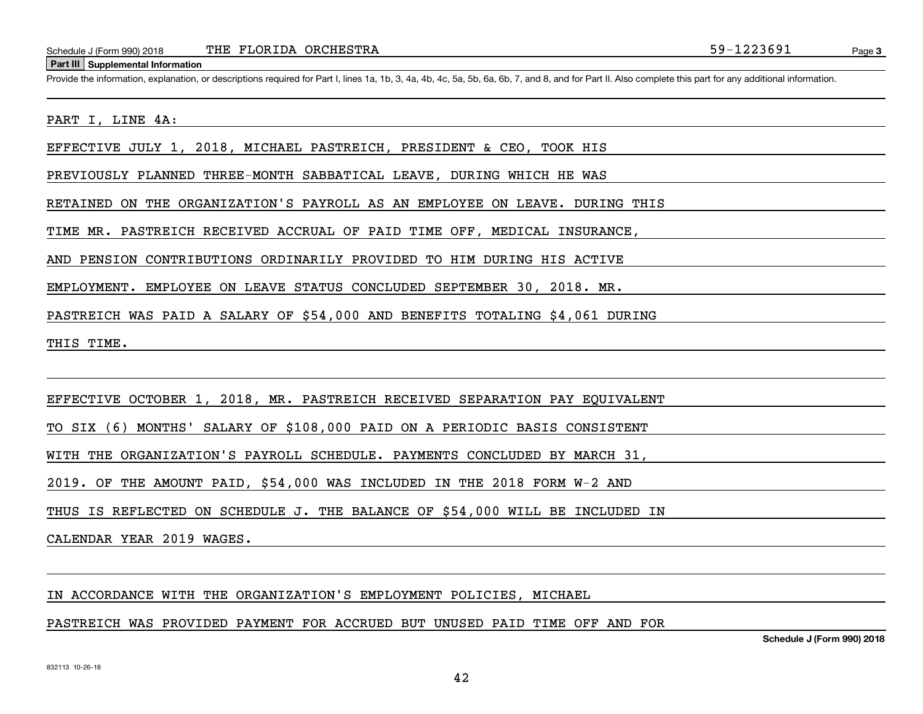#### **Part III Supplemental Information**

Schedule J (Form 990) 2018 THE FLORIDA ORCHESTRA<br>
Part III Supplemental Information<br>
Provide the information, explanation, or descriptions required for Part I. lines 1a, 1b, 3, 4a, 4b, 4c, 5a, 5b, 6a, 6b, 7, and 8, and for

#### PART I, LINE 4A:

EFFECTIVE JULY 1, 2018, MICHAEL PASTREICH, PRESIDENT & CEO, TOOK HIS

PREVIOUSLY PLANNED THREE-MONTH SABBATICAL LEAVE, DURING WHICH HE WAS

RETAINED ON THE ORGANIZATION'S PAYROLL AS AN EMPLOYEE ON LEAVE. DURING THIS

TIME MR. PASTREICH RECEIVED ACCRUAL OF PAID TIME OFF, MEDICAL INSURANCE,

AND PENSION CONTRIBUTIONS ORDINARILY PROVIDED TO HIM DURING HIS ACTIVE

EMPLOYMENT. EMPLOYEE ON LEAVE STATUS CONCLUDED SEPTEMBER 30, 2018. MR.

PASTREICH WAS PAID A SALARY OF \$54,000 AND BENEFITS TOTALING \$4,061 DURING

THIS TIME.

EFFECTIVE OCTOBER 1, 2018, MR. PASTREICH RECEIVED SEPARATION PAY EQUIVALENT

TO SIX (6) MONTHS' SALARY OF \$108,000 PAID ON A PERIODIC BASIS CONSISTENT

WITH THE ORGANIZATION'S PAYROLL SCHEDULE. PAYMENTS CONCLUDED BY MARCH 31,

2019. OF THE AMOUNT PAID, \$54,000 WAS INCLUDED IN THE 2018 FORM W-2 AND

THUS IS REFLECTED ON SCHEDULE J. THE BALANCE OF \$54,000 WILL BE INCLUDED IN

CALENDAR YEAR 2019 WAGES.

IN ACCORDANCE WITH THE ORGANIZATION'S EMPLOYMENT POLICIES, MICHAEL

PASTREICH WAS PROVIDED PAYMENT FOR ACCRUED BUT UNUSED PAID TIME OFF AND FOR

**Schedule J (Form 990) 2018**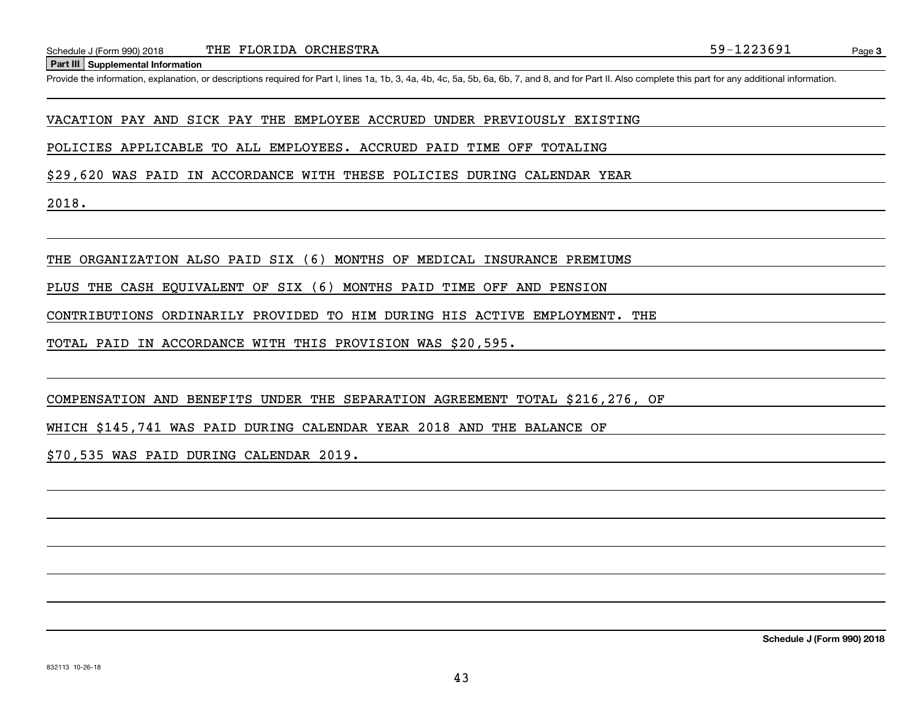**Part III Supplemental Information**

Schedule J (Form 990) 2018 THE FLORIDA ORCHESTRA<br>
Part III Supplemental Information<br>
Provide the information, explanation, or descriptions required for Part I, lines 1a, 1b, 3, 4a, 4b, 4c, 5a, 5b, 6a, 6b, 7, and 8, and for

VACATION PAY AND SICK PAY THE EMPLOYEE ACCRUED UNDER PREVIOUSLY EXISTING

POLICIES APPLICABLE TO ALL EMPLOYEES. ACCRUED PAID TIME OFF TOTALING

\$29,620 WAS PAID IN ACCORDANCE WITH THESE POLICIES DURING CALENDAR YEAR

2018.

THE ORGANIZATION ALSO PAID SIX (6) MONTHS OF MEDICAL INSURANCE PREMIUMS

PLUS THE CASH EQUIVALENT OF SIX (6) MONTHS PAID TIME OFF AND PENSION

CONTRIBUTIONS ORDINARILY PROVIDED TO HIM DURING HIS ACTIVE EMPLOYMENT. THE

TOTAL PAID IN ACCORDANCE WITH THIS PROVISION WAS \$20,595.

COMPENSATION AND BENEFITS UNDER THE SEPARATION AGREEMENT TOTAL \$216,276, OF

WHICH \$145,741 WAS PAID DURING CALENDAR YEAR 2018 AND THE BALANCE OF

\$70,535 WAS PAID DURING CALENDAR 2019.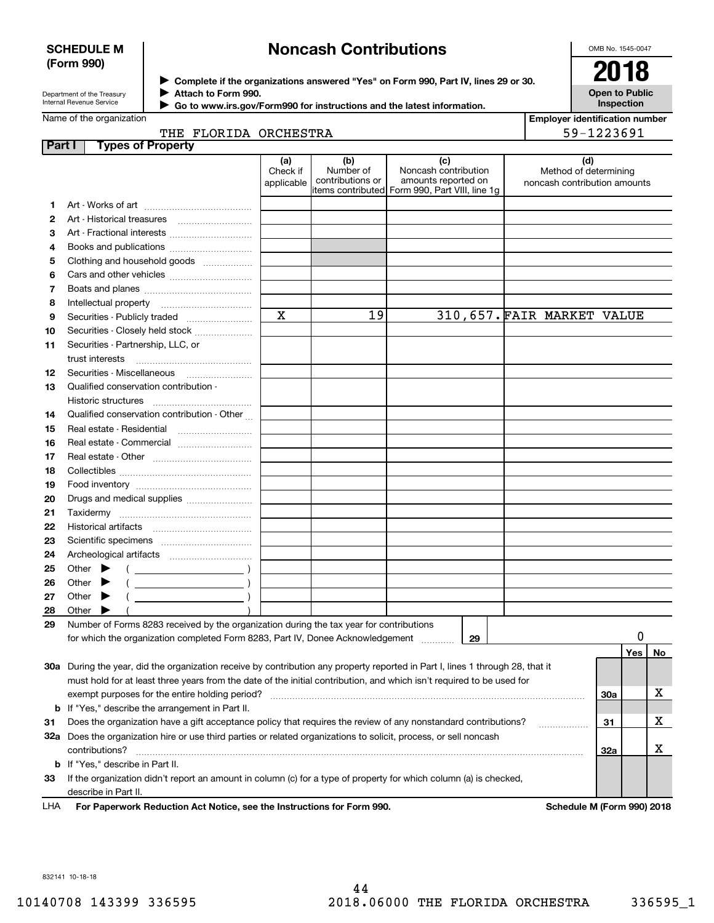### **SCHEDULE M (Form 990)**

# **Noncash Contributions**

OMB No. 1545-0047

| Department of the Treasury      |
|---------------------------------|
| <b>Internal Revenue Service</b> |

**Complete if the organizations answered "Yes" on Form 990, Part IV, lines 29 or 30.** <sup>J</sup>**2018 Attach to Form 990.** J

**Open to Public Inspection**

|  | Go to www.irs.gov/Form990 for instructions and the latest information. |
|--|------------------------------------------------------------------------|
|--|------------------------------------------------------------------------|

|  | Name of the organization |
|--|--------------------------|
|--|--------------------------|

| <b>Employer identification number</b> |
|---------------------------------------|
| 59-1223691                            |

|  | THE FLORIDA ORCHESTRA |
|--|-----------------------|

| Method of determining<br>noncash contribution amounts<br>310,657. FAIR MARKET VALUE |     |
|-------------------------------------------------------------------------------------|-----|
|                                                                                     |     |
|                                                                                     |     |
|                                                                                     |     |
|                                                                                     |     |
|                                                                                     |     |
|                                                                                     |     |
|                                                                                     |     |
|                                                                                     |     |
|                                                                                     |     |
|                                                                                     |     |
|                                                                                     |     |
|                                                                                     |     |
|                                                                                     |     |
|                                                                                     |     |
|                                                                                     |     |
|                                                                                     |     |
|                                                                                     |     |
|                                                                                     |     |
|                                                                                     |     |
|                                                                                     |     |
|                                                                                     |     |
|                                                                                     |     |
|                                                                                     |     |
|                                                                                     |     |
|                                                                                     |     |
|                                                                                     |     |
|                                                                                     |     |
|                                                                                     |     |
|                                                                                     |     |
|                                                                                     |     |
|                                                                                     |     |
|                                                                                     |     |
|                                                                                     |     |
| $\Omega$                                                                            |     |
|                                                                                     | No  |
|                                                                                     |     |
|                                                                                     |     |
|                                                                                     | х   |
|                                                                                     |     |
|                                                                                     | х   |
|                                                                                     |     |
|                                                                                     | х   |
|                                                                                     |     |
|                                                                                     |     |
|                                                                                     |     |
|                                                                                     |     |
|                                                                                     | Yes |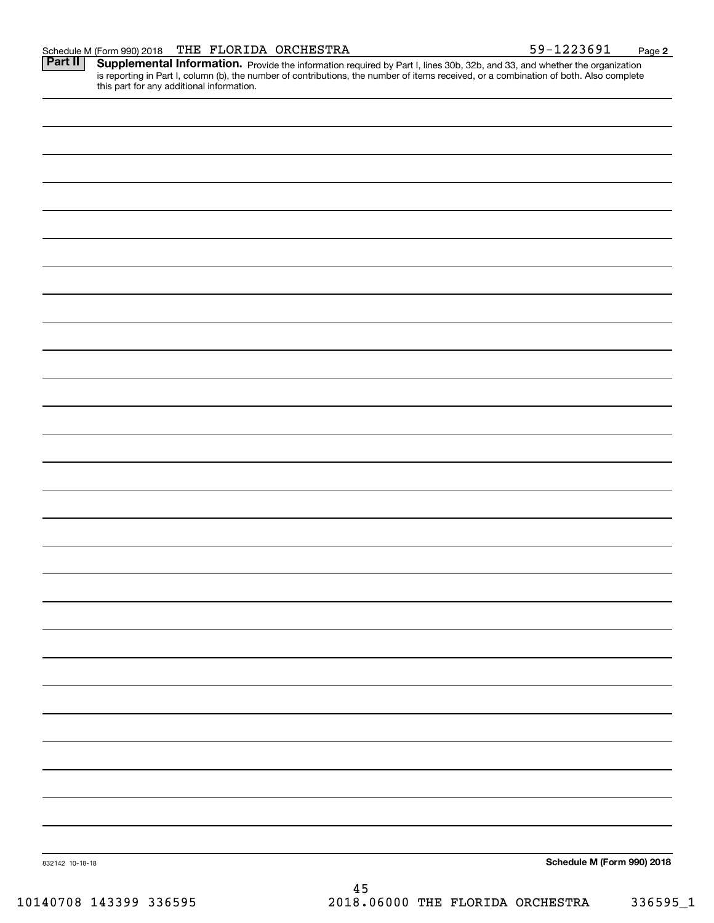Part II | Supplemental Information. Provide the information required by Part I, lines 30b, 32b, and 33, and whether the organization is reporting in Part I, column (b), the number of contributions, the number of items received, or a combination of both. Also complete this part for any additional information.

| 832142 10-18-18 |          | Schedule M (Form 990) 2018 |  |
|-----------------|----------|----------------------------|--|
|                 | $\bf 45$ |                            |  |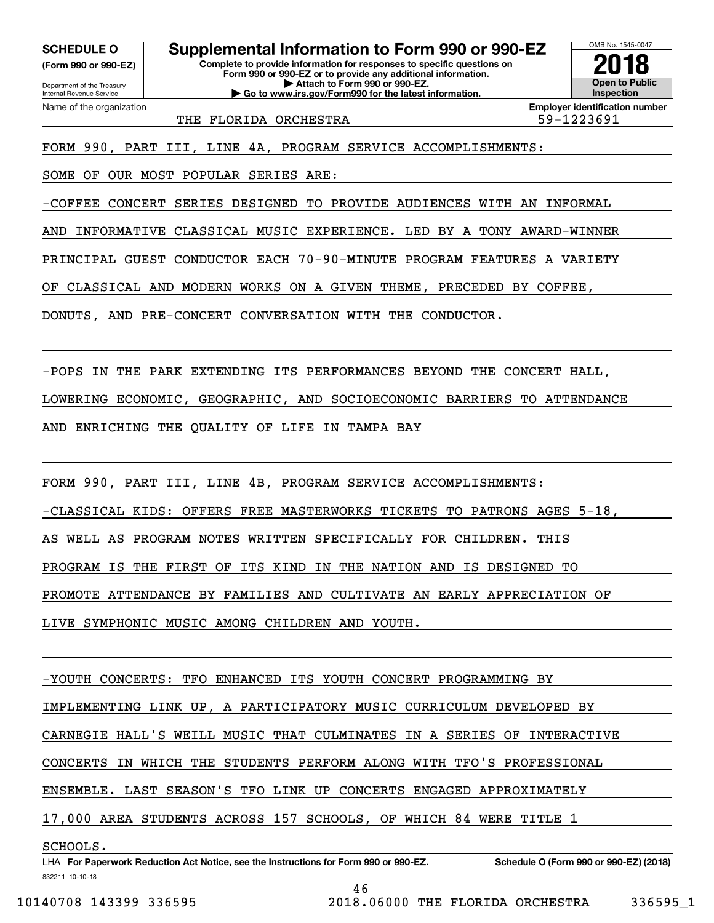**(Form 990 or 990-EZ)**

Department of the Treasury Internal Revenue Service Name of the organization

# **SCHEDULE O Supplemental Information to Form 990 or 990-EZ**

**Complete to provide information for responses to specific questions on Form 990 or 990-EZ or to provide any additional information. | Attach to Form 990 or 990-EZ. | Go to www.irs.gov/Form990 for the latest information.**



THE FLORIDA ORCHESTRA  $\vert$  59-1223691

**Employer identification number**

FORM 990, PART III, LINE 4A, PROGRAM SERVICE ACCOMPLISHMENTS:

SOME OF OUR MOST POPULAR SERIES ARE:

-COFFEE CONCERT SERIES DESIGNED TO PROVIDE AUDIENCES WITH AN INFORMAL

AND INFORMATIVE CLASSICAL MUSIC EXPERIENCE. LED BY A TONY AWARD-WINNER

PRINCIPAL GUEST CONDUCTOR EACH 70-90-MINUTE PROGRAM FEATURES A VARIETY

OF CLASSICAL AND MODERN WORKS ON A GIVEN THEME, PRECEDED BY COFFEE,

DONUTS, AND PRE-CONCERT CONVERSATION WITH THE CONDUCTOR.

-POPS IN THE PARK EXTENDING ITS PERFORMANCES BEYOND THE CONCERT HALL,

LOWERING ECONOMIC, GEOGRAPHIC, AND SOCIOECONOMIC BARRIERS TO ATTENDANCE

AND ENRICHING THE QUALITY OF LIFE IN TAMPA BAY

FORM 990, PART III, LINE 4B, PROGRAM SERVICE ACCOMPLISHMENTS:

-CLASSICAL KIDS: OFFERS FREE MASTERWORKS TICKETS TO PATRONS AGES 5-18,

AS WELL AS PROGRAM NOTES WRITTEN SPECIFICALLY FOR CHILDREN. THIS

PROGRAM IS THE FIRST OF ITS KIND IN THE NATION AND IS DESIGNED TO

PROMOTE ATTENDANCE BY FAMILIES AND CULTIVATE AN EARLY APPRECIATION OF

LIVE SYMPHONIC MUSIC AMONG CHILDREN AND YOUTH.

-YOUTH CONCERTS: TFO ENHANCED ITS YOUTH CONCERT PROGRAMMING BY

IMPLEMENTING LINK UP, A PARTICIPATORY MUSIC CURRICULUM DEVELOPED BY

CARNEGIE HALL'S WEILL MUSIC THAT CULMINATES IN A SERIES OF INTERACTIVE

CONCERTS IN WHICH THE STUDENTS PERFORM ALONG WITH TFO'S PROFESSIONAL

ENSEMBLE. LAST SEASON'S TFO LINK UP CONCERTS ENGAGED APPROXIMATELY

17,000 AREA STUDENTS ACROSS 157 SCHOOLS, OF WHICH 84 WERE TITLE 1

SCHOOLS.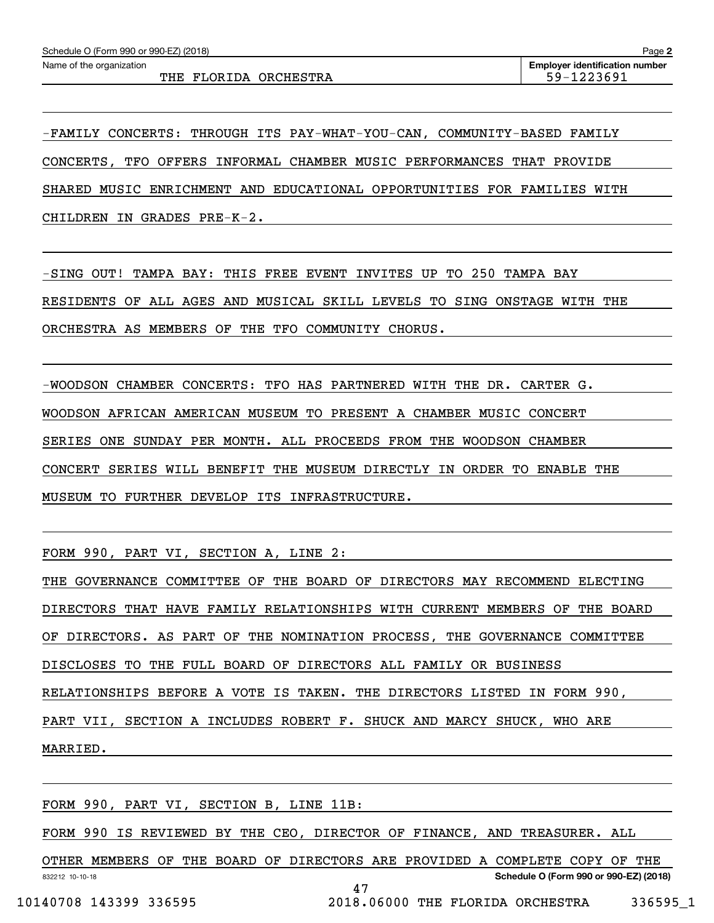THE FLORIDA ORCHESTRA  $\vert$  59-1223691

**2**

-FAMILY CONCERTS: THROUGH ITS PAY-WHAT-YOU-CAN, COMMUNITY-BASED FAMILY CONCERTS, TFO OFFERS INFORMAL CHAMBER MUSIC PERFORMANCES THAT PROVIDE SHARED MUSIC ENRICHMENT AND EDUCATIONAL OPPORTUNITIES FOR FAMILIES WITH CHILDREN IN GRADES PRE-K-2.

-SING OUT! TAMPA BAY: THIS FREE EVENT INVITES UP TO 250 TAMPA BAY RESIDENTS OF ALL AGES AND MUSICAL SKILL LEVELS TO SING ONSTAGE WITH THE ORCHESTRA AS MEMBERS OF THE TFO COMMUNITY CHORUS.

-WOODSON CHAMBER CONCERTS: TFO HAS PARTNERED WITH THE DR. CARTER G. WOODSON AFRICAN AMERICAN MUSEUM TO PRESENT A CHAMBER MUSIC CONCERT SERIES ONE SUNDAY PER MONTH. ALL PROCEEDS FROM THE WOODSON CHAMBER CONCERT SERIES WILL BENEFIT THE MUSEUM DIRECTLY IN ORDER TO ENABLE THE MUSEUM TO FURTHER DEVELOP ITS INFRASTRUCTURE.

FORM 990, PART VI, SECTION A, LINE 2:

THE GOVERNANCE COMMITTEE OF THE BOARD OF DIRECTORS MAY RECOMMEND ELECTING DIRECTORS THAT HAVE FAMILY RELATIONSHIPS WITH CURRENT MEMBERS OF THE BOARD OF DIRECTORS. AS PART OF THE NOMINATION PROCESS, THE GOVERNANCE COMMITTEE DISCLOSES TO THE FULL BOARD OF DIRECTORS ALL FAMILY OR BUSINESS RELATIONSHIPS BEFORE A VOTE IS TAKEN. THE DIRECTORS LISTED IN FORM 990, PART VII, SECTION A INCLUDES ROBERT F. SHUCK AND MARCY SHUCK, WHO ARE MARRIED.

FORM 990, PART VI, SECTION B, LINE 11B:

FORM 990 IS REVIEWED BY THE CEO, DIRECTOR OF FINANCE, AND TREASURER. ALL

832212 10-10-18 **Schedule O (Form 990 or 990-EZ) (2018)** OTHER MEMBERS OF THE BOARD OF DIRECTORS ARE PROVIDED A COMPLETE COPY OF THE 47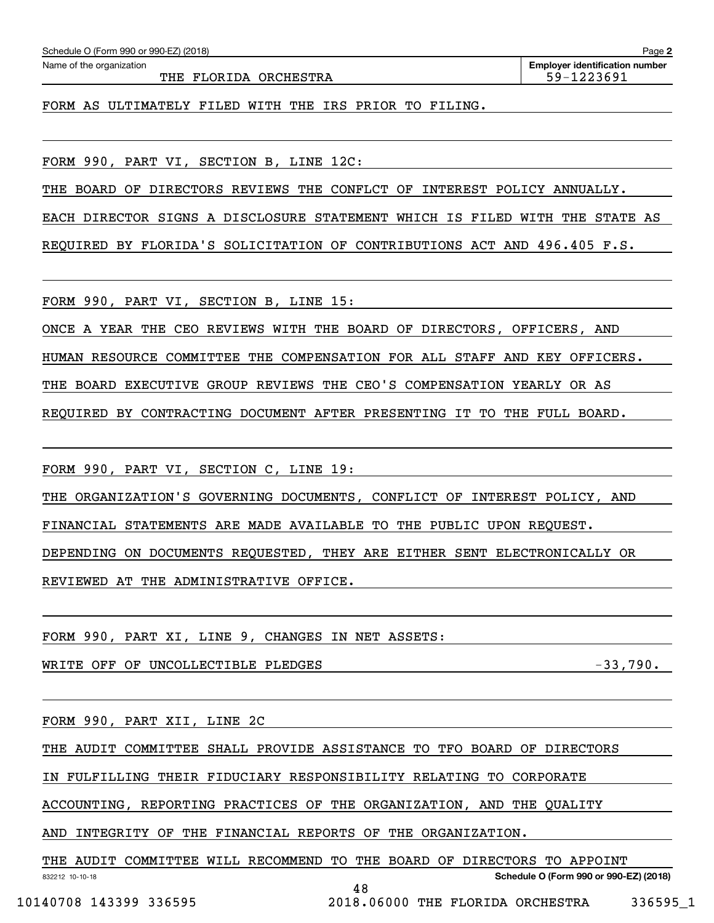FORM 990, PART VI, SECTION B, LINE 12C:

THE BOARD OF DIRECTORS REVIEWS THE CONFLCT OF INTEREST POLICY ANNUALLY.

EACH DIRECTOR SIGNS A DISCLOSURE STATEMENT WHICH IS FILED WITH THE STATE AS REQUIRED BY FLORIDA'S SOLICITATION OF CONTRIBUTIONS ACT AND 496.405 F.S.

FORM 990, PART VI, SECTION B, LINE 15:

ONCE A YEAR THE CEO REVIEWS WITH THE BOARD OF DIRECTORS, OFFICERS, AND

HUMAN RESOURCE COMMITTEE THE COMPENSATION FOR ALL STAFF AND KEY OFFICERS.

THE BOARD EXECUTIVE GROUP REVIEWS THE CEO'S COMPENSATION YEARLY OR AS

REQUIRED BY CONTRACTING DOCUMENT AFTER PRESENTING IT TO THE FULL BOARD.

FORM 990, PART VI, SECTION C, LINE 19:

THE ORGANIZATION'S GOVERNING DOCUMENTS, CONFLICT OF INTEREST POLICY, AND

FINANCIAL STATEMENTS ARE MADE AVAILABLE TO THE PUBLIC UPON REQUEST.

DEPENDING ON DOCUMENTS REQUESTED, THEY ARE EITHER SENT ELECTRONICALLY OR

REVIEWED AT THE ADMINISTRATIVE OFFICE.

FORM 990, PART XI, LINE 9, CHANGES IN NET ASSETS:

WRITE OFF OF UNCOLLECTIBLE PLEDGES  $-33,790$ .

FORM 990, PART XII, LINE 2C

THE AUDIT COMMITTEE SHALL PROVIDE ASSISTANCE TO TFO BOARD OF DIRECTORS

IN FULFILLING THEIR FIDUCIARY RESPONSIBILITY RELATING TO CORPORATE

ACCOUNTING, REPORTING PRACTICES OF THE ORGANIZATION, AND THE QUALITY

AND INTEGRITY OF THE FINANCIAL REPORTS OF THE ORGANIZATION.

832212 10-10-18 **Schedule O (Form 990 or 990-EZ) (2018)** THE AUDIT COMMITTEE WILL RECOMMEND TO THE BOARD OF DIRECTORS TO APPOINT 48